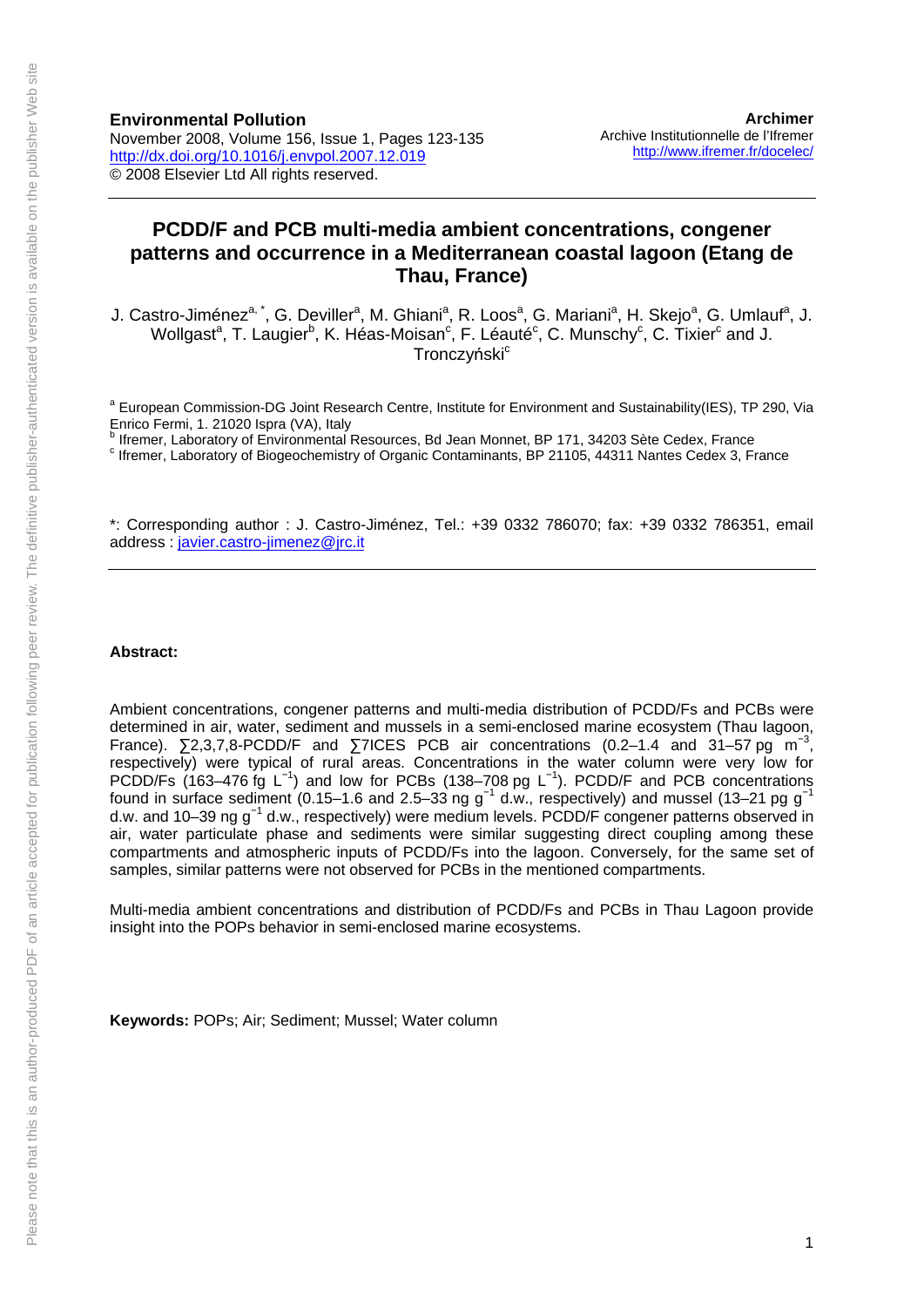# **PCDD/F and PCB multi-media ambient concentrations, congener patterns and occurrence in a Mediterranean coastal lagoon (Etang de Thau, France)**

J. Castro-Jiménez<sup>a,\*</sup>, G. Deviller<sup>a</sup>, M. Ghiani<sup>a</sup>, R. Loos<sup>a</sup>, G. Mariani<sup>a</sup>, H. Skejo<sup>a</sup>, G. Umlauf<sup>a</sup>, J. Wollgast<sup>a</sup>, T. Laugier<sup>b</sup>, K. Héas-Moisan<sup>c</sup>, F. Léauté<sup>c</sup>, C. Munschy<sup>c</sup>, C. Tixier<sup>c</sup> and J. **Tronczyński**c

<sup>a</sup> European Commission-DG Joint Research Centre, Institute for Environment and Sustainability(IES), TP 290, Via Enrico Fermi, 1. 21020 Ispra (VA), Italy

<sup>b</sup> Ifremer, Laboratory of Environmental Resources, Bd Jean Monnet, BP 171, 34203 Sète Cedex, France<br><sup>C</sup> Iframer, Laboratory of Piagoschemistry of Organic Conteminante, BD 31105, 44314 Nantes Cedex, 2, Et

 $c$  Ifremer, Laboratory of Biogeochemistry of Organic Contaminants, BP 21105, 44311 Nantes Cedex 3, France

\*: Corresponding author : J. Castro-Jiménez, Tel.: +39 0332 786070; fax: +39 0332 786351, email address : [javier.castro-jimenez@jrc.it](mailto:javier.castro-jimenez@jrc.it)

#### **Abstract:**

Ambient concentrations, congener patterns and multi-media distribution of PCDD/Fs and PCBs were determined in air, water, sediment and mussels in a semi-enclosed marine ecosystem (Thau lagoon, France).  $\Sigma$ 2,3,7,8-PCDD/F and  $\Sigma$ 7ICES PCB air concentrations (0.2–1.4 and 31–57 pg m<sup>-3</sup>, respectively) were typical of rural areas. Concentrations in the water column were very low for PCDD/Fs (163–476 fg L<sup>-1</sup>) and low for PCBs (138–708 pg L<sup>-1</sup>). PCDD/F and PCB concentrations found in surface sediment (0.15–1.6 and 2.5–33 ng g<sup>-1</sup> d.w., respectively) and mussel (13–21 pg g<sup>-1</sup> d.w. and 10–39 ng g<sup>-1</sup> d.w., respectively) were medium levels. PCDD/F congener patterns observed in air, water particulate phase and sediments were similar suggesting direct coupling among these compartments and atmospheric inputs of PCDD/Fs into the lagoon. Conversely, for the same set of samples, similar patterns were not observed for PCBs in the mentioned compartments.

Multi-media ambient concentrations and distribution of PCDD/Fs and PCBs in Thau Lagoon provide insight into the POPs behavior in semi-enclosed marine ecosystems.

**Keywords:** POPs; Air; Sediment; Mussel; Water column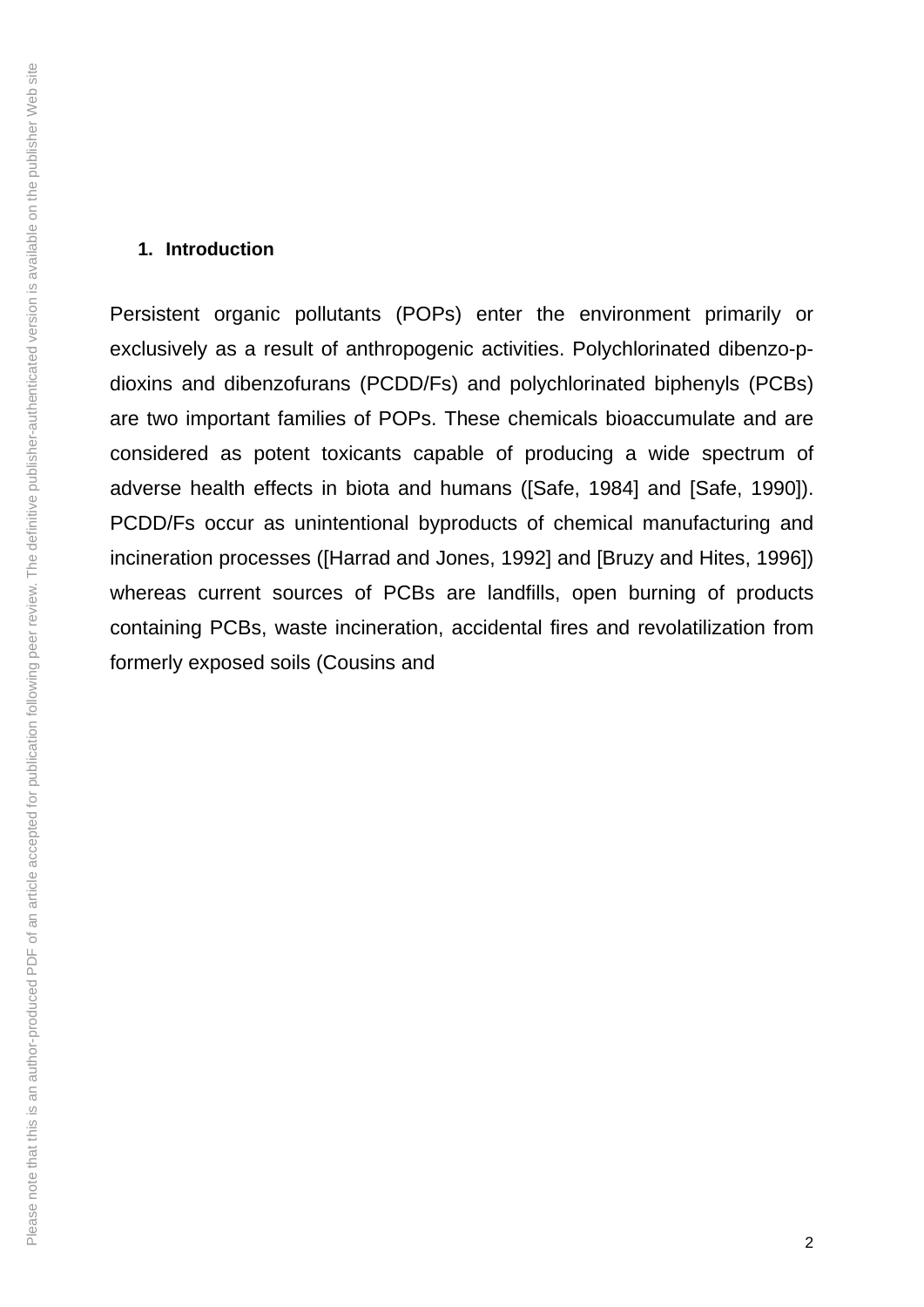Persistent organic pollutants (POPs) enter the environment primarily or exclusively as a result of anthropogenic activities. Polychlorinated dibenzo-pdioxins and dibenzofurans (PCDD/Fs) and polychlorinated biphenyls (PCBs) are two important families of POPs. These chemicals bioaccumulate and are considered as potent toxicants capable of producing a wide spectrum of adverse health effects in biota and humans ([Safe, 1984] and [Safe, 1990]). PCDD/Fs occur as unintentional byproducts of chemical manufacturing and incineration processes ([Harrad and Jones, 1992] and [Bruzy and Hites, 1996]) whereas current sources of PCBs are landfills, open burning of products containing PCBs, waste incineration, accidental fires and revolatilization from formerly exposed soils (Cousins and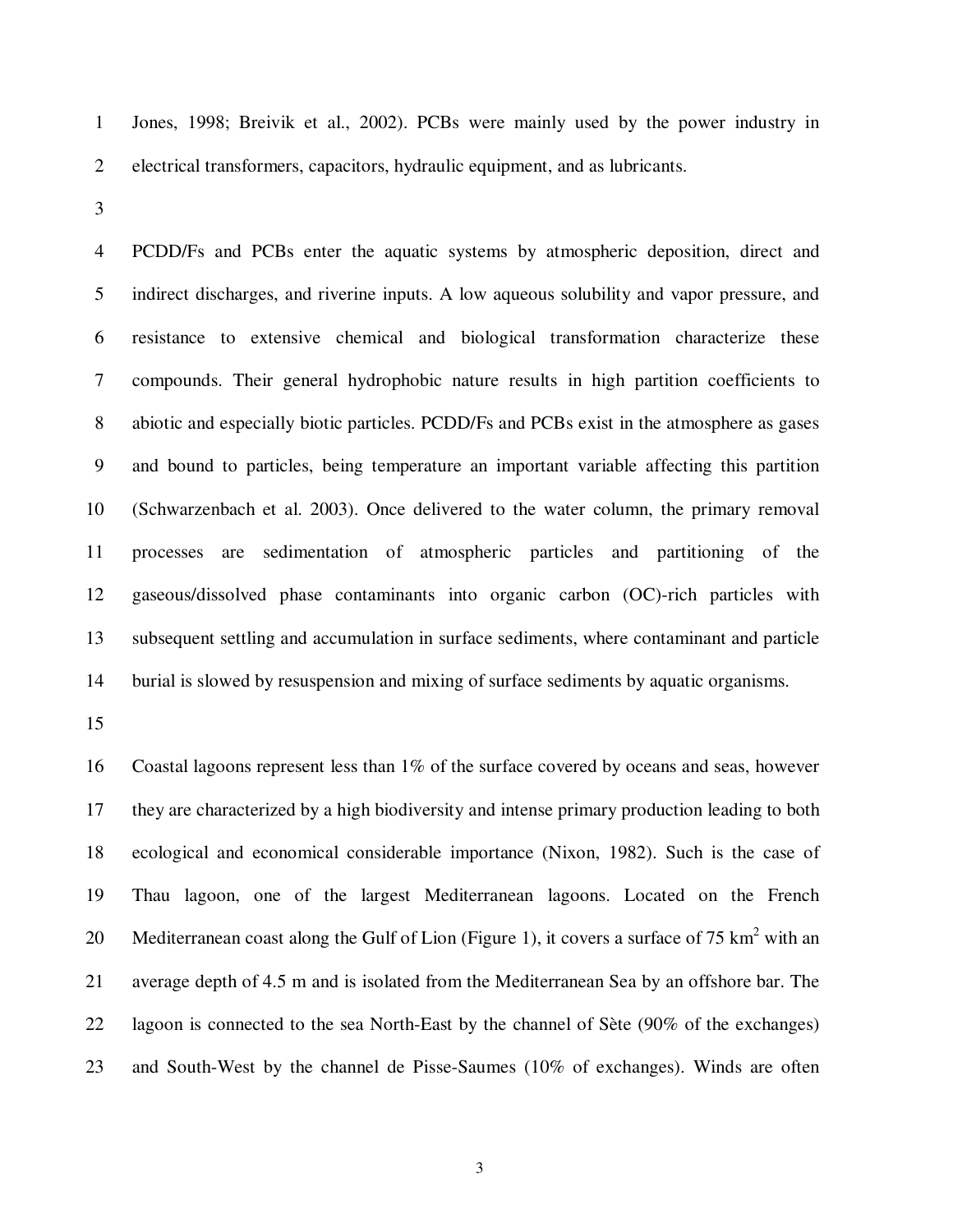1 Jones, 1998; Breivik et al., 2002). PCBs were mainly used by the power industry in 2 electrical transformers, capacitors, hydraulic equipment, and as lubricants.

3

4 PCDD/Fs and PCBs enter the aquatic systems by atmospheric deposition, direct and 5 indirect discharges, and riverine inputs. A low aqueous solubility and vapor pressure, and 6 resistance to extensive chemical and biological transformation characterize these 7 compounds. Their general hydrophobic nature results in high partition coefficients to 8 abiotic and especially biotic particles. PCDD/Fs and PCBs exist in the atmosphere as gases 9 and bound to particles, being temperature an important variable affecting this partition 10 (Schwarzenbach et al. 2003). Once delivered to the water column, the primary removal 11 processes are sedimentation of atmospheric particles and partitioning of the 12 gaseous/dissolved phase contaminants into organic carbon (OC)-rich particles with 13 subsequent settling and accumulation in surface sediments, where contaminant and particle 14 burial is slowed by resuspension and mixing of surface sediments by aquatic organisms.

15

16 Coastal lagoons represent less than 1% of the surface covered by oceans and seas, however 17 they are characterized by a high biodiversity and intense primary production leading to both 18 ecological and economical considerable importance (Nixon, 1982). Such is the case of 19 Thau lagoon, one of the largest Mediterranean lagoons. Located on the French 20 Mediterranean coast along the Gulf of Lion (Figure 1), it covers a surface of 75  $km^2$  with an 21 average depth of 4.5 m and is isolated from the Mediterranean Sea by an offshore bar. The 22 lagoon is connected to the sea North-East by the channel of Sète (90% of the exchanges) 23 and South-West by the channel de Pisse-Saumes (10% of exchanges). Winds are often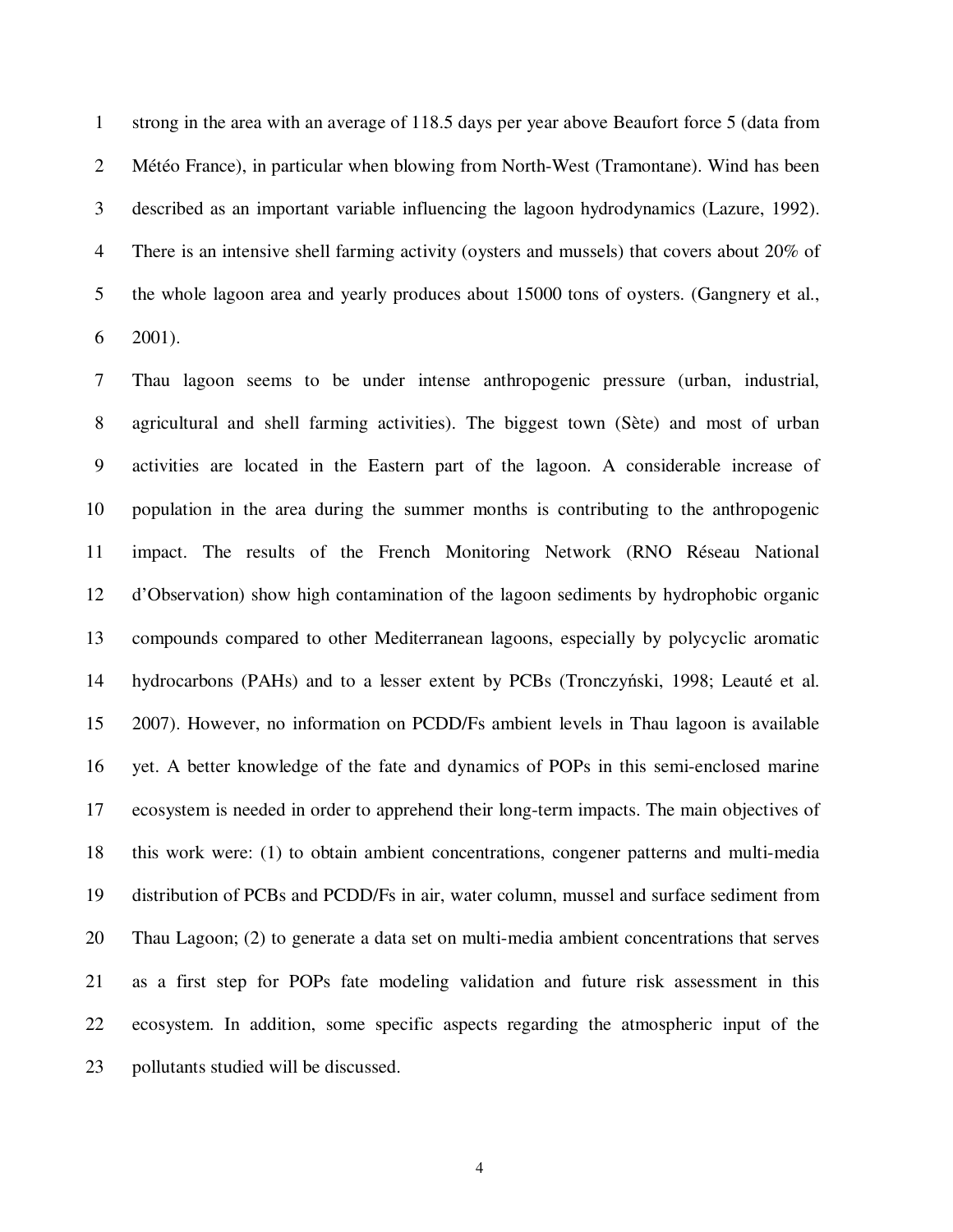1 strong in the area with an average of 118.5 days per year above Beaufort force 5 (data from 2 Météo France), in particular when blowing from North-West (Tramontane). Wind has been 3 described as an important variable influencing the lagoon hydrodynamics (Lazure, 1992). 4 There is an intensive shell farming activity (oysters and mussels) that covers about 20% of 5 the whole lagoon area and yearly produces about 15000 tons of oysters. (Gangnery et al.,  $6$  2001).

7 Thau lagoon seems to be under intense anthropogenic pressure (urban, industrial, 8 agricultural and shell farming activities). The biggest town (Sète) and most of urban 9 activities are located in the Eastern part of the lagoon. A considerable increase of 10 population in the area during the summer months is contributing to the anthropogenic 11 impact. The results of the French Monitoring Network (RNO Réseau National 12 d'Observation) show high contamination of the lagoon sediments by hydrophobic organic 13 compounds compared to other Mediterranean lagoons, especially by polycyclic aromatic 14 hydrocarbons (PAHs) and to a lesser extent by PCBs (Tronczyński, 1998; Leauté et al. 15 2007). However, no information on PCDD/Fs ambient levels in Thau lagoon is available 16 yet. A better knowledge of the fate and dynamics of POPs in this semi-enclosed marine 17 ecosystem is needed in order to apprehend their long-term impacts. The main objectives of 18 this work were: (1) to obtain ambient concentrations, congener patterns and multi-media 19 distribution of PCBs and PCDD/Fs in air, water column, mussel and surface sediment from 20 Thau Lagoon; (2) to generate a data set on multi-media ambient concentrations that serves 21 as a first step for POPs fate modeling validation and future risk assessment in this 22 ecosystem. In addition, some specific aspects regarding the atmospheric input of the 23 pollutants studied will be discussed.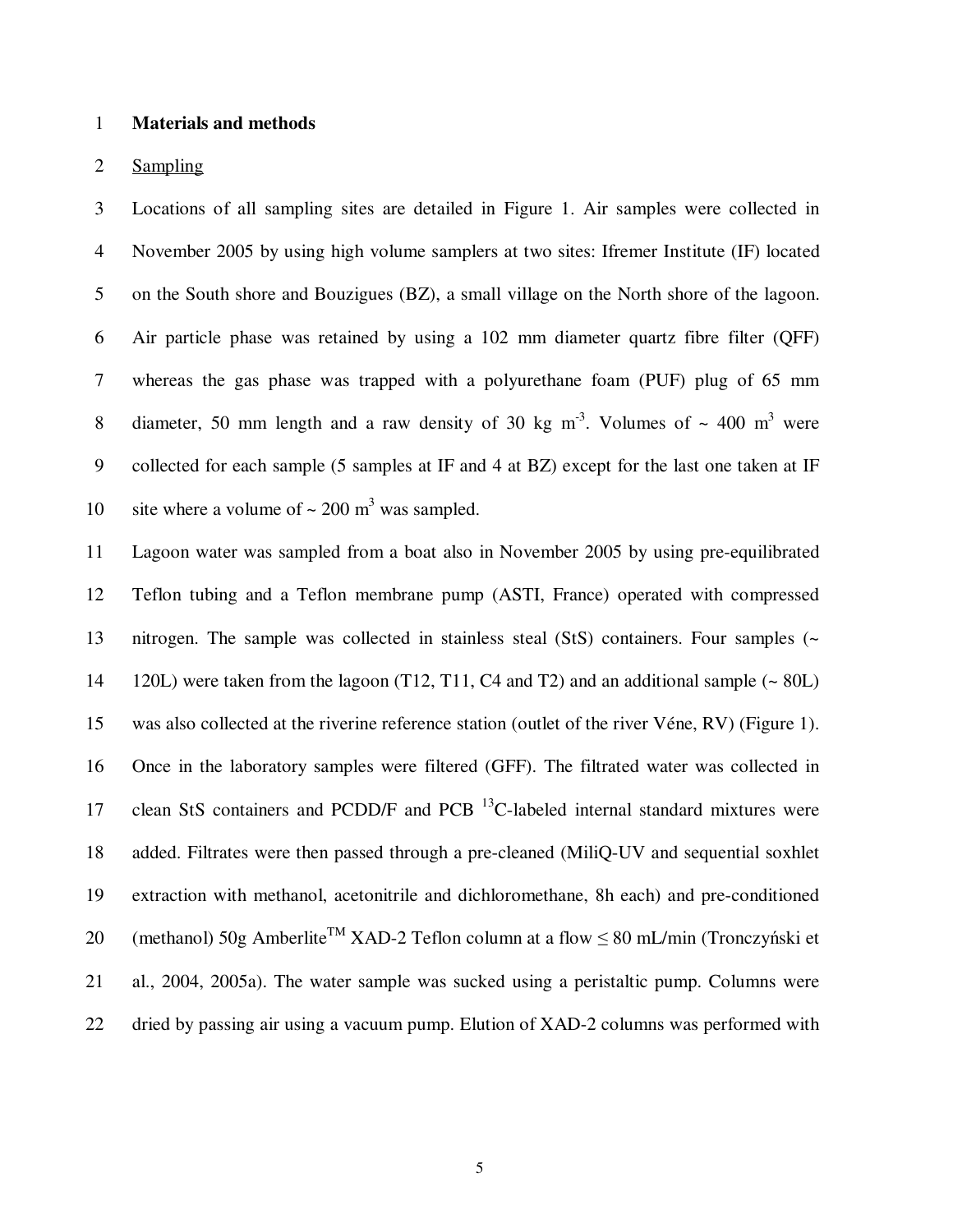#### 1 **Materials and methods**

### 2 Sampling

3 Locations of all sampling sites are detailed in Figure 1. Air samples were collected in 4 November 2005 by using high volume samplers at two sites: Ifremer Institute (IF) located 5 on the South shore and Bouzigues (BZ), a small village on the North shore of the lagoon. 6 Air particle phase was retained by using a 102 mm diameter quartz fibre filter (QFF) 7 whereas the gas phase was trapped with a polyurethane foam (PUF) plug of 65 mm 8 diameter, 50 mm length and a raw density of 30 kg m<sup>-3</sup>. Volumes of  $\sim$  400 m<sup>3</sup> were 9 collected for each sample (5 samples at IF and 4 at BZ) except for the last one taken at IF 10 site where a volume of  $\sim 200 \text{ m}^3$  was sampled.

11 Lagoon water was sampled from a boat also in November 2005 by using pre-equilibrated 12 Teflon tubing and a Teflon membrane pump (ASTI, France) operated with compressed 13 nitrogen. The sample was collected in stainless steal (StS) containers. Four samples (~ 14 120L) were taken from the lagoon (T12, T11, C4 and T2) and an additional sample (~ 80L) 15 was also collected at the riverine reference station (outlet of the river Véne, RV) (Figure 1). 16 Once in the laboratory samples were filtered (GFF). The filtrated water was collected in 17 clean StS containers and PCDD/F and PCB  $^{13}$ C-labeled internal standard mixtures were 18 added. Filtrates were then passed through a pre-cleaned (MiliQ-UV and sequential soxhlet 19 extraction with methanol, acetonitrile and dichloromethane, 8h each) and pre-conditioned 20 (methanol) 50g Amberlite<sup>TM</sup> XAD-2 Teflon column at a flow  $\leq 80$  mL/min (Tronczyński et 21 al., 2004, 2005a). The water sample was sucked using a peristaltic pump. Columns were 22 dried by passing air using a vacuum pump. Elution of XAD-2 columns was performed with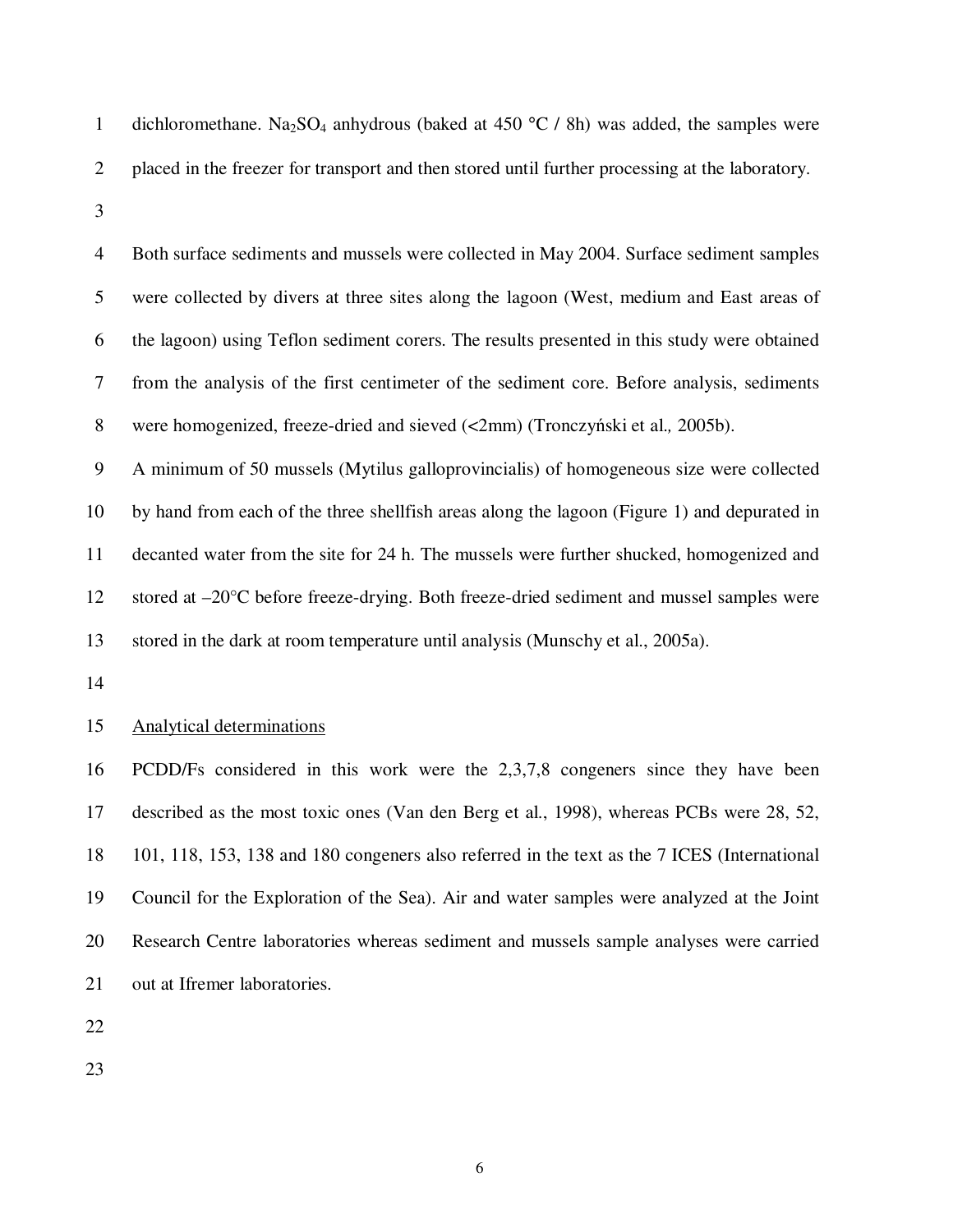- 1 dichloromethane. Na<sub>2</sub>SO<sub>4</sub> anhydrous (baked at 450  $\degree$ C / 8h) was added, the samples were 2 placed in the freezer for transport and then stored until further processing at the laboratory.
- 3

4 Both surface sediments and mussels were collected in May 2004. Surface sediment samples 5 were collected by divers at three sites along the lagoon (West, medium and East areas of 6 the lagoon) using Teflon sediment corers. The results presented in this study were obtained 7 from the analysis of the first centimeter of the sediment core. Before analysis, sediments 8 were homogenized, freeze-dried and sieved (<2mm) (Tronczyński et al.*,* 2005b).

9 A minimum of 50 mussels (Mytilus galloprovincialis) of homogeneous size were collected 10 by hand from each of the three shellfish areas along the lagoon (Figure 1) and depurated in 11 decanted water from the site for 24 h. The mussels were further shucked, homogenized and 12 stored at –20°C before freeze-drying. Both freeze-dried sediment and mussel samples were 13 stored in the dark at room temperature until analysis (Munschy et al., 2005a).

14

### 15 Analytical determinations

16 PCDD/Fs considered in this work were the 2,3,7,8 congeners since they have been 17 described as the most toxic ones (Van den Berg et al., 1998), whereas PCBs were 28, 52, 18 101, 118, 153, 138 and 180 congeners also referred in the text as the 7 ICES (International 19 Council for the Exploration of the Sea). Air and water samples were analyzed at the Joint 20 Research Centre laboratories whereas sediment and mussels sample analyses were carried 21 out at Ifremer laboratories.

22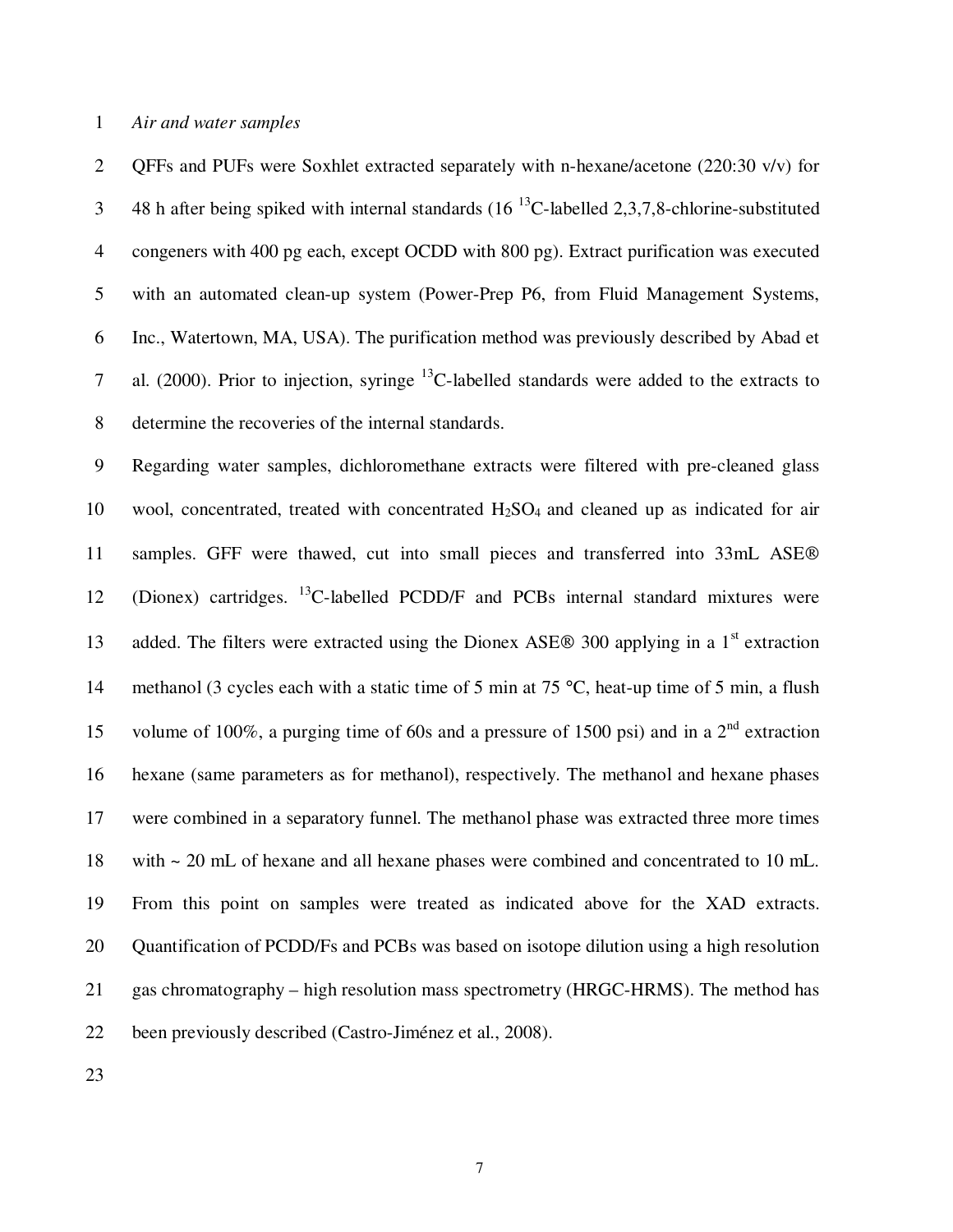1 *Air and water samples* 

2 QFFs and PUFs were Soxhlet extracted separately with n-hexane/acetone (220:30 v/v) for 48 h after being spiked with internal standards  $(16^{13}C$ -labelled 2,3,7,8-chlorine-substituted 4 congeners with 400 pg each, except OCDD with 800 pg). Extract purification was executed 5 with an automated clean-up system (Power-Prep P6, from Fluid Management Systems, 6 Inc., Watertown, MA, USA). The purification method was previously described by Abad et 7 al. (2000). Prior to injection, syringe  $^{13}$ C-labelled standards were added to the extracts to 8 determine the recoveries of the internal standards.

9 Regarding water samples, dichloromethane extracts were filtered with pre-cleaned glass 10 wool, concentrated, treated with concentrated  $H_2SO_4$  and cleaned up as indicated for air 11 samples. GFF were thawed, cut into small pieces and transferred into 33mL ASE  $12$  (Dionex) cartridges. <sup>13</sup>C-labelled PCDD/F and PCBs internal standard mixtures were 13 added. The filters were extracted using the Dionex ASE $\otimes$  300 applying in a 1<sup>st</sup> extraction 14 methanol (3 cycles each with a static time of 5 min at 75 °C, heat-up time of 5 min, a flush 15 volume of 100%, a purging time of 60s and a pressure of 1500 psi) and in a  $2<sup>nd</sup>$  extraction 16 hexane (same parameters as for methanol), respectively. The methanol and hexane phases 17 were combined in a separatory funnel. The methanol phase was extracted three more times 18 with ~ 20 mL of hexane and all hexane phases were combined and concentrated to 10 mL. 19 From this point on samples were treated as indicated above for the XAD extracts. 20 Quantification of PCDD/Fs and PCBs was based on isotope dilution using a high resolution 21 gas chromatography – high resolution mass spectrometry (HRGC-HRMS). The method has 22 been previously described (Castro-Jiménez et al., 2008).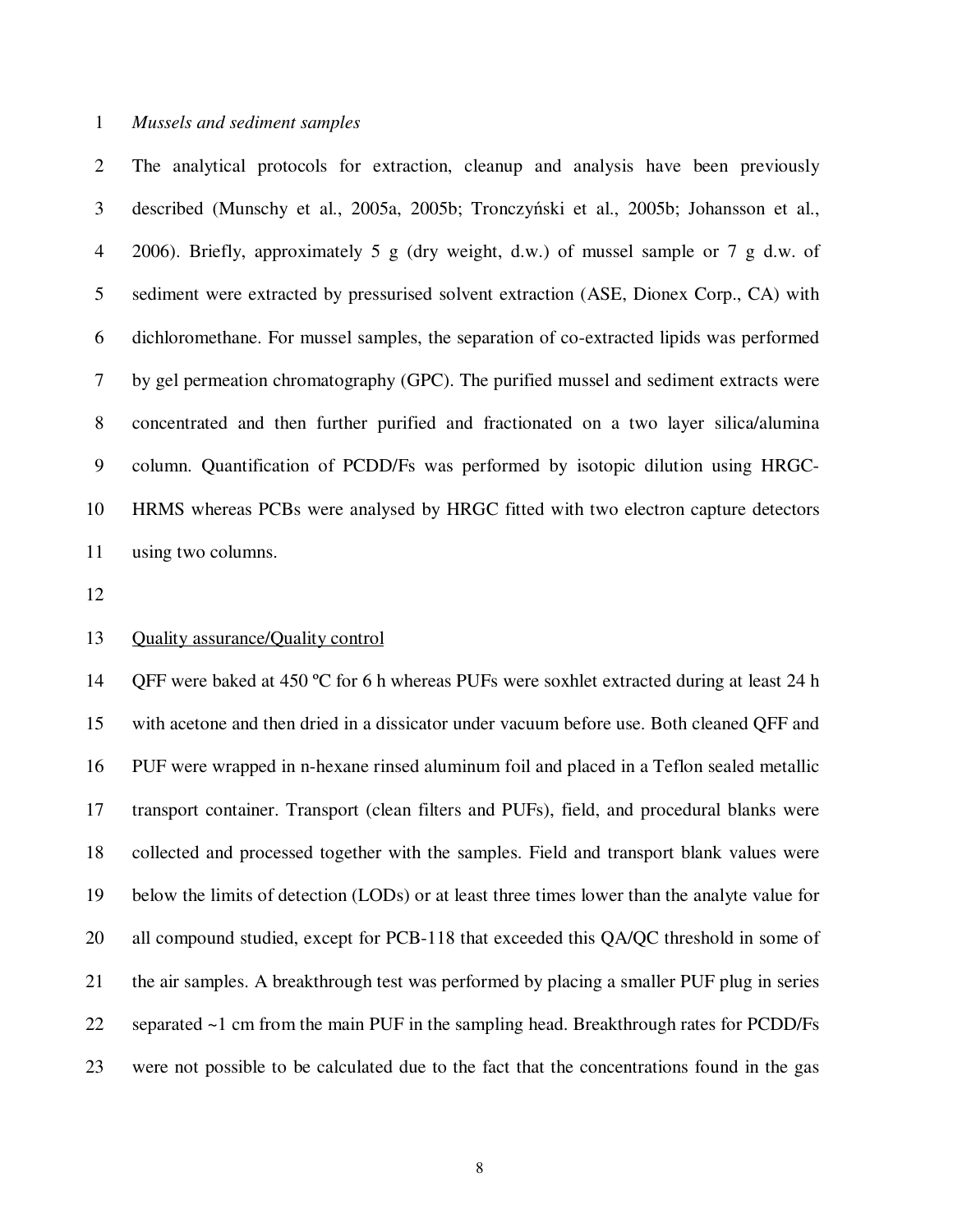#### 1 *Mussels and sediment samples*

2 The analytical protocols for extraction, cleanup and analysis have been previously 3 described (Munschy et al., 2005a, 2005b; Tronczyński et al., 2005b; Johansson et al., 4 2006). Briefly, approximately 5 g (dry weight, d.w.) of mussel sample or 7 g d.w. of 5 sediment were extracted by pressurised solvent extraction (ASE, Dionex Corp., CA) with 6 dichloromethane. For mussel samples, the separation of co-extracted lipids was performed 7 by gel permeation chromatography (GPC). The purified mussel and sediment extracts were 8 concentrated and then further purified and fractionated on a two layer silica/alumina 9 column. Quantification of PCDD/Fs was performed by isotopic dilution using HRGC-10 HRMS whereas PCBs were analysed by HRGC fitted with two electron capture detectors 11 using two columns.

12

### 13 Quality assurance/Quality control

14 OFF were baked at 450 °C for 6 h whereas PUFs were soxhlet extracted during at least 24 h 15 with acetone and then dried in a dissicator under vacuum before use. Both cleaned QFF and 16 PUF were wrapped in n-hexane rinsed aluminum foil and placed in a Teflon sealed metallic 17 transport container. Transport (clean filters and PUFs), field, and procedural blanks were 18 collected and processed together with the samples. Field and transport blank values were 19 below the limits of detection (LODs) or at least three times lower than the analyte value for 20 all compound studied, except for PCB-118 that exceeded this QA/QC threshold in some of 21 the air samples. A breakthrough test was performed by placing a smaller PUF plug in series 22 separated ~1 cm from the main PUF in the sampling head. Breakthrough rates for PCDD/Fs 23 were not possible to be calculated due to the fact that the concentrations found in the gas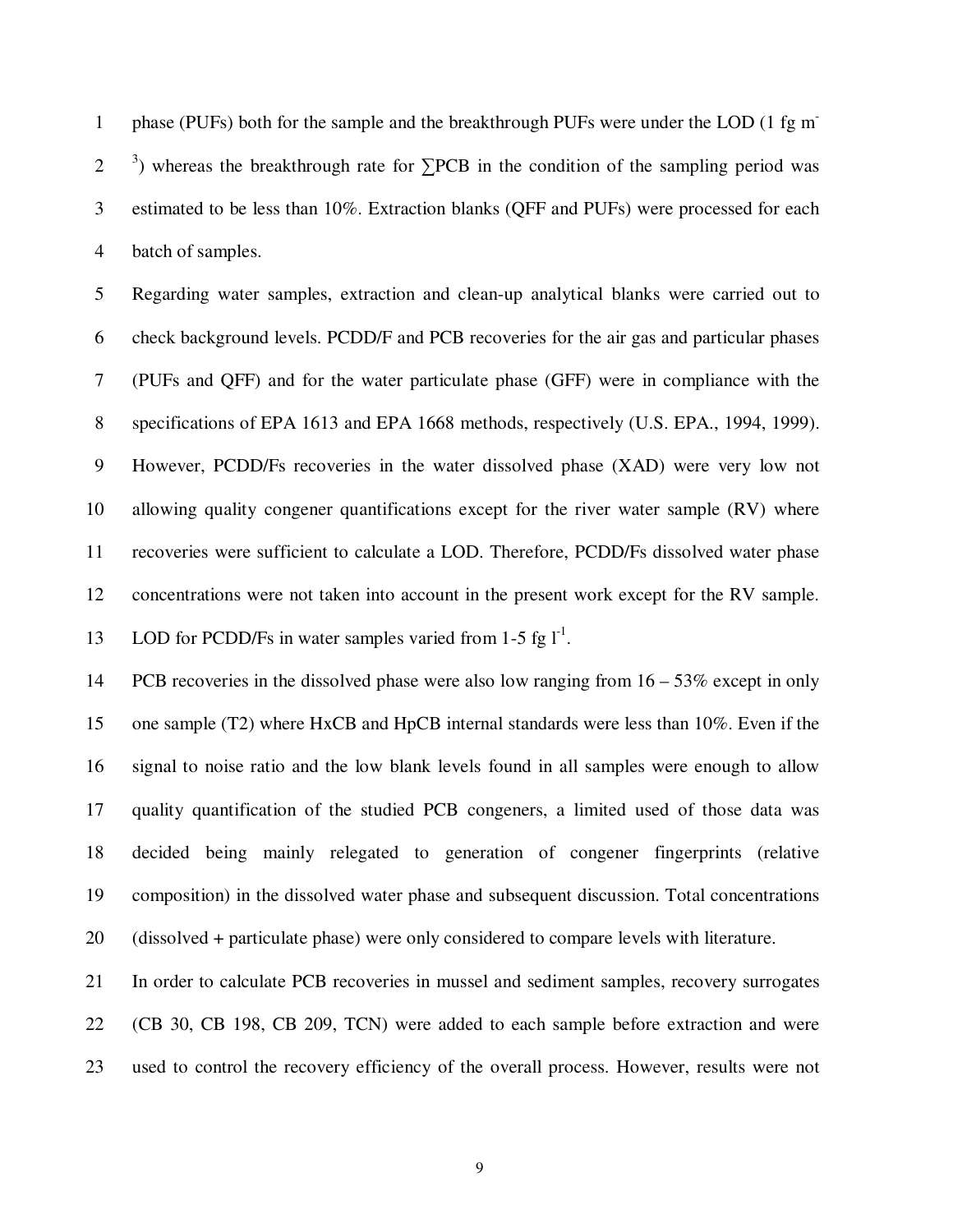phase (PUFs) both for the sample and the breakthrough PUFs were under the LOD (1 fg m-1 2  $\frac{3}{2}$  ) whereas the breakthrough rate for  $\Sigma$ PCB in the condition of the sampling period was 3 estimated to be less than 10%. Extraction blanks (QFF and PUFs) were processed for each 4 batch of samples.

5 Regarding water samples, extraction and clean-up analytical blanks were carried out to 6 check background levels. PCDD/F and PCB recoveries for the air gas and particular phases 7 (PUFs and QFF) and for the water particulate phase (GFF) were in compliance with the 8 specifications of EPA 1613 and EPA 1668 methods, respectively (U.S. EPA., 1994, 1999). 9 However, PCDD/Fs recoveries in the water dissolved phase (XAD) were very low not 10 allowing quality congener quantifications except for the river water sample (RV) where 11 recoveries were sufficient to calculate a LOD. Therefore, PCDD/Fs dissolved water phase 12 concentrations were not taken into account in the present work except for the RV sample. 13 LOD for PCDD/Fs in water samples varied from 1-5 fg  $I<sup>-1</sup>$ .

14 PCB recoveries in the dissolved phase were also low ranging from 16 – 53% except in only 15 one sample (T2) where HxCB and HpCB internal standards were less than 10%. Even if the 16 signal to noise ratio and the low blank levels found in all samples were enough to allow 17 quality quantification of the studied PCB congeners, a limited used of those data was 18 decided being mainly relegated to generation of congener fingerprints (relative 19 composition) in the dissolved water phase and subsequent discussion. Total concentrations 20 (dissolved + particulate phase) were only considered to compare levels with literature.

21 In order to calculate PCB recoveries in mussel and sediment samples, recovery surrogates 22 (CB 30, CB 198, CB 209, TCN) were added to each sample before extraction and were 23 used to control the recovery efficiency of the overall process. However, results were not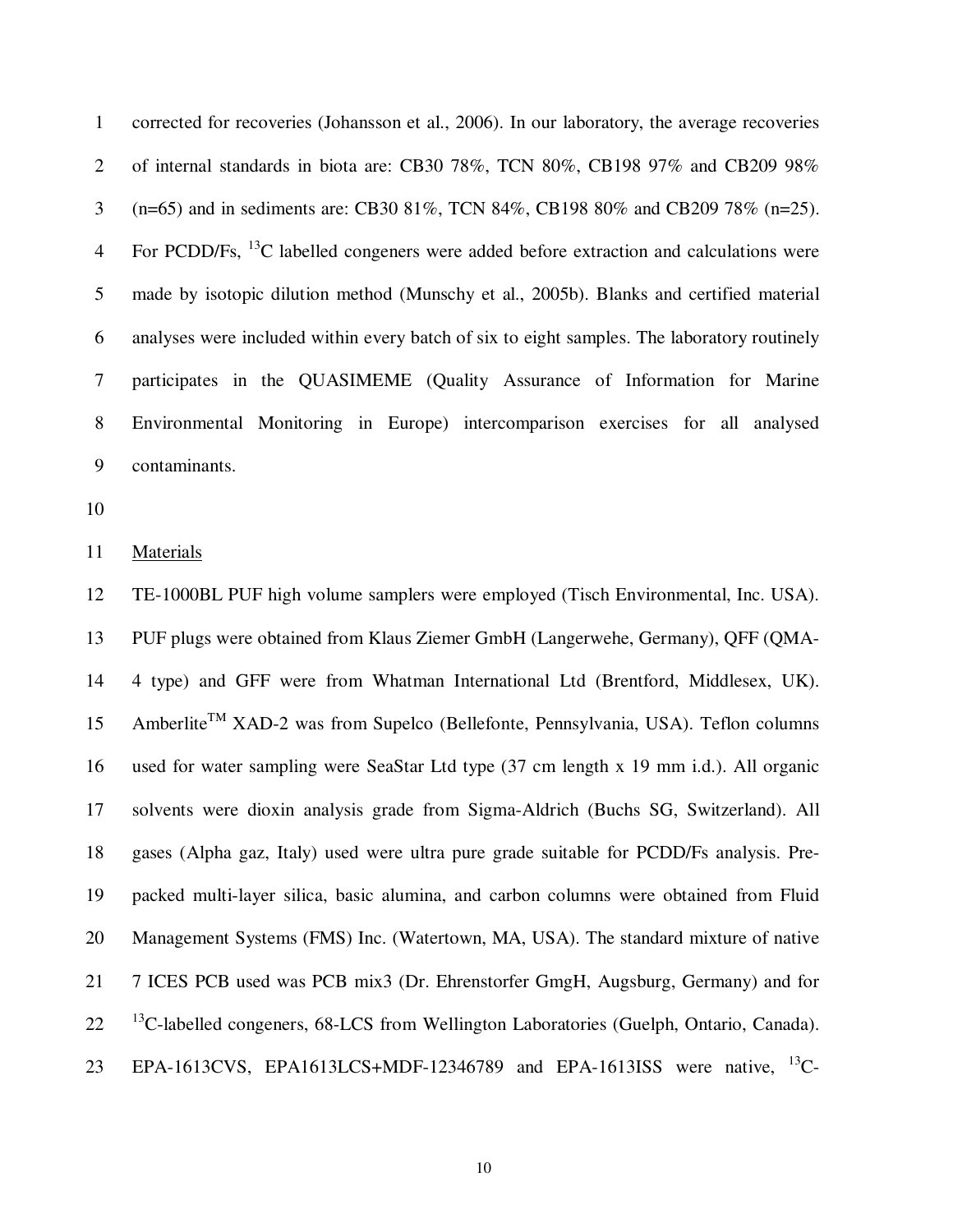1 corrected for recoveries (Johansson et al., 2006). In our laboratory, the average recoveries 2 of internal standards in biota are: CB30 78%, TCN 80%, CB198 97% and CB209 98% 3 (n=65) and in sediments are: CB30 81%, TCN 84%, CB198 80% and CB209 78% (n=25). 4 For PCDD/Fs,  $^{13}$ C labelled congeners were added before extraction and calculations were 5 made by isotopic dilution method (Munschy et al., 2005b). Blanks and certified material 6 analyses were included within every batch of six to eight samples. The laboratory routinely 7 participates in the QUASIMEME (Quality Assurance of Information for Marine 8 Environmental Monitoring in Europe) intercomparison exercises for all analysed 9 contaminants.

10

11 Materials

12 TE-1000BL PUF high volume samplers were employed (Tisch Environmental, Inc. USA). 13 PUF plugs were obtained from Klaus Ziemer GmbH (Langerwehe, Germany), QFF (QMA-14 4 type) and GFF were from Whatman International Ltd (Brentford, Middlesex, UK). 15 Amberlite<sup>TM</sup> XAD-2 was from Supelco (Bellefonte, Pennsylvania, USA). Teflon columns 16 used for water sampling were SeaStar Ltd type (37 cm length x 19 mm i.d.). All organic 17 solvents were dioxin analysis grade from Sigma-Aldrich (Buchs SG, Switzerland). All 18 gases (Alpha gaz, Italy) used were ultra pure grade suitable for PCDD/Fs analysis. Pre-19 packed multi-layer silica, basic alumina, and carbon columns were obtained from Fluid 20 Management Systems (FMS) Inc. (Watertown, MA, USA). The standard mixture of native 21 7 ICES PCB used was PCB mix3 (Dr. Ehrenstorfer GmgH, Augsburg, Germany) and for  $13$ <sup>13</sup> C-labelled congeners, 68-LCS from Wellington Laboratories (Guelph, Ontario, Canada). 23 EPA-1613CVS, EPA1613LCS+MDF-12346789 and EPA-1613ISS were native, <sup>13</sup>C-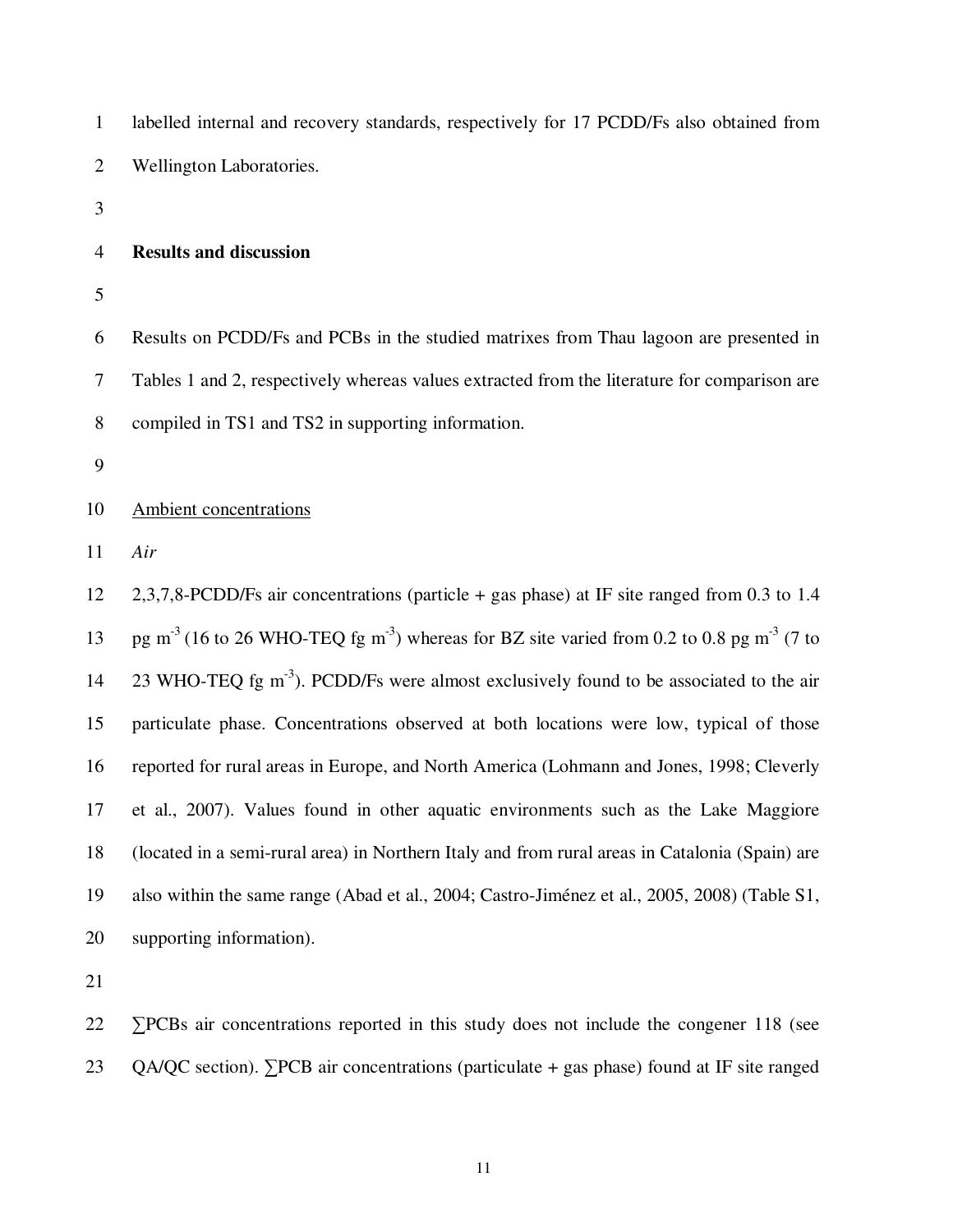| $\mathbf{1}$   | labelled internal and recovery standards, respectively for 17 PCDD/Fs also obtained from                                      |
|----------------|-------------------------------------------------------------------------------------------------------------------------------|
| $\overline{2}$ | Wellington Laboratories.                                                                                                      |
| 3              |                                                                                                                               |
| $\overline{4}$ | <b>Results and discussion</b>                                                                                                 |
| 5              |                                                                                                                               |
| 6              | Results on PCDD/Fs and PCBs in the studied matrixes from Thau lagoon are presented in                                         |
| $\tau$         | Tables 1 and 2, respectively whereas values extracted from the literature for comparison are                                  |
| $8\,$          | compiled in TS1 and TS2 in supporting information.                                                                            |
| 9              |                                                                                                                               |
| 10             | Ambient concentrations                                                                                                        |
| 11             | Air                                                                                                                           |
| 12             | 2,3,7,8-PCDD/Fs air concentrations (particle $+$ gas phase) at IF site ranged from 0.3 to 1.4                                 |
| 13             | pg m <sup>-3</sup> (16 to 26 WHO-TEQ fg m <sup>-3</sup> ) whereas for BZ site varied from 0.2 to 0.8 pg m <sup>-3</sup> (7 to |
| 14             | 23 WHO-TEQ fg m <sup>-3</sup> ). PCDD/Fs were almost exclusively found to be associated to the air                            |
| 15             | particulate phase. Concentrations observed at both locations were low, typical of those                                       |
| 16             | reported for rural areas in Europe, and North America (Lohmann and Jones, 1998; Cleverly                                      |
| 17             | et al., 2007). Values found in other aquatic environments such as the Lake Maggiore                                           |
| 18             | (located in a semi-rural area) in Northern Italy and from rural areas in Catalonia (Spain) are                                |
| 19             | also within the same range (Abad et al., 2004; Castro-Jiménez et al., 2005, 2008) (Table S1,                                  |
| 20             | supporting information).                                                                                                      |
| 21             |                                                                                                                               |
| 22             | $\Sigma$ PCBs air concentrations reported in this study does not include the congener 118 (see                                |

23 QA/QC section). ∑PCB air concentrations (particulate + gas phase) found at IF site ranged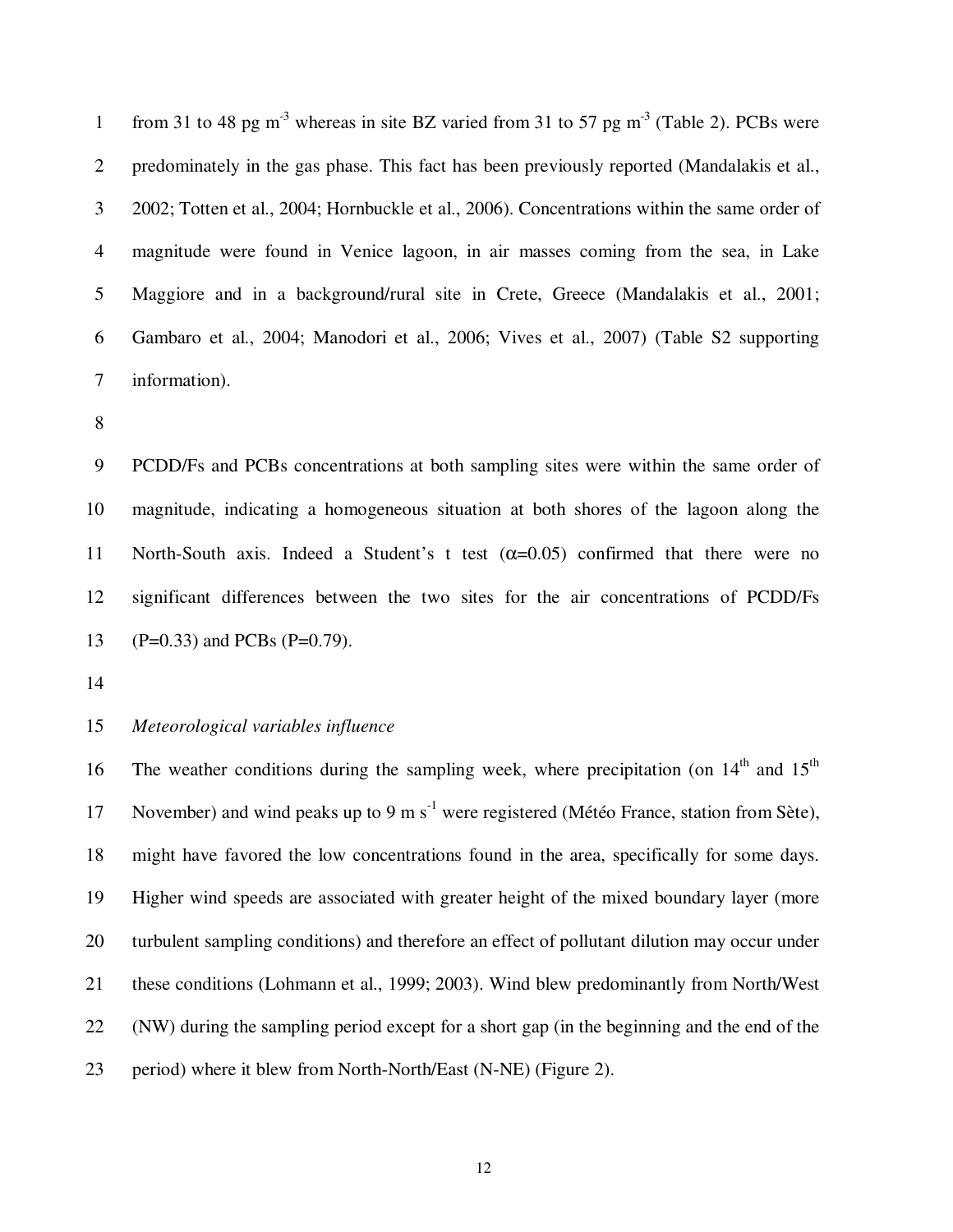from 31 to 48 pg m<sup>-3</sup> whereas in site BZ varied from 31 to 57 pg m<sup>-3</sup> (Table 2). PCBs were 2 predominately in the gas phase. This fact has been previously reported (Mandalakis et al., 3 2002; Totten et al., 2004; Hornbuckle et al., 2006). Concentrations within the same order of 4 magnitude were found in Venice lagoon, in air masses coming from the sea, in Lake 5 Maggiore and in a background/rural site in Crete, Greece (Mandalakis et al., 2001; 6 Gambaro et al., 2004; Manodori et al., 2006; Vives et al., 2007) (Table S2 supporting 7 information).

8

9 PCDD/Fs and PCBs concentrations at both sampling sites were within the same order of 10 magnitude, indicating a homogeneous situation at both shores of the lagoon along the 11 North-South axis. Indeed a Student's t test  $(\alpha=0.05)$  confirmed that there were no 12 significant differences between the two sites for the air concentrations of PCDD/Fs 13 (P=0.33) and PCBs (P=0.79).

14

# 15 *Meteorological variables influence*

16 The weather conditions during the sampling week, where precipitation (on  $14<sup>th</sup>$  and  $15<sup>th</sup>$ 17 November) and wind peaks up to 9 m  $s^{-1}$  were registered (Météo France, station from Sète), 18 might have favored the low concentrations found in the area, specifically for some days. 19 Higher wind speeds are associated with greater height of the mixed boundary layer (more 20 turbulent sampling conditions) and therefore an effect of pollutant dilution may occur under 21 these conditions (Lohmann et al., 1999; 2003). Wind blew predominantly from North/West 22 (NW) during the sampling period except for a short gap (in the beginning and the end of the 23 period) where it blew from North-North/East (N-NE) (Figure 2).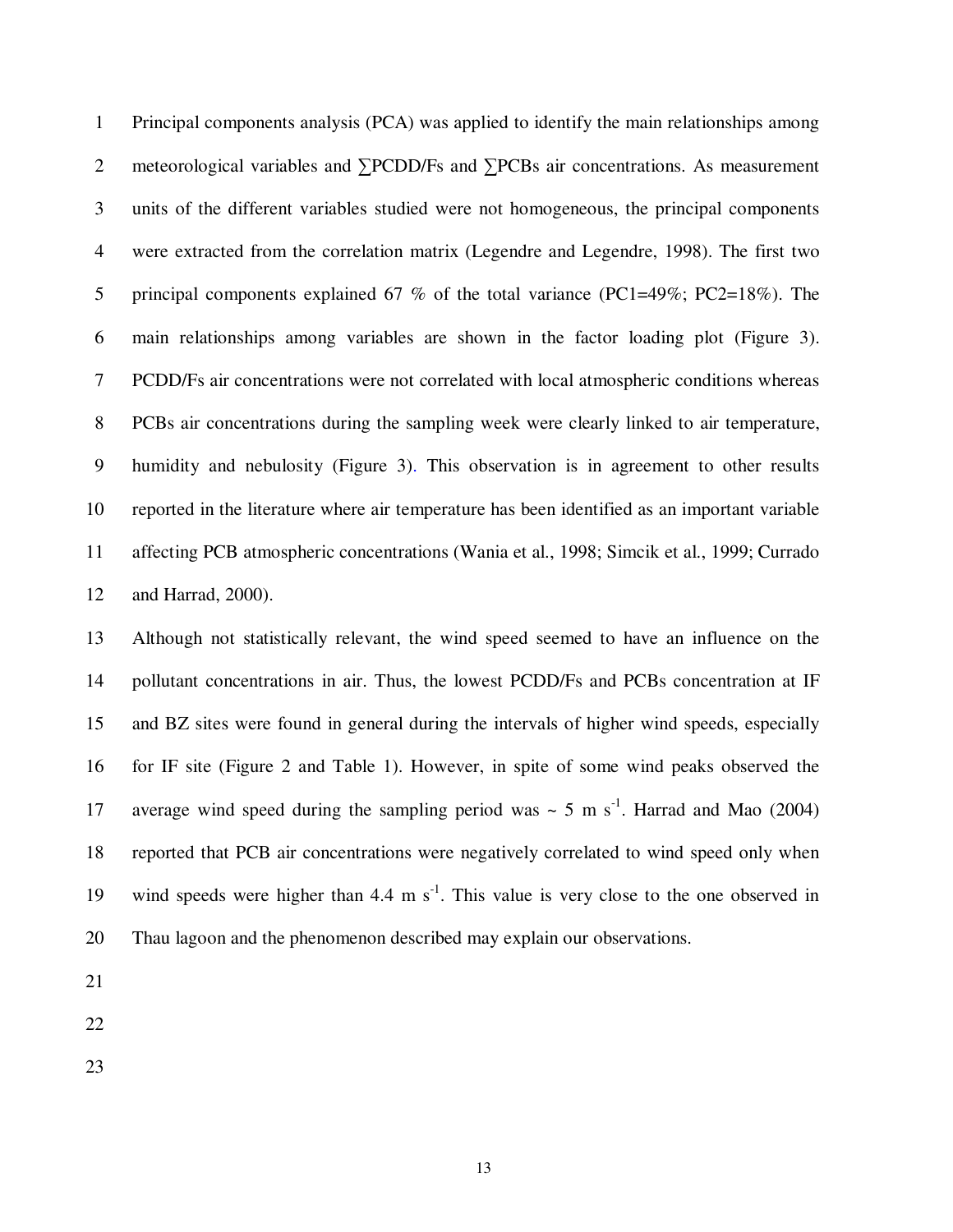1 Principal components analysis (PCA) was applied to identify the main relationships among 2 meteorological variables and ∑PCDD/Fs and ∑PCBs air concentrations. As measurement 3 units of the different variables studied were not homogeneous, the principal components 4 were extracted from the correlation matrix (Legendre and Legendre, 1998). The first two 5 principal components explained 67 % of the total variance (PC1=49%; PC2=18%). The 6 main relationships among variables are shown in the factor loading plot (Figure 3). 7 PCDD/Fs air concentrations were not correlated with local atmospheric conditions whereas 8 PCBs air concentrations during the sampling week were clearly linked to air temperature, 9 humidity and nebulosity (Figure 3). This observation is in agreement to other results 10 reported in the literature where air temperature has been identified as an important variable 11 affecting PCB atmospheric concentrations (Wania et al., 1998; Simcik et al., 1999; Currado 12 and Harrad, 2000).

13 Although not statistically relevant, the wind speed seemed to have an influence on the 14 pollutant concentrations in air. Thus, the lowest PCDD/Fs and PCBs concentration at IF 15 and BZ sites were found in general during the intervals of higher wind speeds, especially 16 for IF site (Figure 2 and Table 1). However, in spite of some wind peaks observed the 17 average wind speed during the sampling period was  $\sim$  5 m s<sup>-1</sup>. Harrad and Mao (2004) 18 reported that PCB air concentrations were negatively correlated to wind speed only when 19 wind speeds were higher than 4.4 m  $s^{-1}$ . This value is very close to the one observed in 20 Thau lagoon and the phenomenon described may explain our observations.

21

22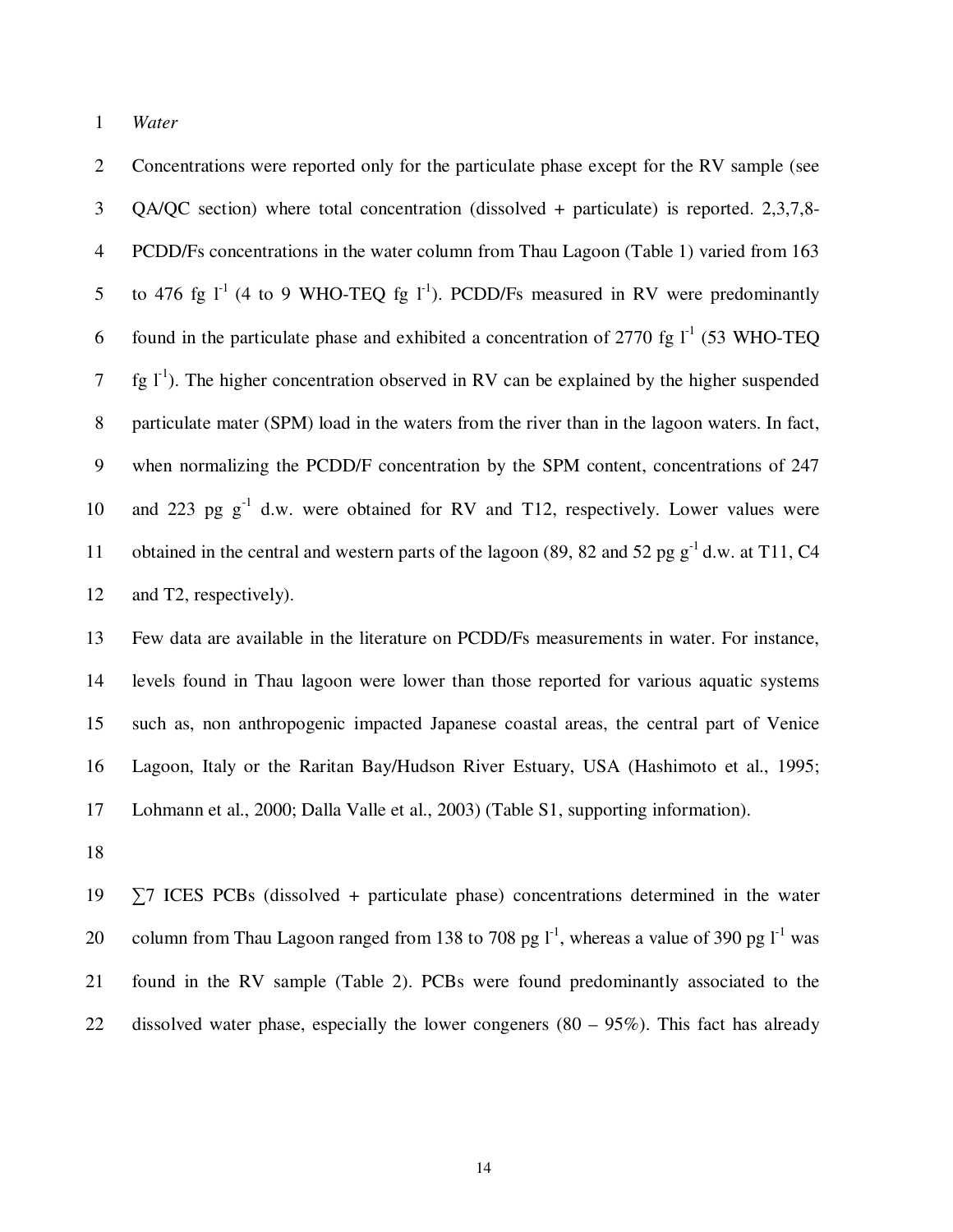1 *Water* 

2 Concentrations were reported only for the particulate phase except for the RV sample (see 3 QA/QC section) where total concentration (dissolved + particulate) is reported. 2,3,7,8- 4 PCDD/Fs concentrations in the water column from Thau Lagoon (Table 1) varied from 163 5 to 476 fg  $I^1$  (4 to 9 WHO-TEQ fg  $I^1$ ). PCDD/Fs measured in RV were predominantly 6 found in the particulate phase and exhibited a concentration of 2770 fg  $I^1$  (53 WHO-TEO 7  $\{fg\}$ . The higher concentration observed in RV can be explained by the higher suspended 8 particulate mater (SPM) load in the waters from the river than in the lagoon waters. In fact, 9 when normalizing the PCDD/F concentration by the SPM content, concentrations of 247 10 and 223 pg  $g^{-1}$  d.w. were obtained for RV and T12, respectively. Lower values were 11 obtained in the central and western parts of the lagoon (89, 82 and 52 pg  $g^{-1}$  d.w. at T11, C4 12 and T2, respectively).

13 Few data are available in the literature on PCDD/Fs measurements in water. For instance, 14 levels found in Thau lagoon were lower than those reported for various aquatic systems 15 such as, non anthropogenic impacted Japanese coastal areas, the central part of Venice 16 Lagoon, Italy or the Raritan Bay/Hudson River Estuary, USA (Hashimoto et al., 1995; 17 Lohmann et al., 2000; Dalla Valle et al., 2003) (Table S1, supporting information).

18

19 ∑7 ICES PCBs (dissolved + particulate phase) concentrations determined in the water 20 column from Thau Lagoon ranged from 138 to 708 pg  $I<sup>-1</sup>$ , whereas a value of 390 pg  $I<sup>-1</sup>$  was 21 found in the RV sample (Table 2). PCBs were found predominantly associated to the 22 dissolved water phase, especially the lower congeners  $(80 - 95\%)$ . This fact has already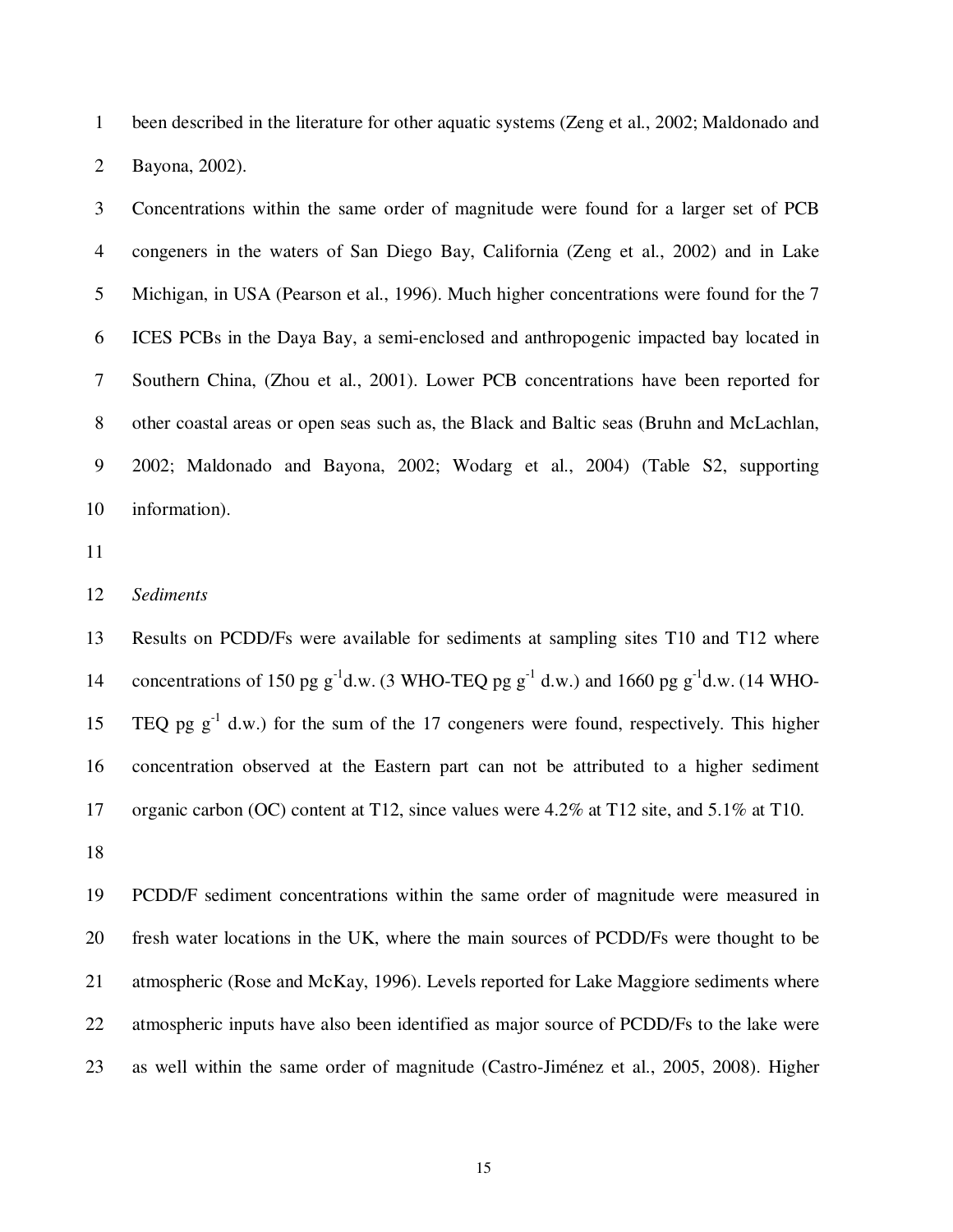1 been described in the literature for other aquatic systems (Zeng et al., 2002; Maldonado and 2 Bayona, 2002).

3 Concentrations within the same order of magnitude were found for a larger set of PCB 4 congeners in the waters of San Diego Bay, California (Zeng et al., 2002) and in Lake 5 Michigan, in USA (Pearson et al., 1996). Much higher concentrations were found for the 7 6 ICES PCBs in the Daya Bay, a semi-enclosed and anthropogenic impacted bay located in 7 Southern China, (Zhou et al., 2001). Lower PCB concentrations have been reported for 8 other coastal areas or open seas such as, the Black and Baltic seas (Bruhn and McLachlan, 9 2002; Maldonado and Bayona, 2002; Wodarg et al., 2004) (Table S2, supporting 10 information).

11

# 12 *Sediments*

13 Results on PCDD/Fs were available for sediments at sampling sites T10 and T12 where 14 concentrations of 150 pg  $g^{-1}$ d.w. (3 WHO-TEQ pg  $g^{-1}$ d.w.) and 1660 pg  $g^{-1}$ d.w. (14 WHO-TEQ pg  $g^{-1}$  d.w.) for the sum of the 17 congeners were found, respectively. This higher 16 concentration observed at the Eastern part can not be attributed to a higher sediment 17 organic carbon (OC) content at T12, since values were 4.2% at T12 site, and 5.1% at T10.

18

19 PCDD/F sediment concentrations within the same order of magnitude were measured in 20 fresh water locations in the UK, where the main sources of PCDD/Fs were thought to be 21 atmospheric (Rose and McKay, 1996). Levels reported for Lake Maggiore sediments where 22 atmospheric inputs have also been identified as major source of PCDD/Fs to the lake were 23 as well within the same order of magnitude (Castro-Jiménez et al., 2005, 2008). Higher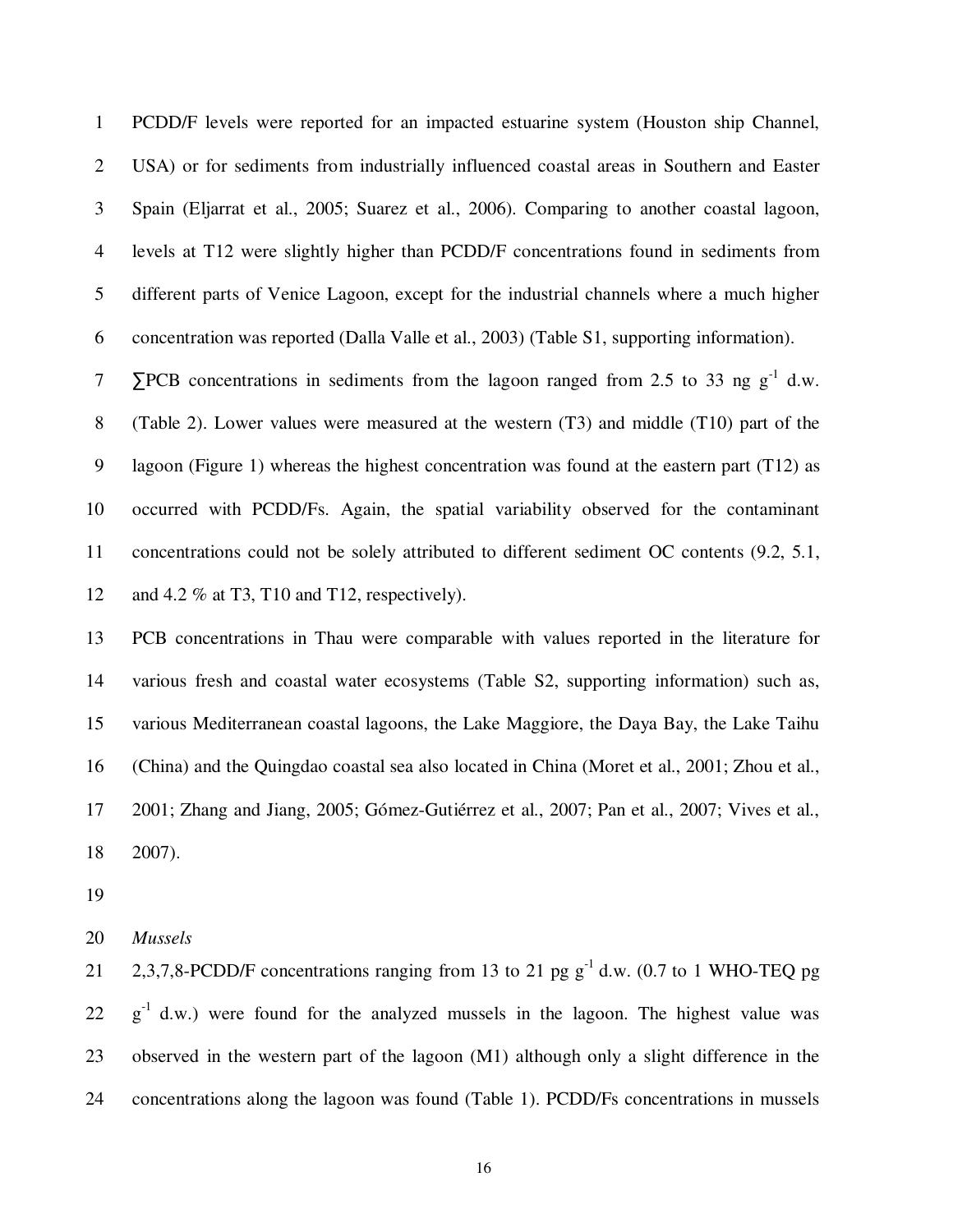1 PCDD/F levels were reported for an impacted estuarine system (Houston ship Channel, 2 USA) or for sediments from industrially influenced coastal areas in Southern and Easter 3 Spain (Eljarrat et al., 2005; Suarez et al., 2006). Comparing to another coastal lagoon, 4 levels at T12 were slightly higher than PCDD/F concentrations found in sediments from 5 different parts of Venice Lagoon, except for the industrial channels where a much higher 6 concentration was reported (Dalla Valle et al., 2003) (Table S1, supporting information).

 $7\qquad$   $\blacktriangleright$  PCB concentrations in sediments from the lagoon ranged from 2.5 to 33 ng g<sup>-1</sup> d.w. 8 (Table 2). Lower values were measured at the western (T3) and middle (T10) part of the 9 lagoon (Figure 1) whereas the highest concentration was found at the eastern part (T12) as 10 occurred with PCDD/Fs. Again, the spatial variability observed for the contaminant 11 concentrations could not be solely attributed to different sediment OC contents (9.2, 5.1, 12 and 4.2 % at T3, T10 and T12, respectively).

13 PCB concentrations in Thau were comparable with values reported in the literature for 14 various fresh and coastal water ecosystems (Table S2, supporting information) such as, 15 various Mediterranean coastal lagoons, the Lake Maggiore, the Daya Bay, the Lake Taihu 16 (China) and the Quingdao coastal sea also located in China (Moret et al., 2001; Zhou et al., 17 2001; Zhang and Jiang, 2005; Gómez-Gutiérrez et al., 2007; Pan et al., 2007; Vives et al., 18 2007).

19

20 *Mussels* 

2,3,7,8-PCDD/F concentrations ranging from 13 to 21 pg  $g^{-1}$  d.w. (0.7 to 1 WHO-TEQ pg  $22 \text{ g}^{-1}$  d.w.) were found for the analyzed mussels in the lagoon. The highest value was 23 observed in the western part of the lagoon (M1) although only a slight difference in the 24 concentrations along the lagoon was found (Table 1). PCDD/Fs concentrations in mussels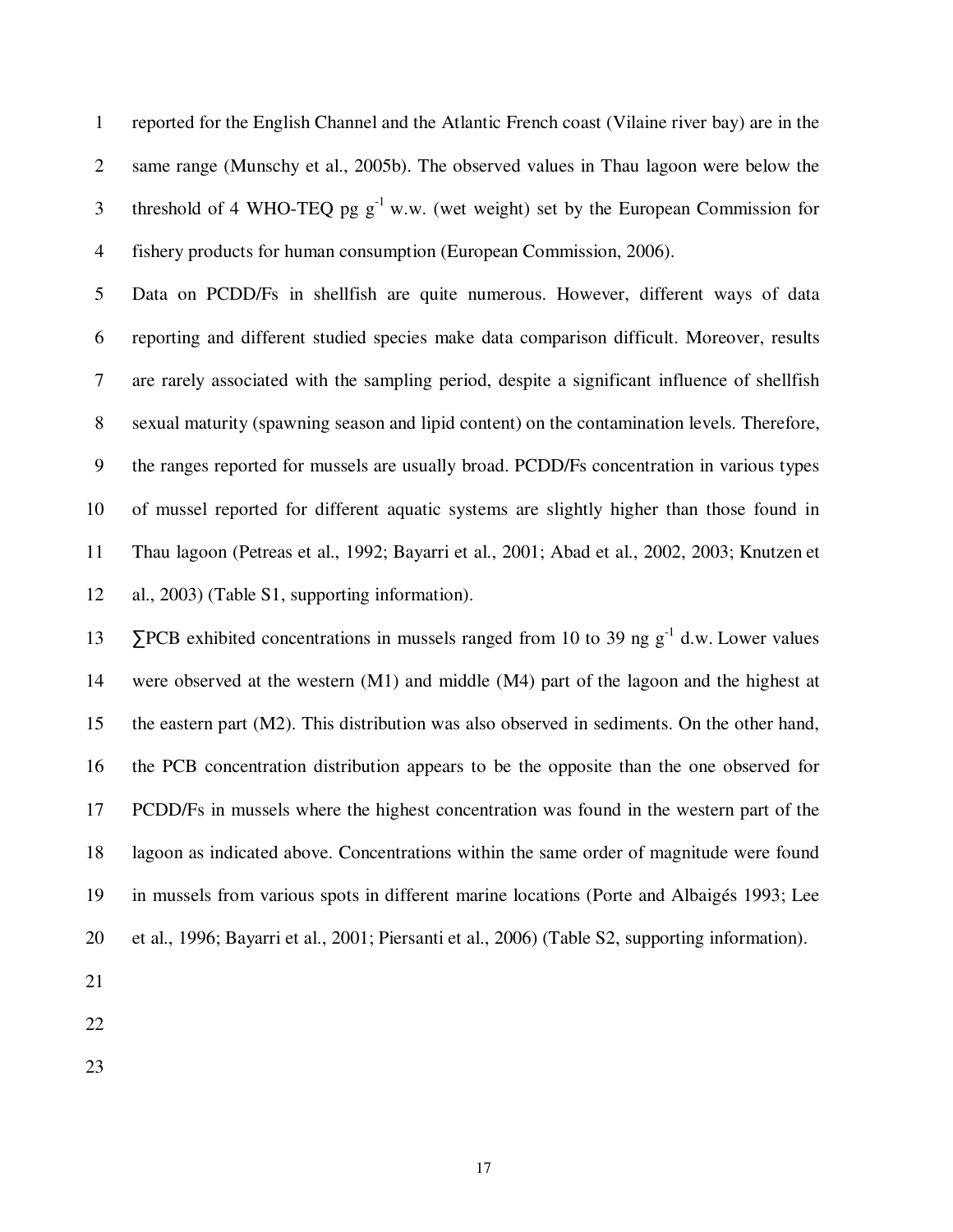1 reported for the English Channel and the Atlantic French coast (Vilaine river bay) are in the 2 same range (Munschy et al., 2005b). The observed values in Thau lagoon were below the threshold of 4 WHO-TEQ pg  $g^{-1}$  w.w. (wet weight) set by the European Commission for 4 fishery products for human consumption (European Commission, 2006).

5 Data on PCDD/Fs in shellfish are quite numerous. However, different ways of data 6 reporting and different studied species make data comparison difficult. Moreover, results 7 are rarely associated with the sampling period, despite a significant influence of shellfish 8 sexual maturity (spawning season and lipid content) on the contamination levels. Therefore, 9 the ranges reported for mussels are usually broad. PCDD/Fs concentration in various types 10 of mussel reported for different aquatic systems are slightly higher than those found in 11 Thau lagoon (Petreas et al., 1992; Bayarri et al., 2001; Abad et al., 2002, 2003; Knutzen et 12 al., 2003) (Table S1, supporting information).

13 ∑PCB exhibited concentrations in mussels ranged from 10 to 39 ng  $g^{-1}$  d.w. Lower values 14 were observed at the western (M1) and middle (M4) part of the lagoon and the highest at 15 the eastern part (M2). This distribution was also observed in sediments. On the other hand, 16 the PCB concentration distribution appears to be the opposite than the one observed for 17 PCDD/Fs in mussels where the highest concentration was found in the western part of the 18 lagoon as indicated above. Concentrations within the same order of magnitude were found 19 in mussels from various spots in different marine locations (Porte and Albaigés 1993; Lee 20 et al., 1996; Bayarri et al., 2001; Piersanti et al., 2006) (Table S2, supporting information).

21

22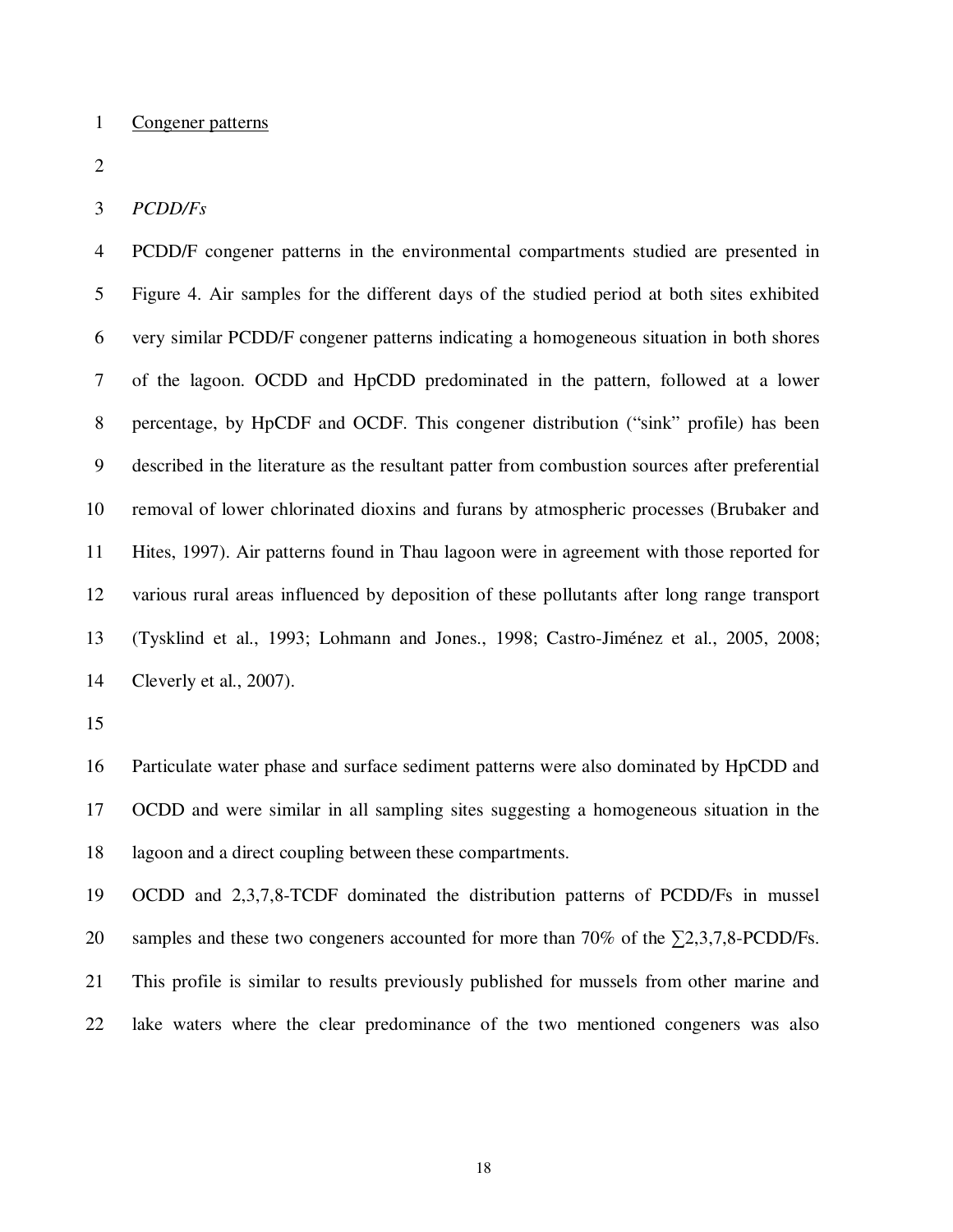### 1 Congener patterns

2

## 3 *PCDD/Fs*

4 PCDD/F congener patterns in the environmental compartments studied are presented in 5 Figure 4. Air samples for the different days of the studied period at both sites exhibited 6 very similar PCDD/F congener patterns indicating a homogeneous situation in both shores 7 of the lagoon. OCDD and HpCDD predominated in the pattern, followed at a lower 8 percentage, by HpCDF and OCDF. This congener distribution ("sink" profile) has been 9 described in the literature as the resultant patter from combustion sources after preferential 10 removal of lower chlorinated dioxins and furans by atmospheric processes (Brubaker and 11 Hites, 1997). Air patterns found in Thau lagoon were in agreement with those reported for 12 various rural areas influenced by deposition of these pollutants after long range transport 13 (Tysklind et al., 1993; Lohmann and Jones., 1998; Castro-Jiménez et al., 2005, 2008; 14 Cleverly et al., 2007).

15

16 Particulate water phase and surface sediment patterns were also dominated by HpCDD and 17 OCDD and were similar in all sampling sites suggesting a homogeneous situation in the 18 lagoon and a direct coupling between these compartments.

19 OCDD and 2,3,7,8-TCDF dominated the distribution patterns of PCDD/Fs in mussel 20 samples and these two congeners accounted for more than 70% of the  $\Sigma$ 2,3,7,8-PCDD/Fs. 21 This profile is similar to results previously published for mussels from other marine and 22 lake waters where the clear predominance of the two mentioned congeners was also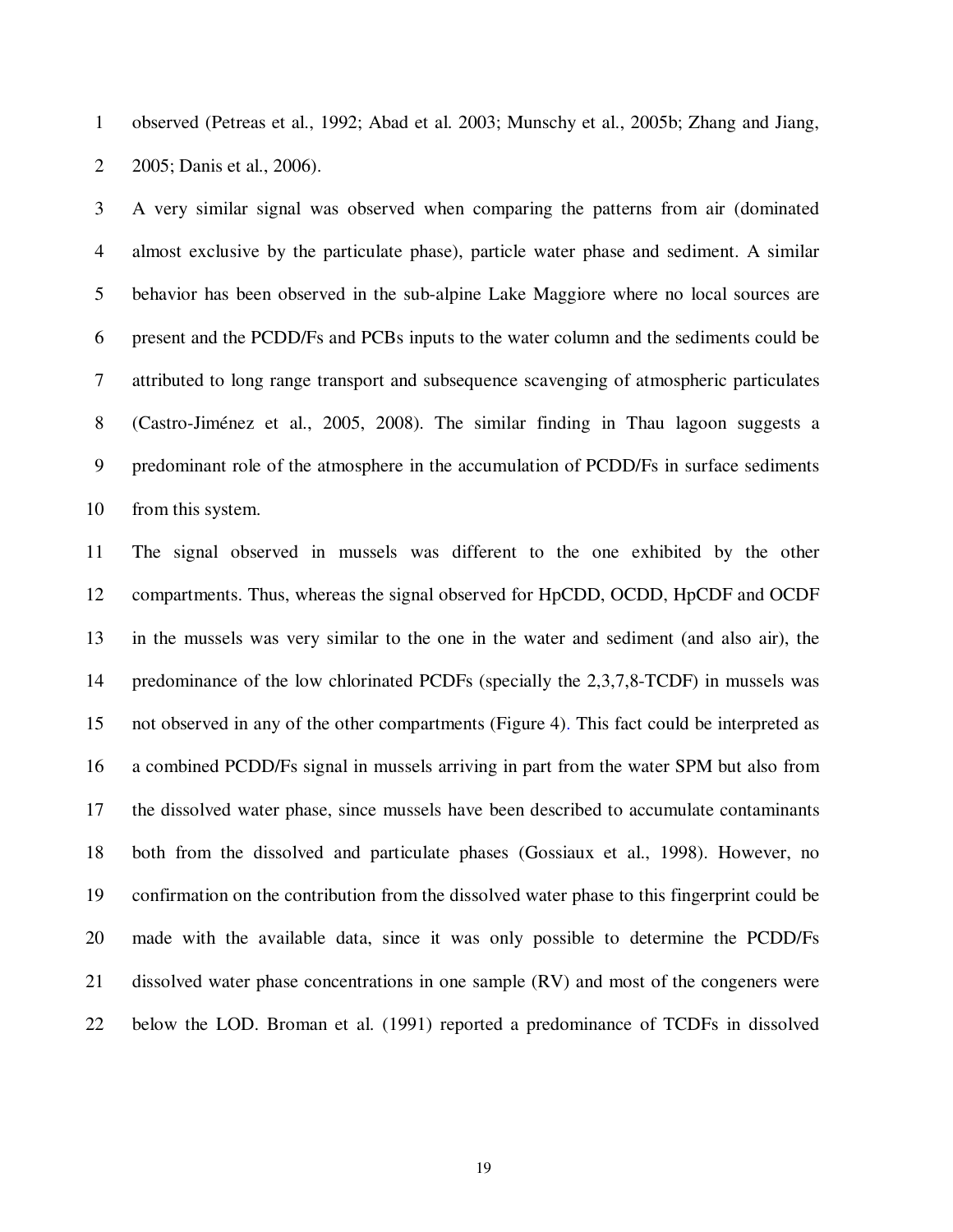1 observed (Petreas et al., 1992; Abad et al. 2003; Munschy et al., 2005b; Zhang and Jiang, 2 2005; Danis et al., 2006).

3 A very similar signal was observed when comparing the patterns from air (dominated 4 almost exclusive by the particulate phase), particle water phase and sediment. A similar 5 behavior has been observed in the sub-alpine Lake Maggiore where no local sources are 6 present and the PCDD/Fs and PCBs inputs to the water column and the sediments could be 7 attributed to long range transport and subsequence scavenging of atmospheric particulates 8 (Castro-Jiménez et al., 2005, 2008). The similar finding in Thau lagoon suggests a 9 predominant role of the atmosphere in the accumulation of PCDD/Fs in surface sediments 10 from this system.

11 The signal observed in mussels was different to the one exhibited by the other 12 compartments. Thus, whereas the signal observed for HpCDD, OCDD, HpCDF and OCDF 13 in the mussels was very similar to the one in the water and sediment (and also air), the 14 predominance of the low chlorinated PCDFs (specially the 2,3,7,8-TCDF) in mussels was 15 not observed in any of the other compartments (Figure 4). This fact could be interpreted as 16 a combined PCDD/Fs signal in mussels arriving in part from the water SPM but also from 17 the dissolved water phase, since mussels have been described to accumulate contaminants 18 both from the dissolved and particulate phases (Gossiaux et al., 1998). However, no 19 confirmation on the contribution from the dissolved water phase to this fingerprint could be 20 made with the available data, since it was only possible to determine the PCDD/Fs 21 dissolved water phase concentrations in one sample (RV) and most of the congeners were 22 below the LOD. Broman et al. (1991) reported a predominance of TCDFs in dissolved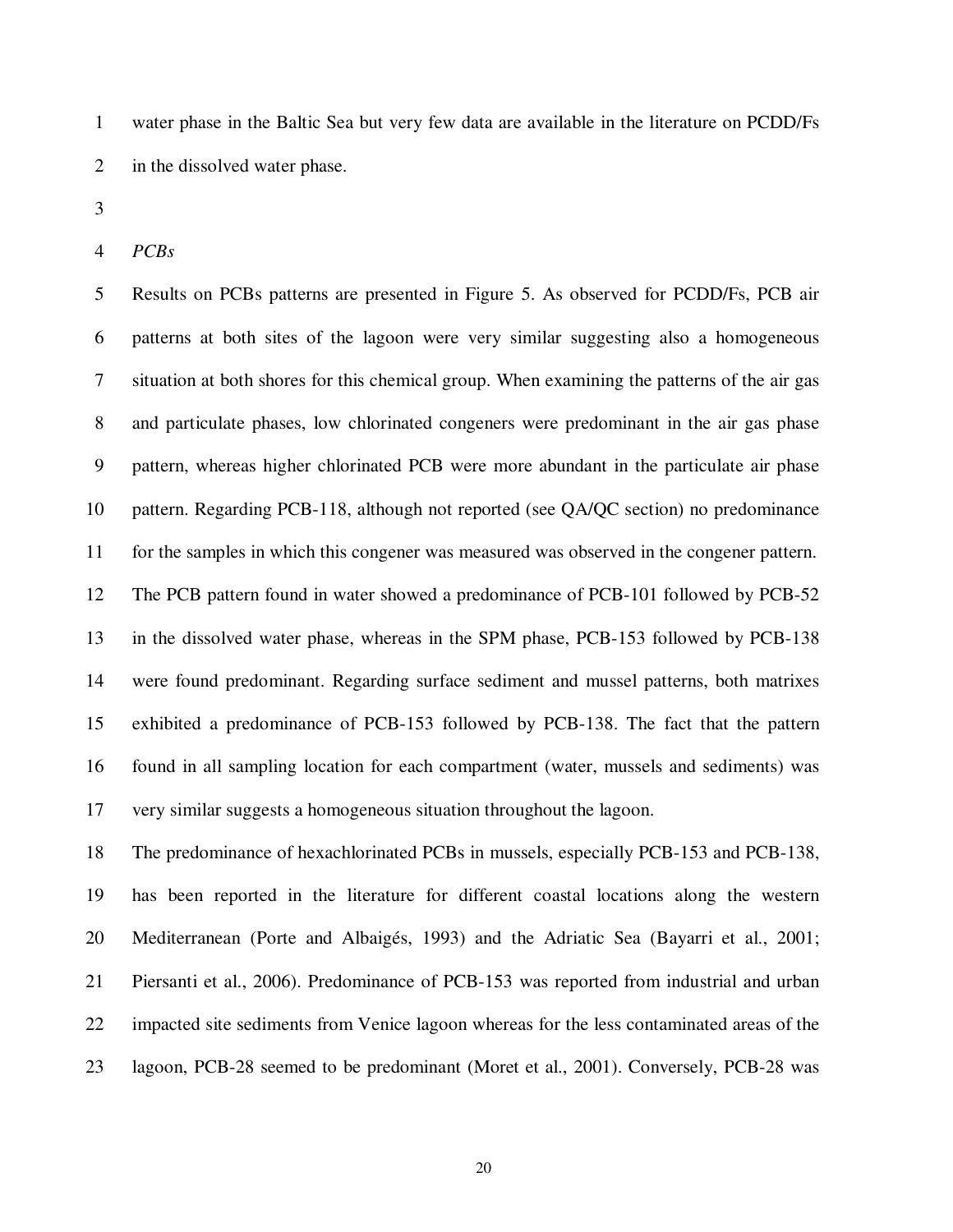1 water phase in the Baltic Sea but very few data are available in the literature on PCDD/Fs 2 in the dissolved water phase.

3

4 *PCBs* 

5 Results on PCBs patterns are presented in Figure 5. As observed for PCDD/Fs, PCB air 6 patterns at both sites of the lagoon were very similar suggesting also a homogeneous 7 situation at both shores for this chemical group. When examining the patterns of the air gas 8 and particulate phases, low chlorinated congeners were predominant in the air gas phase 9 pattern, whereas higher chlorinated PCB were more abundant in the particulate air phase 10 pattern. Regarding PCB-118, although not reported (see QA/QC section) no predominance 11 for the samples in which this congener was measured was observed in the congener pattern. 12 The PCB pattern found in water showed a predominance of PCB-101 followed by PCB-52 13 in the dissolved water phase, whereas in the SPM phase, PCB-153 followed by PCB-138 14 were found predominant. Regarding surface sediment and mussel patterns, both matrixes 15 exhibited a predominance of PCB-153 followed by PCB-138. The fact that the pattern 16 found in all sampling location for each compartment (water, mussels and sediments) was 17 very similar suggests a homogeneous situation throughout the lagoon.

18 The predominance of hexachlorinated PCBs in mussels, especially PCB-153 and PCB-138, 19 has been reported in the literature for different coastal locations along the western 20 Mediterranean (Porte and Albaigés, 1993) and the Adriatic Sea (Bayarri et al., 2001; 21 Piersanti et al., 2006). Predominance of PCB-153 was reported from industrial and urban 22 impacted site sediments from Venice lagoon whereas for the less contaminated areas of the 23 lagoon, PCB-28 seemed to be predominant (Moret et al., 2001). Conversely, PCB-28 was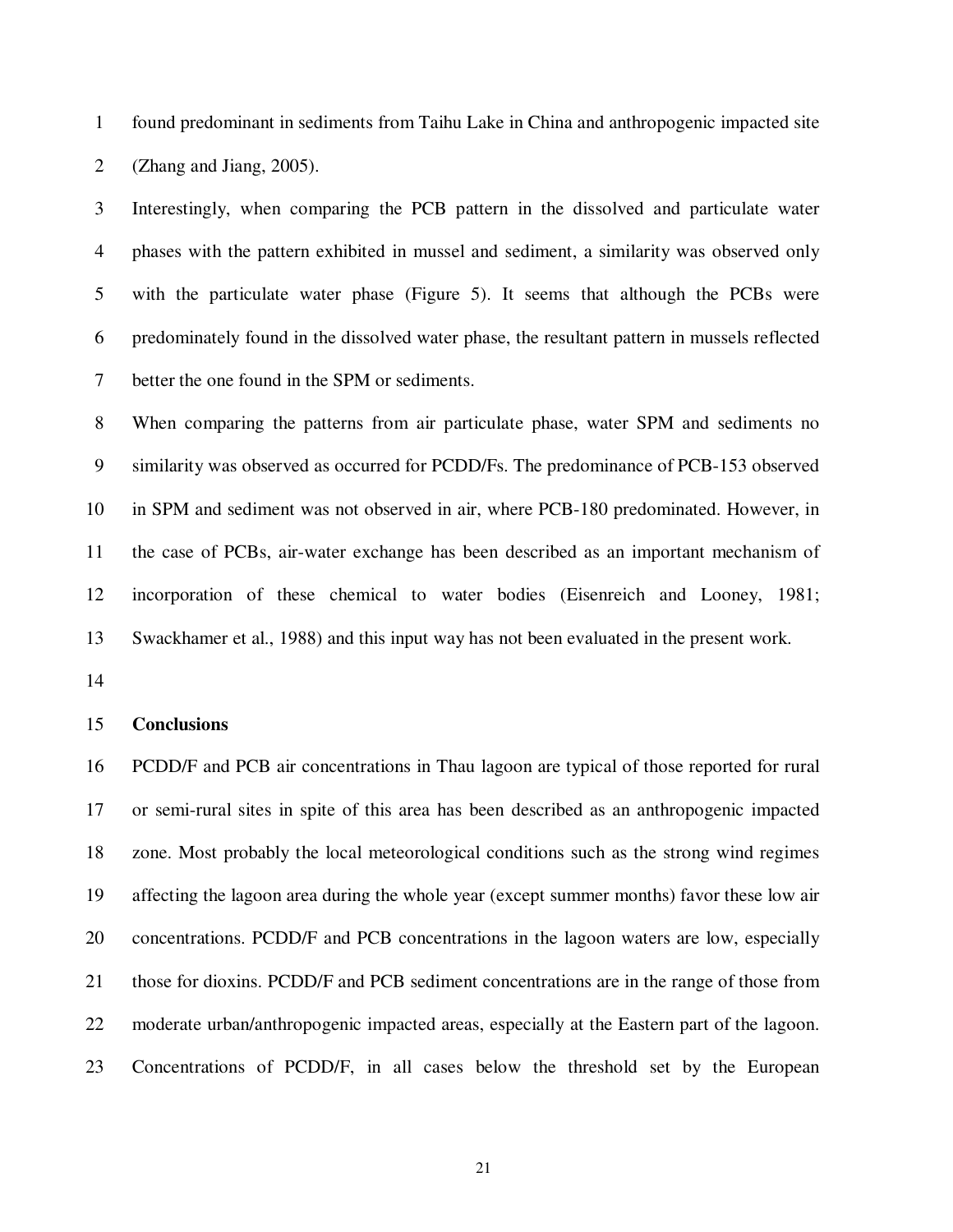1 found predominant in sediments from Taihu Lake in China and anthropogenic impacted site 2 (Zhang and Jiang, 2005).

3 Interestingly, when comparing the PCB pattern in the dissolved and particulate water 4 phases with the pattern exhibited in mussel and sediment, a similarity was observed only 5 with the particulate water phase (Figure 5). It seems that although the PCBs were 6 predominately found in the dissolved water phase, the resultant pattern in mussels reflected 7 better the one found in the SPM or sediments.

8 When comparing the patterns from air particulate phase, water SPM and sediments no 9 similarity was observed as occurred for PCDD/Fs. The predominance of PCB-153 observed 10 in SPM and sediment was not observed in air, where PCB-180 predominated. However, in 11 the case of PCBs, air-water exchange has been described as an important mechanism of 12 incorporation of these chemical to water bodies (Eisenreich and Looney, 1981; 13 Swackhamer et al., 1988) and this input way has not been evaluated in the present work.

14

#### 15 **Conclusions**

16 PCDD/F and PCB air concentrations in Thau lagoon are typical of those reported for rural 17 or semi-rural sites in spite of this area has been described as an anthropogenic impacted 18 zone. Most probably the local meteorological conditions such as the strong wind regimes 19 affecting the lagoon area during the whole year (except summer months) favor these low air 20 concentrations. PCDD/F and PCB concentrations in the lagoon waters are low, especially 21 those for dioxins. PCDD/F and PCB sediment concentrations are in the range of those from 22 moderate urban/anthropogenic impacted areas, especially at the Eastern part of the lagoon. 23 Concentrations of PCDD/F, in all cases below the threshold set by the European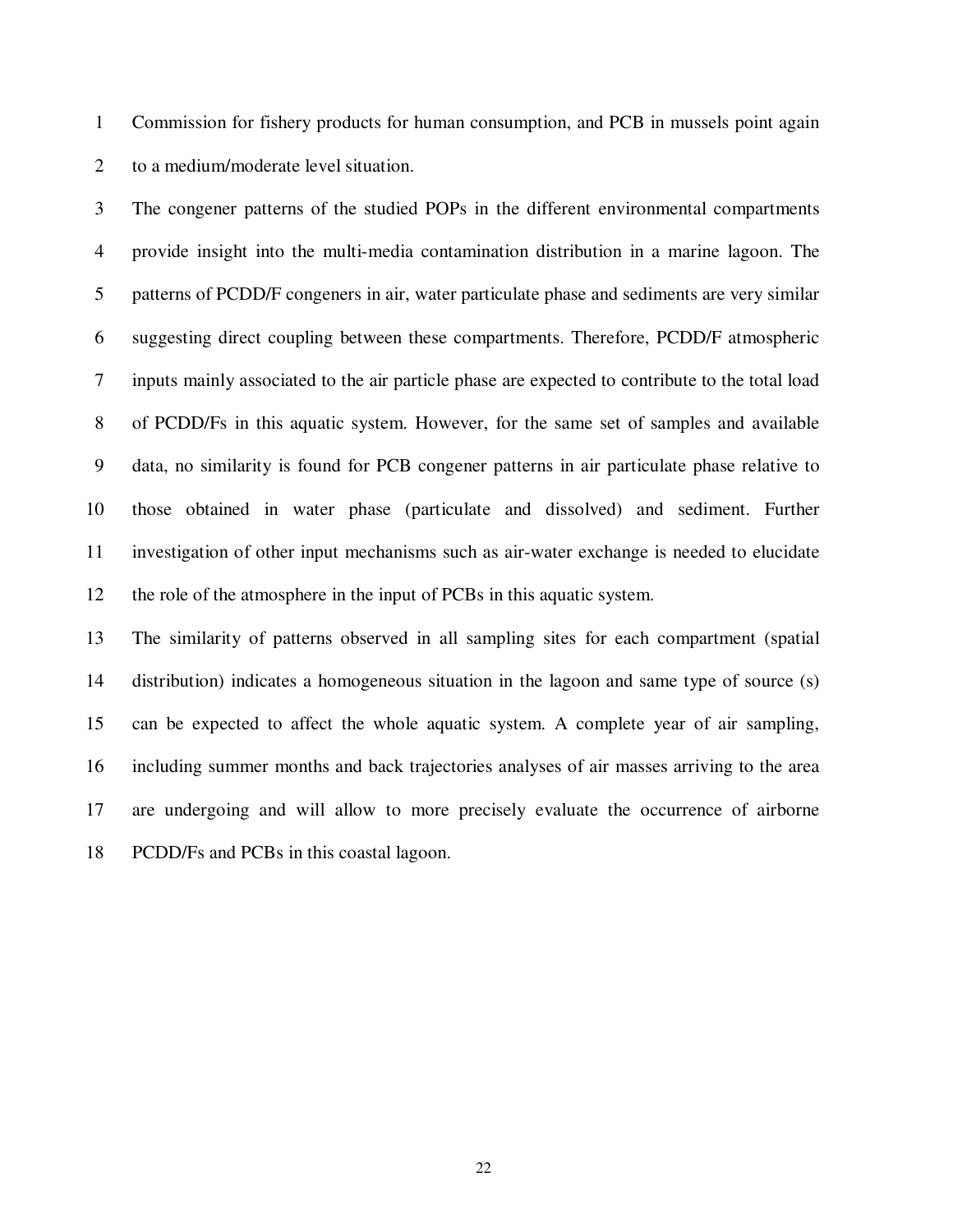1 Commission for fishery products for human consumption, and PCB in mussels point again 2 to a medium/moderate level situation.

3 The congener patterns of the studied POPs in the different environmental compartments 4 provide insight into the multi-media contamination distribution in a marine lagoon. The 5 patterns of PCDD/F congeners in air, water particulate phase and sediments are very similar 6 suggesting direct coupling between these compartments. Therefore, PCDD/F atmospheric 7 inputs mainly associated to the air particle phase are expected to contribute to the total load 8 of PCDD/Fs in this aquatic system. However, for the same set of samples and available 9 data, no similarity is found for PCB congener patterns in air particulate phase relative to 10 those obtained in water phase (particulate and dissolved) and sediment. Further 11 investigation of other input mechanisms such as air-water exchange is needed to elucidate 12 the role of the atmosphere in the input of PCBs in this aquatic system.

13 The similarity of patterns observed in all sampling sites for each compartment (spatial 14 distribution) indicates a homogeneous situation in the lagoon and same type of source (s) 15 can be expected to affect the whole aquatic system. A complete year of air sampling, 16 including summer months and back trajectories analyses of air masses arriving to the area 17 are undergoing and will allow to more precisely evaluate the occurrence of airborne 18 PCDD/Fs and PCBs in this coastal lagoon.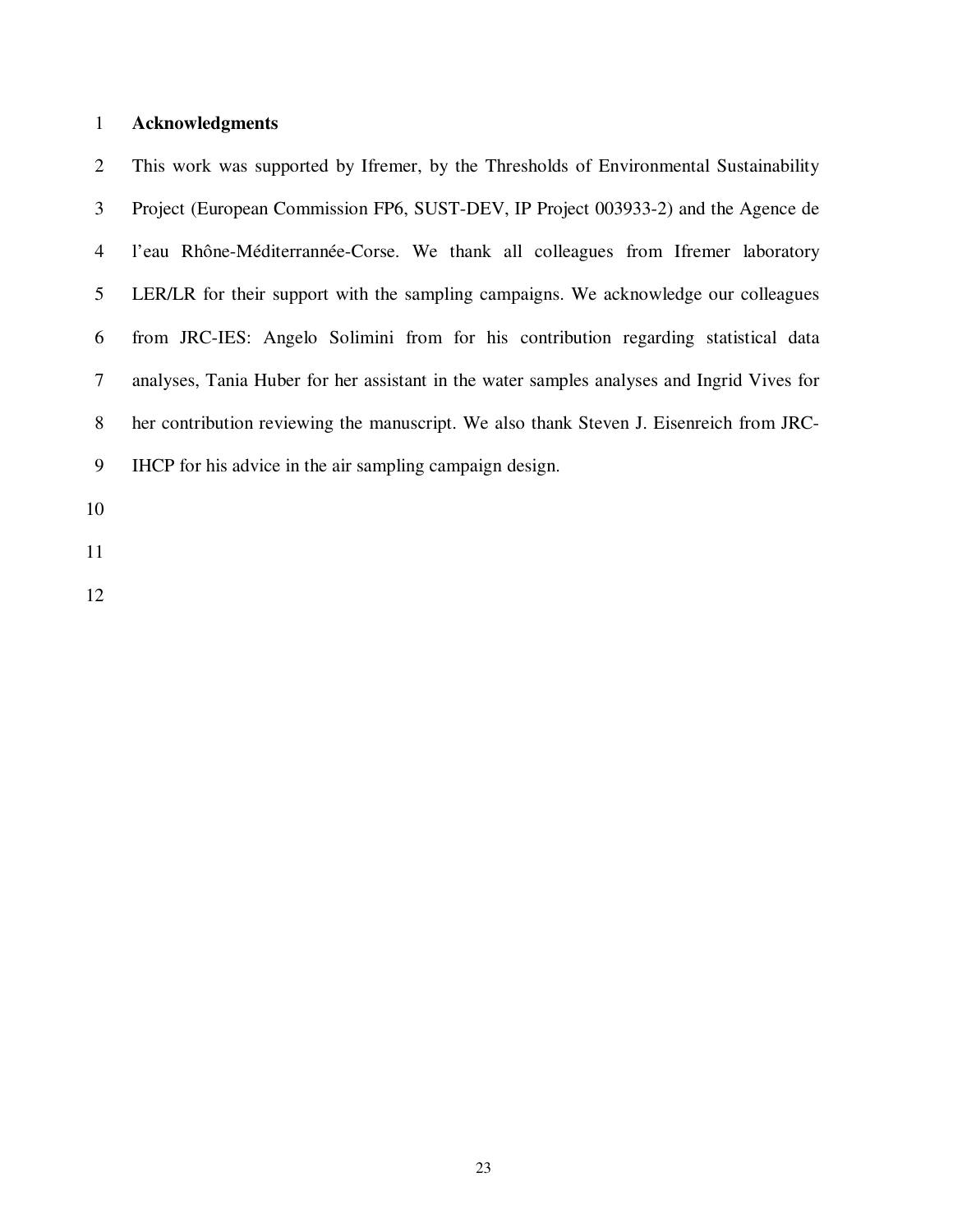## 1 **Acknowledgments**

2 This work was supported by Ifremer, by the Thresholds of Environmental Sustainability 3 Project (European Commission FP6, SUST-DEV, IP Project 003933-2) and the Agence de 4 l'eau Rhône-Méditerrannée-Corse. We thank all colleagues from Ifremer laboratory 5 LER/LR for their support with the sampling campaigns. We acknowledge our colleagues 6 from JRC-IES: Angelo Solimini from for his contribution regarding statistical data 7 analyses, Tania Huber for her assistant in the water samples analyses and Ingrid Vives for 8 her contribution reviewing the manuscript. We also thank Steven J. Eisenreich from JRC-9 IHCP for his advice in the air sampling campaign design.

10

11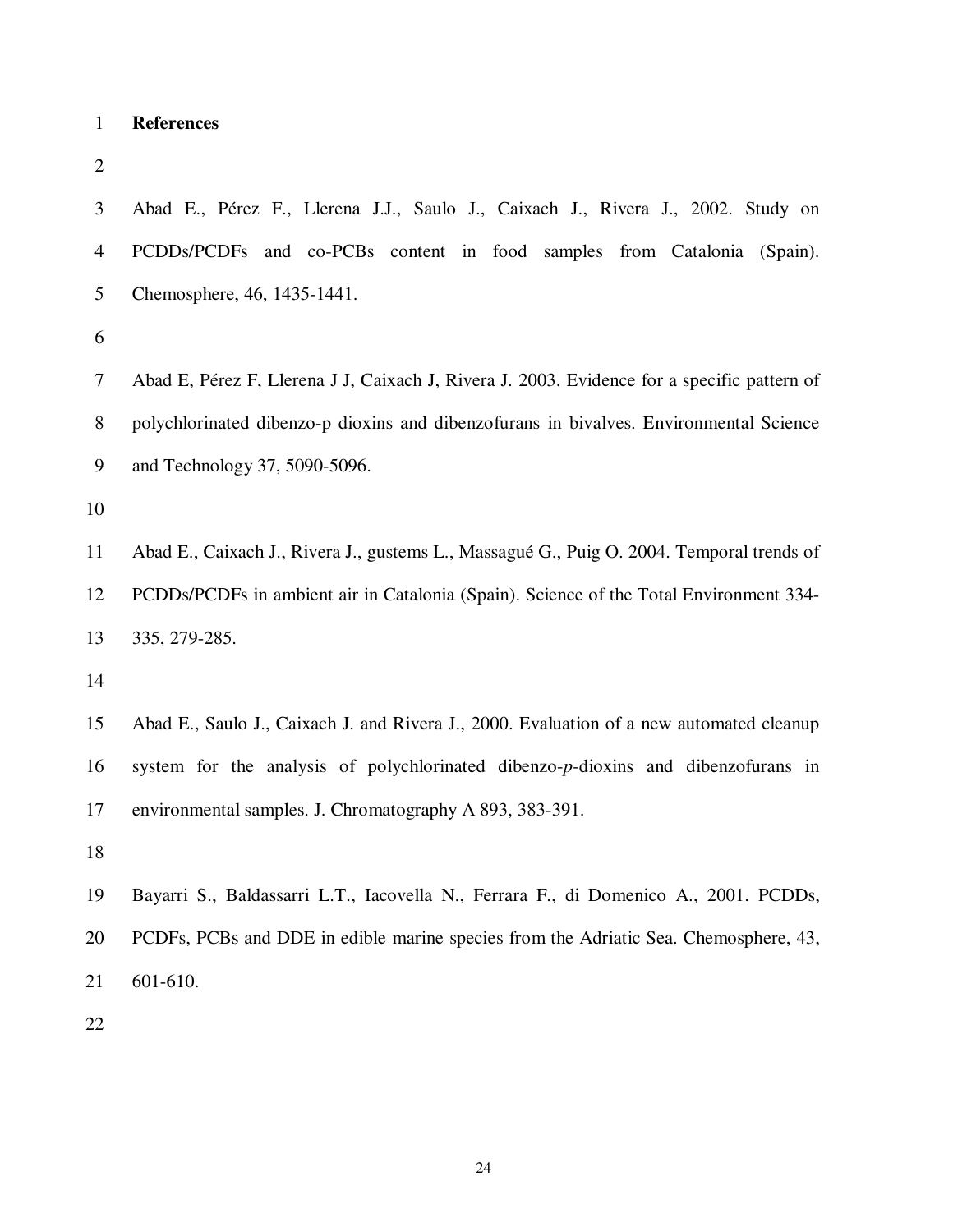- 1 **References**
- 2

3 Abad E., Pérez F., Llerena J.J., Saulo J., Caixach J., Rivera J., 2002. Study on 4 PCDDs/PCDFs and co-PCBs content in food samples from Catalonia (Spain). 5 Chemosphere, 46, 1435-1441.

6

7 Abad E, Pérez F, Llerena J J, Caixach J, Rivera J. 2003. Evidence for a specific pattern of 8 polychlorinated dibenzo-p dioxins and dibenzofurans in bivalves. Environmental Science 9 and Technology 37, 5090-5096.

10

11 Abad E., Caixach J., Rivera J., gustems L., Massagué G., Puig O. 2004. Temporal trends of 12 PCDDs/PCDFs in ambient air in Catalonia (Spain). Science of the Total Environment 334- 13 335, 279-285.

14

15 Abad E., Saulo J., Caixach J. and Rivera J., 2000. Evaluation of a new automated cleanup 16 system for the analysis of polychlorinated dibenzo-*p*-dioxins and dibenzofurans in 17 environmental samples. J. Chromatography A 893, 383-391.

18

19 Bayarri S., Baldassarri L.T., Iacovella N., Ferrara F., di Domenico A., 2001. PCDDs, 20 PCDFs, PCBs and DDE in edible marine species from the Adriatic Sea. Chemosphere, 43, 21 601-610.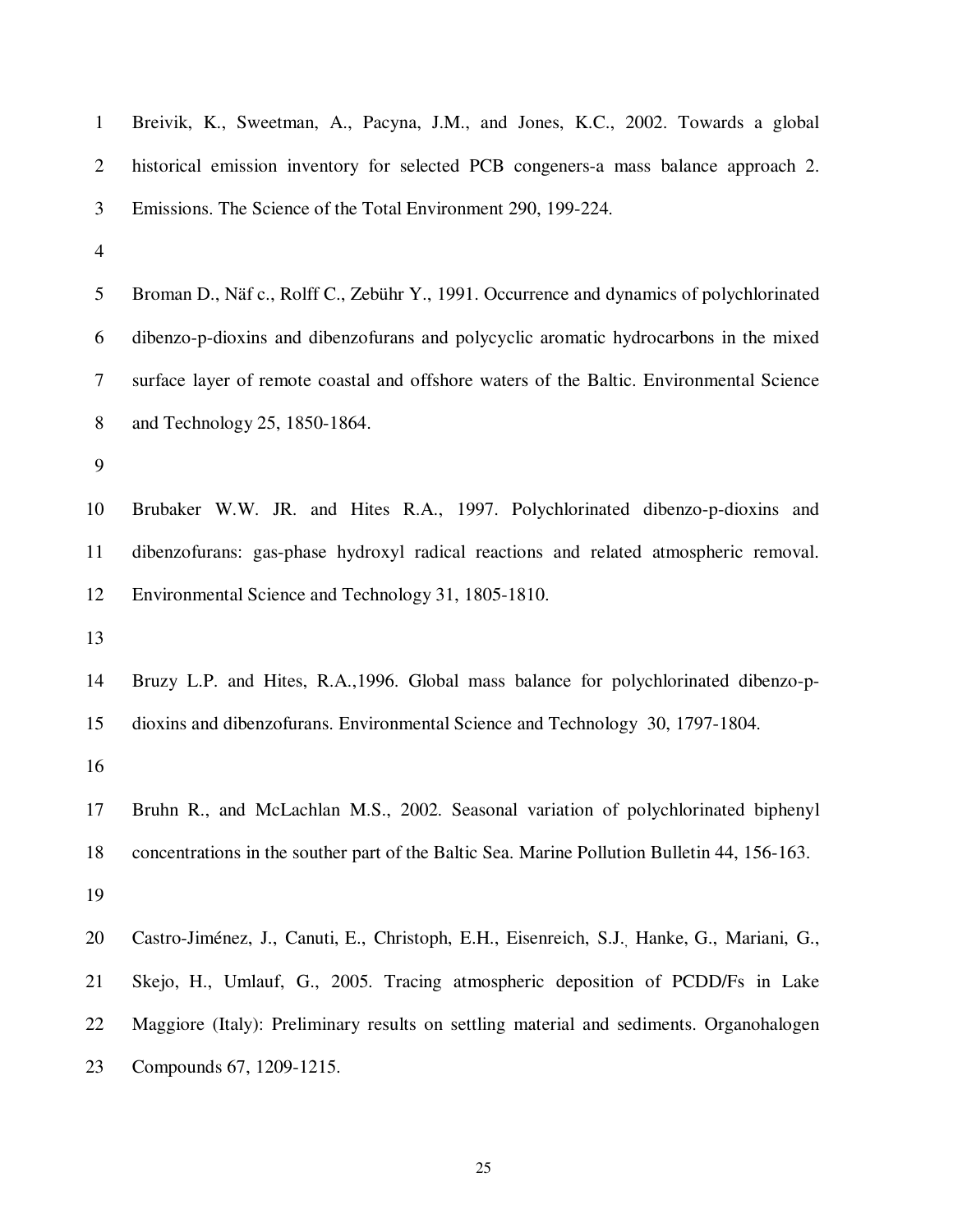| $\mathbf{1}$             | Breivik, K., Sweetman, A., Pacyna, J.M., and Jones, K.C., 2002. Towards a global             |
|--------------------------|----------------------------------------------------------------------------------------------|
| $\overline{2}$           | historical emission inventory for selected PCB congeners-a mass balance approach 2.          |
| 3                        | Emissions. The Science of the Total Environment 290, 199-224.                                |
| $\overline{\mathcal{A}}$ |                                                                                              |
| 5                        | Broman D., Näf c., Rolff C., Zebühr Y., 1991. Occurrence and dynamics of polychlorinated     |
| 6                        | dibenzo-p-dioxins and dibenzofurans and polycyclic aromatic hydrocarbons in the mixed        |
| $\tau$                   | surface layer of remote coastal and offshore waters of the Baltic. Environmental Science     |
| $8\,$                    | and Technology 25, 1850-1864.                                                                |
| 9                        |                                                                                              |
| 10                       | Brubaker W.W. JR. and Hites R.A., 1997. Polychlorinated dibenzo-p-dioxins and                |
| 11                       | dibenzofurans: gas-phase hydroxyl radical reactions and related atmospheric removal.         |
| 12                       | Environmental Science and Technology 31, 1805-1810.                                          |
| 13                       |                                                                                              |
| 14                       | Bruzy L.P. and Hites, R.A., 1996. Global mass balance for polychlorinated dibenzo-p-         |
| 15                       | dioxins and dibenzofurans. Environmental Science and Technology 30, 1797-1804.               |
| 16                       |                                                                                              |
| 17                       | Bruhn R., and McLachlan M.S., 2002. Seasonal variation of polychlorinated biphenyl           |
| 18                       | concentrations in the souther part of the Baltic Sea. Marine Pollution Bulletin 44, 156-163. |
| 19                       |                                                                                              |
| 20                       | Castro-Jiménez, J., Canuti, E., Christoph, E.H., Eisenreich, S.J., Hanke, G., Mariani, G.,   |
| 21                       | Skejo, H., Umlauf, G., 2005. Tracing atmospheric deposition of PCDD/Fs in Lake               |
| 22                       | Maggiore (Italy): Preliminary results on settling material and sediments. Organohalogen      |
| 23                       | Compounds 67, 1209-1215.                                                                     |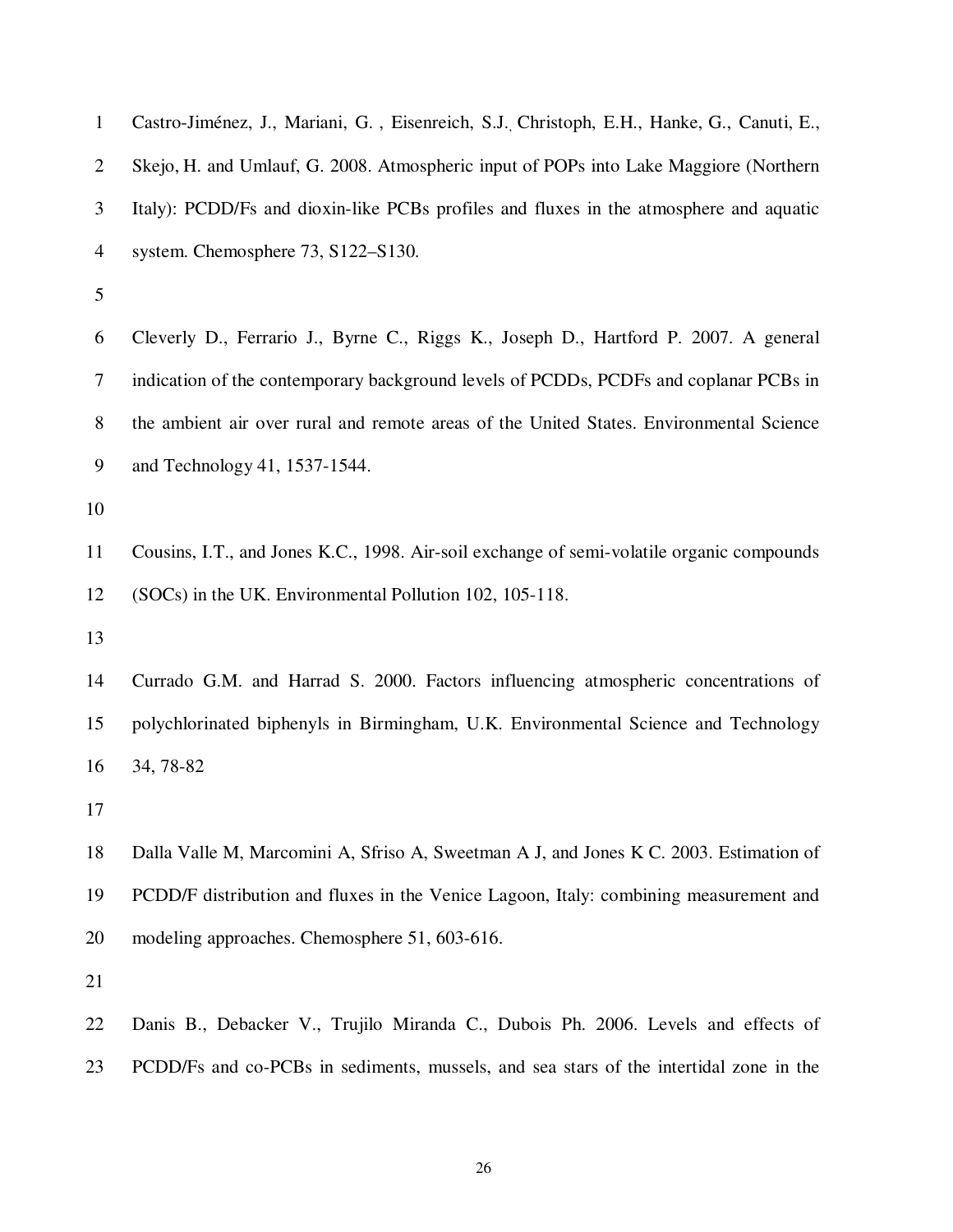| $\mathbf{1}$   | Castro-Jiménez, J., Mariani, G., Eisenreich, S.J. Christoph, E.H., Hanke, G., Canuti, E., |
|----------------|-------------------------------------------------------------------------------------------|
| $\overline{2}$ | Skejo, H. and Umlauf, G. 2008. Atmospheric input of POPs into Lake Maggiore (Northern     |
| 3              | Italy): PCDD/Fs and dioxin-like PCBs profiles and fluxes in the atmosphere and aquatic    |
| $\overline{4}$ | system. Chemosphere 73, S122–S130.                                                        |
| 5              |                                                                                           |
| 6              | Cleverly D., Ferrario J., Byrne C., Riggs K., Joseph D., Hartford P. 2007. A general      |
| 7              | indication of the contemporary background levels of PCDDs, PCDFs and coplanar PCBs in     |
| 8              | the ambient air over rural and remote areas of the United States. Environmental Science   |
| 9              | and Technology 41, 1537-1544.                                                             |
| 10             |                                                                                           |
| 11             | Cousins, I.T., and Jones K.C., 1998. Air-soil exchange of semi-volatile organic compounds |
| 12             | (SOCs) in the UK. Environmental Pollution 102, 105-118.                                   |
| 13             |                                                                                           |
| 14             | Currado G.M. and Harrad S. 2000. Factors influencing atmospheric concentrations of        |
| 15             | polychlorinated biphenyls in Birmingham, U.K. Environmental Science and Technology        |
| 16             | 34, 78-82                                                                                 |
| 17             |                                                                                           |
| 18             | Dalla Valle M, Marcomini A, Sfriso A, Sweetman A J, and Jones K C. 2003. Estimation of    |
| 19             | PCDD/F distribution and fluxes in the Venice Lagoon, Italy: combining measurement and     |
| 20             | modeling approaches. Chemosphere 51, 603-616.                                             |
| 21             |                                                                                           |
| 22             | Danis B., Debacker V., Trujilo Miranda C., Dubois Ph. 2006. Levels and effects of         |

23 PCDD/Fs and co-PCBs in sediments, mussels, and sea stars of the intertidal zone in the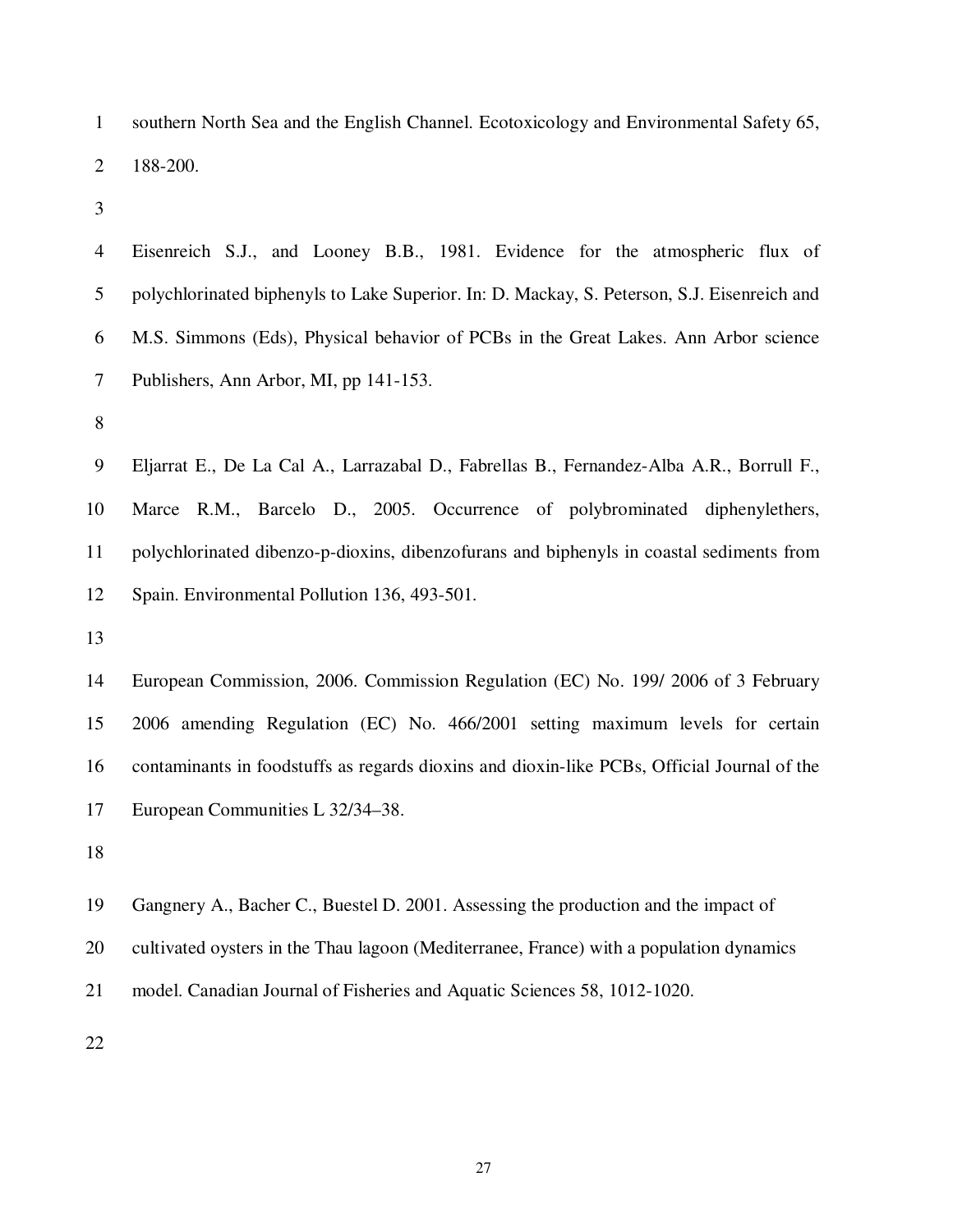1 southern North Sea and the English Channel. Ecotoxicology and Environmental Safety 65, 2 188-200.

3

4 Eisenreich S.J., and Looney B.B., 1981. Evidence for the atmospheric flux of 5 polychlorinated biphenyls to Lake Superior. In: D. Mackay, S. Peterson, S.J. Eisenreich and 6 M.S. Simmons (Eds), Physical behavior of PCBs in the Great Lakes. Ann Arbor science 7 Publishers, Ann Arbor, MI, pp 141-153.

8

9 Eljarrat E., De La Cal A., Larrazabal D., Fabrellas B., Fernandez-Alba A.R., Borrull F., 10 Marce R.M., Barcelo D., 2005. Occurrence of polybrominated diphenylethers, 11 polychlorinated dibenzo-p-dioxins, dibenzofurans and biphenyls in coastal sediments from 12 Spain. Environmental Pollution 136, 493-501.

13

14 European Commission, 2006. Commission Regulation (EC) No. 199/ 2006 of 3 February 15 2006 amending Regulation (EC) No. 466/2001 setting maximum levels for certain 16 contaminants in foodstuffs as regards dioxins and dioxin-like PCBs, Official Journal of the 17 European Communities L 32/34–38.

18

19 Gangnery A., Bacher C., Buestel D. 2001. Assessing the production and the impact of

20 cultivated oysters in the Thau lagoon (Mediterranee, France) with a population dynamics

21 model. Canadian Journal of Fisheries and Aquatic Sciences 58, 1012-1020.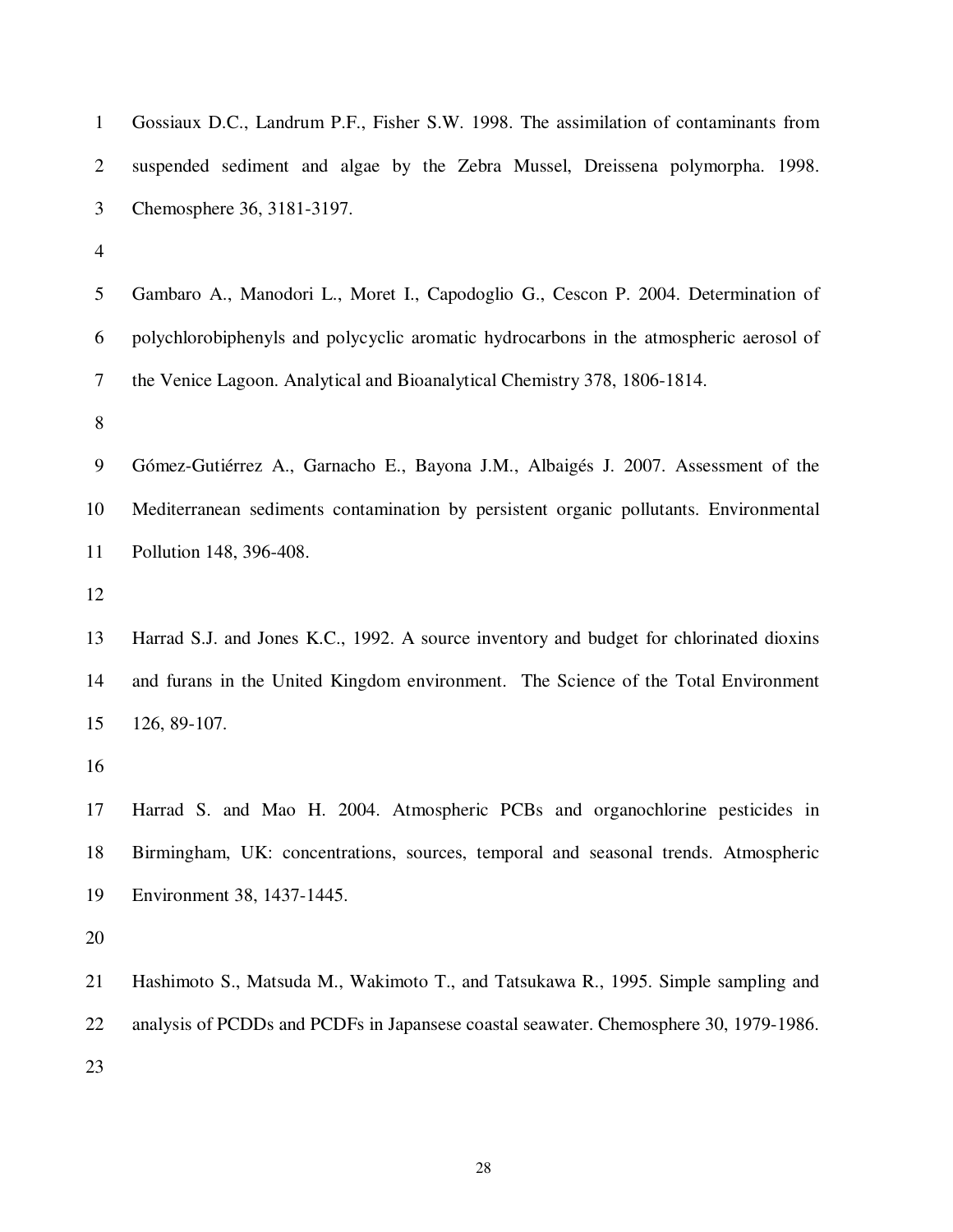| $\mathbf{1}$   | Gossiaux D.C., Landrum P.F., Fisher S.W. 1998. The assimilation of contaminants from    |
|----------------|-----------------------------------------------------------------------------------------|
| $\overline{2}$ | suspended sediment and algae by the Zebra Mussel, Dreissena polymorpha. 1998.           |
| 3              | Chemosphere 36, 3181-3197.                                                              |
| 4              |                                                                                         |
| 5              | Gambaro A., Manodori L., Moret I., Capodoglio G., Cescon P. 2004. Determination of      |
| 6              | polychlorobiphenyls and polycyclic aromatic hydrocarbons in the atmospheric aerosol of  |
| 7              | the Venice Lagoon. Analytical and Bioanalytical Chemistry 378, 1806-1814.               |
| 8              |                                                                                         |
| 9              | Gómez-Gutiérrez A., Garnacho E., Bayona J.M., Albaigés J. 2007. Assessment of the       |
| 10             | Mediterranean sediments contamination by persistent organic pollutants. Environmental   |
| 11             | Pollution 148, 396-408.                                                                 |
| 12             |                                                                                         |
| 13             | Harrad S.J. and Jones K.C., 1992. A source inventory and budget for chlorinated dioxins |
| 14             | and furans in the United Kingdom environment. The Science of the Total Environment      |
| 15             | 126, 89-107.                                                                            |
| 16             |                                                                                         |
| 17             | Harrad S. and Mao H. 2004. Atmospheric PCBs and organochlorine pesticides in            |
| 18             | Birmingham, UK: concentrations, sources, temporal and seasonal trends. Atmospheric      |
| 19             | Environment 38, 1437-1445.                                                              |
| 20             |                                                                                         |
| 21             | Hashimoto S., Matsuda M., Wakimoto T., and Tatsukawa R., 1995. Simple sampling and      |
| 22             | analysis of PCDDs and PCDFs in Japansese coastal seawater. Chemosphere 30, 1979-1986.   |
| 23             |                                                                                         |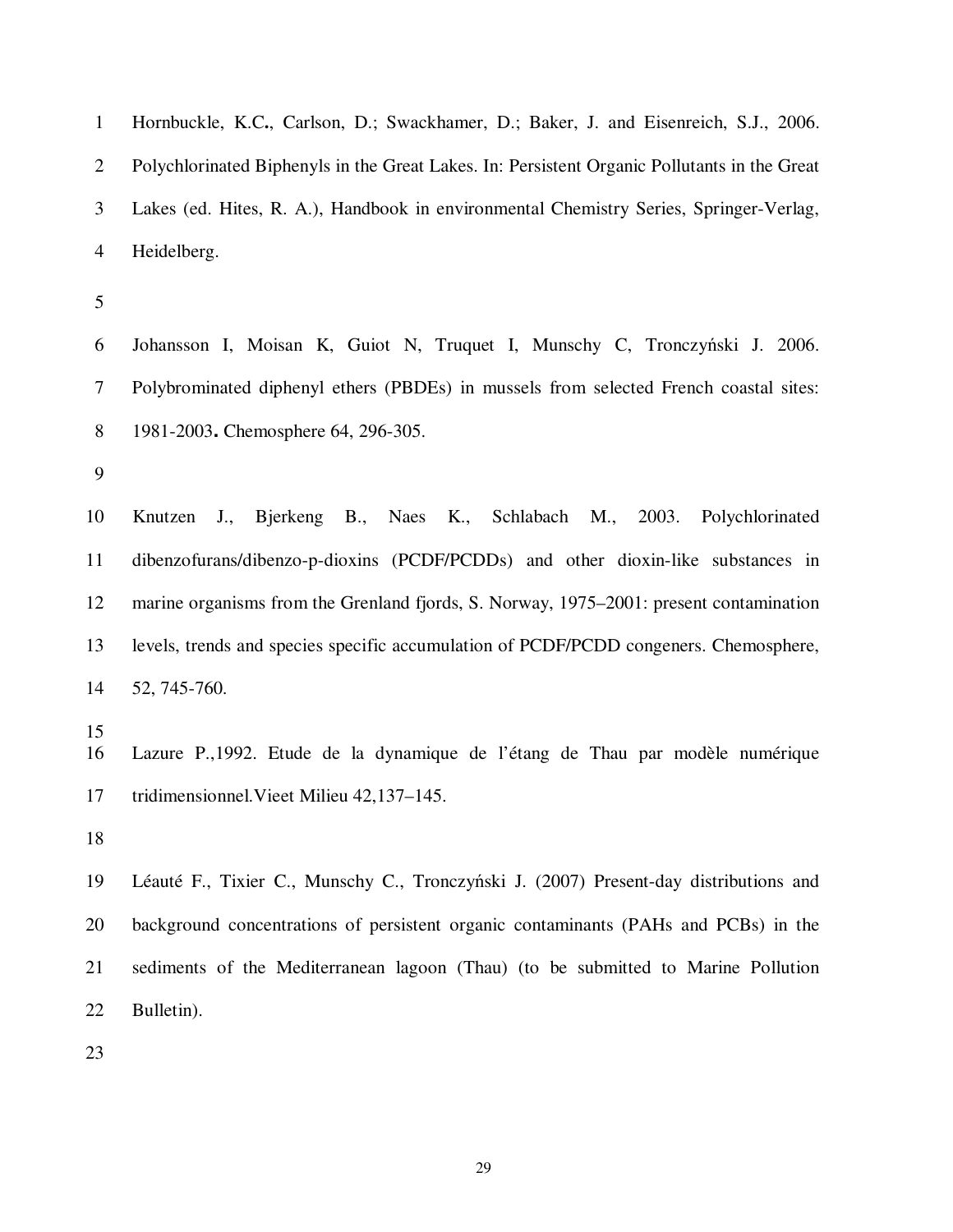1 Hornbuckle, K.C**.**, Carlson, D.; Swackhamer, D.; Baker, J. and Eisenreich, S.J., 2006. 2 Polychlorinated Biphenyls in the Great Lakes. In: Persistent Organic Pollutants in the Great 3 Lakes (ed. Hites, R. A.), Handbook in environmental Chemistry Series, Springer-Verlag, 4 Heidelberg. 5 6 Johansson I, Moisan K, Guiot N, Truquet I, Munschy C, Tronczyński J. 2006. 7 Polybrominated diphenyl ethers (PBDEs) in mussels from selected French coastal sites: 8 1981-2003. Chemosphere 64, 296-305. 9 10 Knutzen J., Bjerkeng B., Naes K., Schlabach M., 2003. Polychlorinated 11 dibenzofurans/dibenzo-p-dioxins (PCDF/PCDDs) and other dioxin-like substances in 12 marine organisms from the Grenland fjords, S. Norway, 1975–2001: present contamination 13 levels, trends and species specific accumulation of PCDF/PCDD congeners. Chemosphere, 14 52, 745-760. 15 16 Lazure P.,1992. Etude de la dynamique de l'étang de Thau par modèle numérique 17 tridimensionnel.Vieet Milieu 42,137–145. 18 19 Léauté F., Tixier C., Munschy C., Tronczyński J. (2007) Present-day distributions and 20 background concentrations of persistent organic contaminants (PAHs and PCBs) in the 21 sediments of the Mediterranean lagoon (Thau) (to be submitted to Marine Pollution 22 Bulletin). 23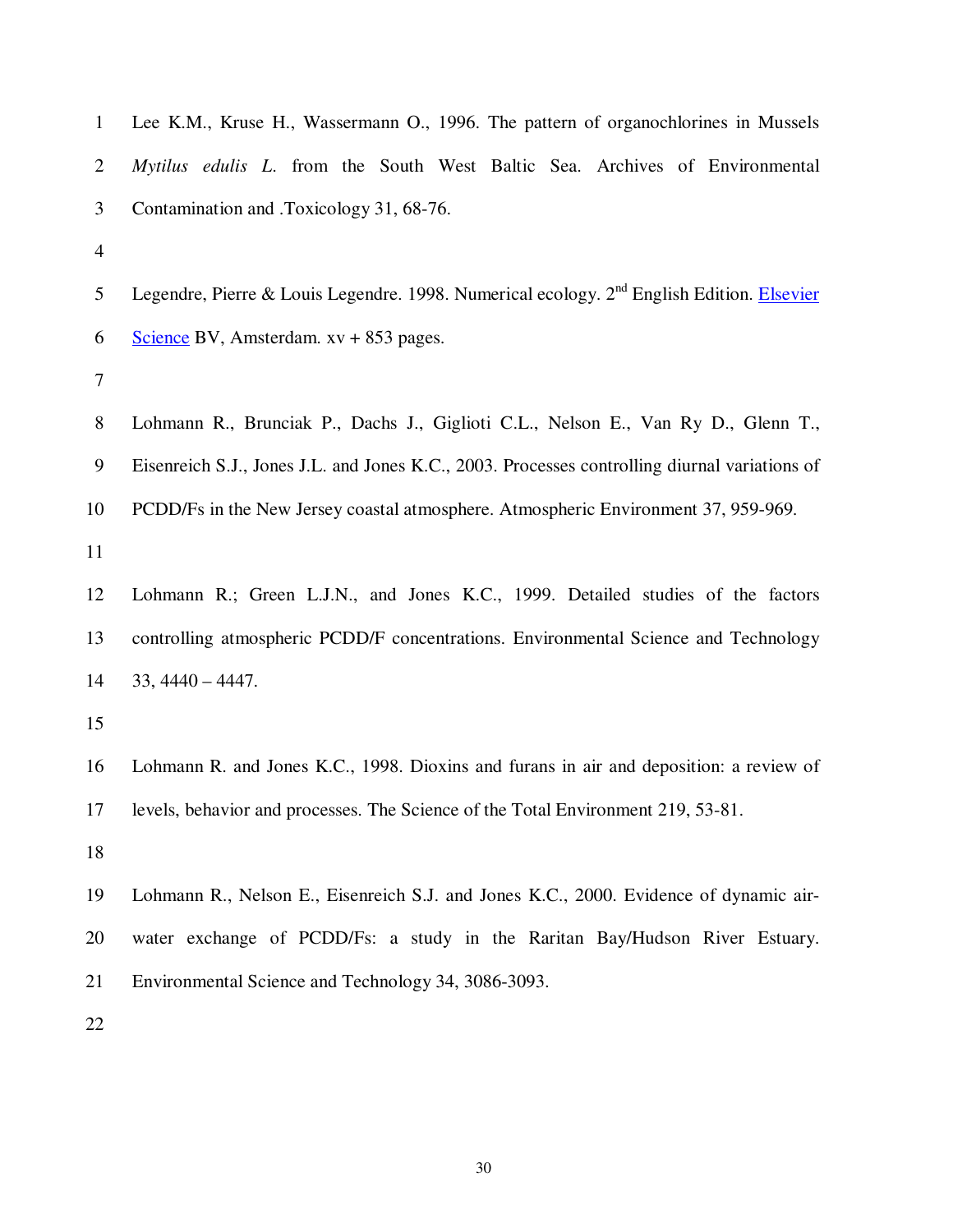| $\mathbf{1}$   | Lee K.M., Kruse H., Wassermann O., 1996. The pattern of organochlorines in Mussels                    |
|----------------|-------------------------------------------------------------------------------------------------------|
| $\overline{2}$ | Mytilus edulis L. from the South West Baltic Sea. Archives of Environmental                           |
| 3              | Contamination and .Toxicology 31, 68-76.                                                              |
| $\overline{4}$ |                                                                                                       |
| 5              | Legendre, Pierre & Louis Legendre. 1998. Numerical ecology. 2 <sup>nd</sup> English Edition. Elsevier |
| 6              | Science BV, Amsterdam. $xy + 853$ pages.                                                              |
| 7              |                                                                                                       |
| 8              | Lohmann R., Brunciak P., Dachs J., Giglioti C.L., Nelson E., Van Ry D., Glenn T.,                     |
| 9              | Eisenreich S.J., Jones J.L. and Jones K.C., 2003. Processes controlling diurnal variations of         |
| 10             | PCDD/Fs in the New Jersey coastal atmosphere. Atmospheric Environment 37, 959-969.                    |
| 11             |                                                                                                       |
| 12             | Lohmann R.; Green L.J.N., and Jones K.C., 1999. Detailed studies of the factors                       |
| 13             | controlling atmospheric PCDD/F concentrations. Environmental Science and Technology                   |
| 14             | $33,4440 - 4447.$                                                                                     |
| 15             |                                                                                                       |
| 16             | Lohmann R. and Jones K.C., 1998. Dioxins and furans in air and deposition: a review of                |
| 17             | levels, behavior and processes. The Science of the Total Environment 219, 53-81.                      |
| 18             |                                                                                                       |
| 19             | Lohmann R., Nelson E., Eisenreich S.J. and Jones K.C., 2000. Evidence of dynamic air-                 |
| 20             | water exchange of PCDD/Fs: a study in the Raritan Bay/Hudson River Estuary.                           |
| 21             | Environmental Science and Technology 34, 3086-3093.                                                   |
|                |                                                                                                       |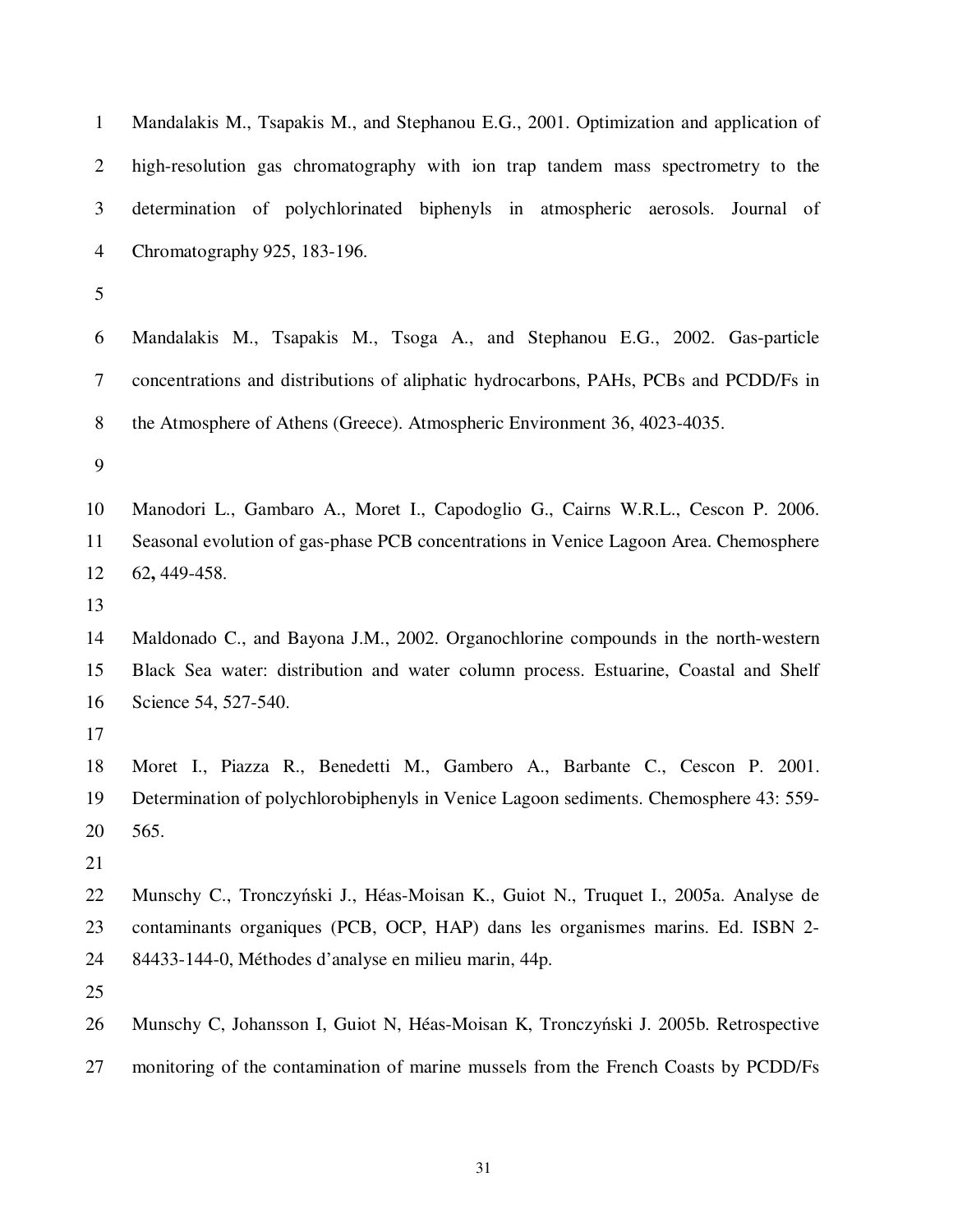| $\mathbf{1}$   | Mandalakis M., Tsapakis M., and Stephanou E.G., 2001. Optimization and application of |
|----------------|---------------------------------------------------------------------------------------|
| $\overline{2}$ | high-resolution gas chromatography with ion trap tandem mass spectrometry to the      |
| 3              | determination of polychlorinated biphenyls in atmospheric aerosols. Journal of        |
| $\overline{4}$ | Chromatography 925, 183-196.                                                          |
| 5              |                                                                                       |
| 6              | Mandalakis M., Tsapakis M., Tsoga A., and Stephanou E.G., 2002. Gas-particle          |
| $\tau$         | concentrations and distributions of aliphatic hydrocarbons, PAHs, PCBs and PCDD/Fs in |
| 8              | the Atmosphere of Athens (Greece). Atmospheric Environment 36, 4023-4035.             |
| 9              |                                                                                       |
| 10             | Manodori L., Gambaro A., Moret I., Capodoglio G., Cairns W.R.L., Cescon P. 2006.      |
| 11             | Seasonal evolution of gas-phase PCB concentrations in Venice Lagoon Area. Chemosphere |
| 12             | 62, 449-458.                                                                          |
| 13             |                                                                                       |
| 14             | Maldonado C., and Bayona J.M., 2002. Organochlorine compounds in the north-western    |
| 15             | Black Sea water: distribution and water column process. Estuarine, Coastal and Shelf  |
| 16             | Science 54, 527-540.                                                                  |
| 17             |                                                                                       |
| 18             | Moret I., Piazza R., Benedetti M., Gambero A., Barbante C., Cescon P. 2001.           |
| 19             | Determination of polychlorobiphenyls in Venice Lagoon sediments. Chemosphere 43: 559- |
| 20             | 565.                                                                                  |
| 21             |                                                                                       |
| 22             | Munschy C., Tronczyński J., Héas-Moisan K., Guiot N., Truquet I., 2005a. Analyse de   |
| 23             | contaminants organiques (PCB, OCP, HAP) dans les organismes marins. Ed. ISBN 2-       |
| 24             | 84433-144-0, Méthodes d'analyse en milieu marin, 44p.                                 |
| 25             |                                                                                       |
| 26             | Munschy C, Johansson I, Guiot N, Héas-Moisan K, Tronczyński J. 2005b. Retrospective   |
| 27             | monitoring of the contamination of marine mussels from the French Coasts by PCDD/Fs   |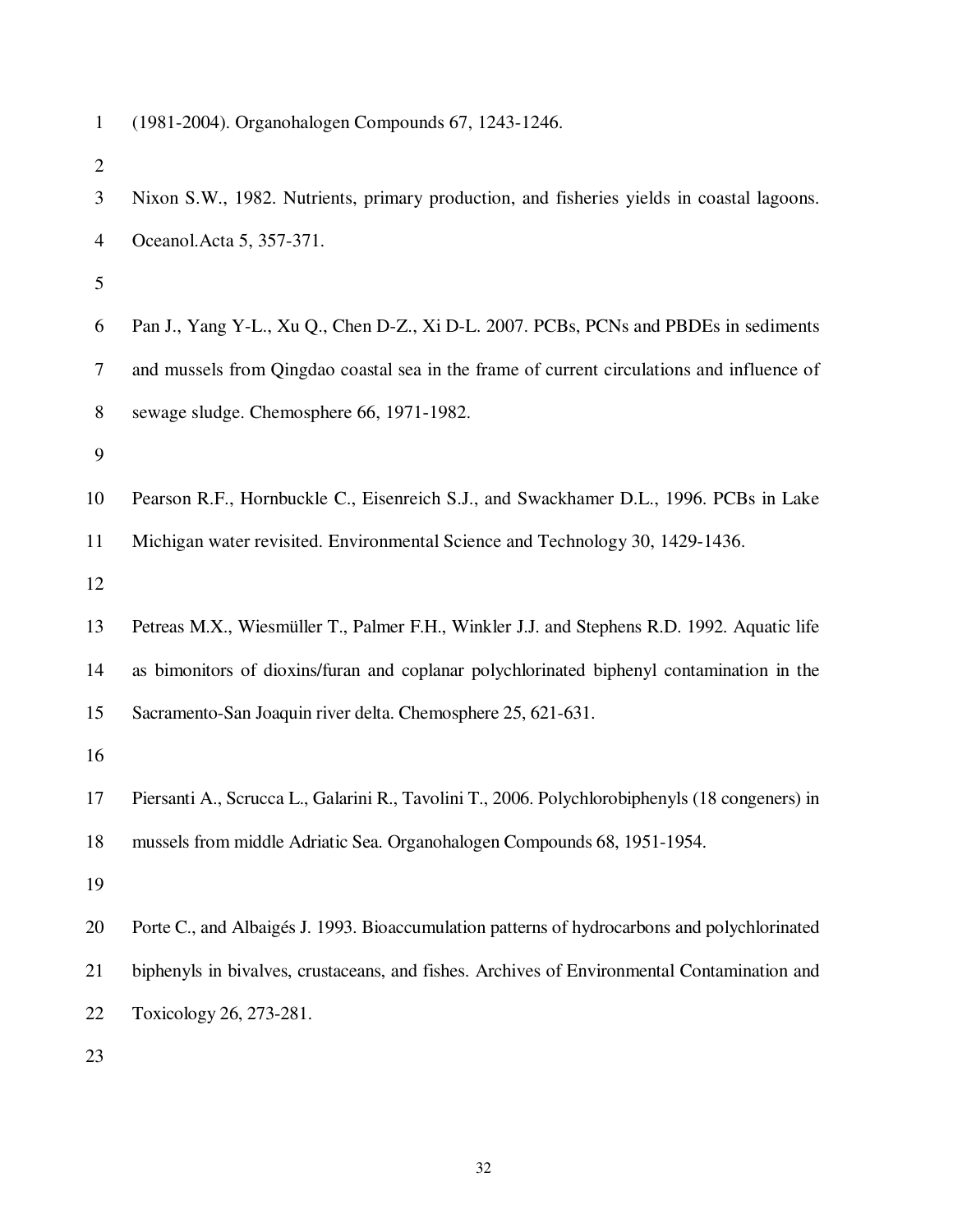1 (1981-2004). Organohalogen Compounds 67, 1243-1246.

| 3              | Nixon S.W., 1982. Nutrients, primary production, and fisheries yields in coastal lagoons.       |
|----------------|-------------------------------------------------------------------------------------------------|
| $\overline{4}$ | Oceanol. Acta 5, 357-371.                                                                       |
| $\mathfrak{S}$ |                                                                                                 |
| 6              | Pan J., Yang Y-L., Xu Q., Chen D-Z., Xi D-L. 2007. PCBs, PCNs and PBDEs in sediments            |
| $\tau$         | and mussels from Qingdao coastal sea in the frame of current circulations and influence of      |
| $8\,$          | sewage sludge. Chemosphere 66, 1971-1982.                                                       |
| 9              |                                                                                                 |
| 10             | Pearson R.F., Hornbuckle C., Eisenreich S.J., and Swackhamer D.L., 1996. PCBs in Lake           |
| 11             | Michigan water revisited. Environmental Science and Technology 30, 1429-1436.                   |
| 12             |                                                                                                 |
| 13             | Petreas M.X., Wiesmüller T., Palmer F.H., Winkler J.J. and Stephens R.D. 1992. Aquatic life     |
| 14             | as bimonitors of dioxins/furan and coplanar polychlorinated biphenyl contamination in the       |
| 15             | Sacramento-San Joaquin river delta. Chemosphere 25, 621-631.                                    |
| 16             |                                                                                                 |
| 17             | Piersanti A., Scrucca L., Galarini R., Tavolini T., 2006. Polychlorobiphenyls (18 congeners) in |
| 18             | mussels from middle Adriatic Sea. Organohalogen Compounds 68, 1951-1954.                        |
| 19             |                                                                                                 |
| 20             | Porte C., and Albaigés J. 1993. Bioaccumulation patterns of hydrocarbons and polychlorinated    |
| 21             | biphenyls in bivalves, crustaceans, and fishes. Archives of Environmental Contamination and     |
| 22             | Toxicology 26, 273-281.                                                                         |
| 23             |                                                                                                 |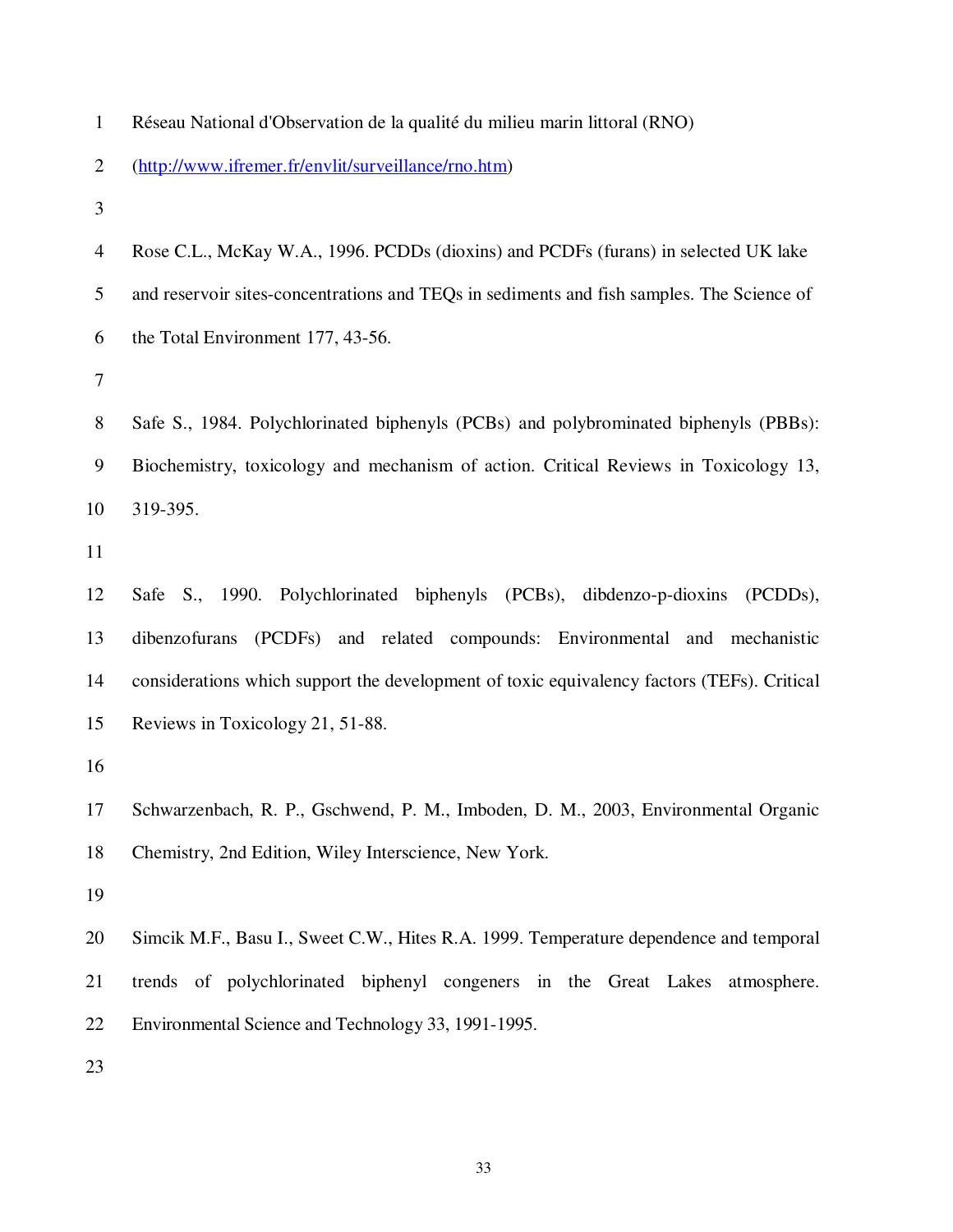| $\mathbf{1}$   | Réseau National d'Observation de la qualité du milieu marin littoral (RNO)                 |
|----------------|--------------------------------------------------------------------------------------------|
| $\overline{2}$ | (http://www.ifremer.fr/envlit/surveillance/rno.htm)                                        |
| 3              |                                                                                            |
| 4              | Rose C.L., McKay W.A., 1996. PCDDs (dioxins) and PCDFs (furans) in selected UK lake        |
| 5              | and reservoir sites-concentrations and TEQs in sediments and fish samples. The Science of  |
| 6              | the Total Environment 177, 43-56.                                                          |
| $\tau$         |                                                                                            |
| 8              | Safe S., 1984. Polychlorinated biphenyls (PCBs) and polybrominated biphenyls (PBBs):       |
| 9              | Biochemistry, toxicology and mechanism of action. Critical Reviews in Toxicology 13,       |
| 10             | 319-395.                                                                                   |
| 11             |                                                                                            |
| 12             | Safe S., 1990. Polychlorinated biphenyls (PCBs), dibdenzo-p-dioxins<br>(PCDDs),            |
| 13             | dibenzofurans (PCDFs) and related compounds: Environmental and mechanistic                 |
| 14             | considerations which support the development of toxic equivalency factors (TEFs). Critical |
| 15             | Reviews in Toxicology 21, 51-88.                                                           |
| 16             |                                                                                            |
| 17             | Schwarzenbach, R. P., Gschwend, P. M., Imboden, D. M., 2003, Environmental Organic         |
| 18             | Chemistry, 2nd Edition, Wiley Interscience, New York.                                      |
| 19             |                                                                                            |
| 20             | Simcik M.F., Basu I., Sweet C.W., Hites R.A. 1999. Temperature dependence and temporal     |
| 21             | trends of polychlorinated biphenyl congeners in the Great Lakes atmosphere.                |
| 22             | Environmental Science and Technology 33, 1991-1995.                                        |
| 23             |                                                                                            |
|                |                                                                                            |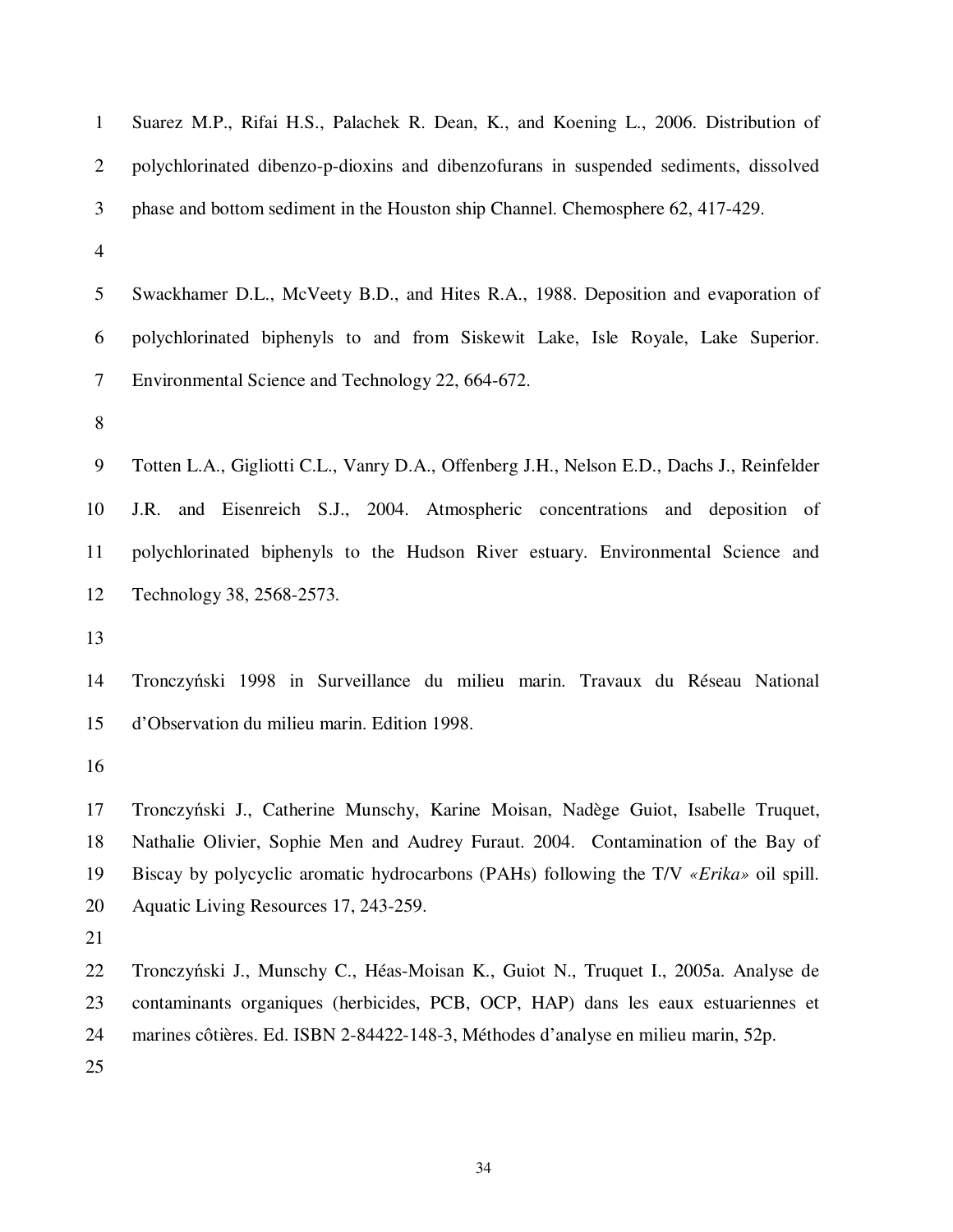| $\mathbf{1}$   | Suarez M.P., Rifai H.S., Palachek R. Dean, K., and Koening L., 2006. Distribution of       |
|----------------|--------------------------------------------------------------------------------------------|
| $\overline{2}$ | polychlorinated dibenzo-p-dioxins and dibenzofurans in suspended sediments, dissolved      |
| 3              | phase and bottom sediment in the Houston ship Channel. Chemosphere 62, 417-429.            |
| $\overline{4}$ |                                                                                            |
| 5              | Swackhamer D.L., McVeety B.D., and Hites R.A., 1988. Deposition and evaporation of         |
| 6              | polychlorinated biphenyls to and from Siskewit Lake, Isle Royale, Lake Superior.           |
| $\tau$         | Environmental Science and Technology 22, 664-672.                                          |
| 8              |                                                                                            |
| 9              | Totten L.A., Gigliotti C.L., Vanry D.A., Offenberg J.H., Nelson E.D., Dachs J., Reinfelder |
| 10             | J.R. and Eisenreich S.J., 2004. Atmospheric concentrations and deposition of               |
| 11             | polychlorinated biphenyls to the Hudson River estuary. Environmental Science and           |
| 12             | Technology 38, 2568-2573.                                                                  |
| 13             |                                                                                            |
| 14             | Tronczyński 1998 in Surveillance du milieu marin. Travaux du Réseau National               |
| 15             | d'Observation du milieu marin. Edition 1998.                                               |
| 16             |                                                                                            |
| 17             | Tronczyński J., Catherine Munschy, Karine Moisan, Nadège Guiot, Isabelle Truquet,          |
| 18             | Nathalie Olivier, Sophie Men and Audrey Furaut. 2004. Contamination of the Bay of          |
| 19             | Biscay by polycyclic aromatic hydrocarbons (PAHs) following the T/V «Erika» oil spill.     |
| 20             | Aquatic Living Resources 17, 243-259.                                                      |
| 21             |                                                                                            |
| 22             | Tronczyński J., Munschy C., Héas-Moisan K., Guiot N., Truquet I., 2005a. Analyse de        |
| 23             | contaminants organiques (herbicides, PCB, OCP, HAP) dans les eaux estuariennes et          |
| 24             | marines côtières. Ed. ISBN 2-84422-148-3, Méthodes d'analyse en milieu marin, 52p.         |
| 25             |                                                                                            |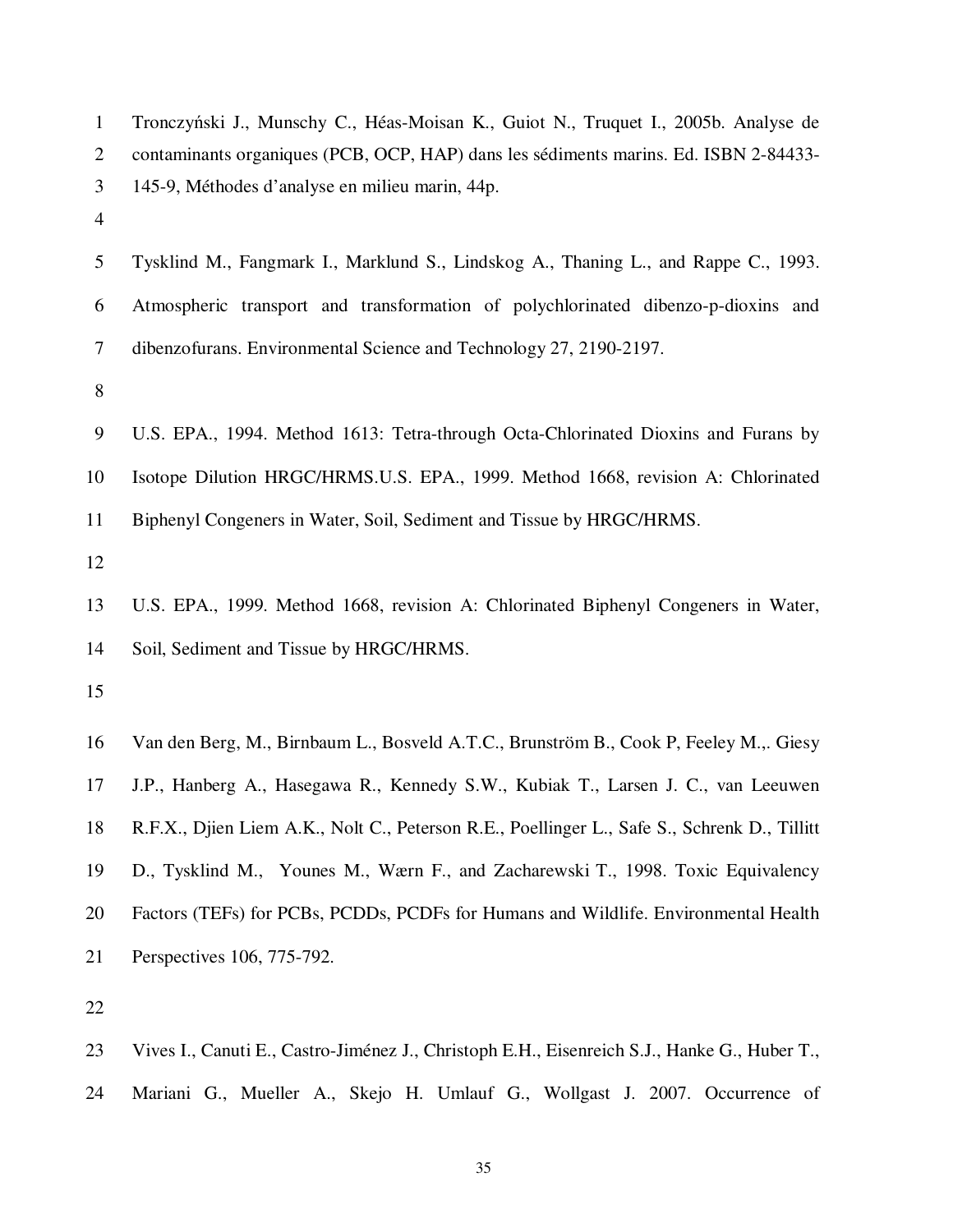| $\mathbf{1}$   | Tronczyński J., Munschy C., Héas-Moisan K., Guiot N., Truquet I., 2005b. Analyse de          |
|----------------|----------------------------------------------------------------------------------------------|
| 2              | contaminants organiques (PCB, OCP, HAP) dans les sédiments marins. Ed. ISBN 2-84433-         |
| 3              | 145-9, Méthodes d'analyse en milieu marin, 44p.                                              |
| $\overline{4}$ |                                                                                              |
| 5              | Tysklind M., Fangmark I., Marklund S., Lindskog A., Thaning L., and Rappe C., 1993.          |
| 6              | Atmospheric transport and transformation of polychlorinated dibenzo-p-dioxins and            |
| 7              | dibenzofurans. Environmental Science and Technology 27, 2190-2197.                           |
| 8              |                                                                                              |
| 9              | U.S. EPA., 1994. Method 1613: Tetra-through Octa-Chlorinated Dioxins and Furans by           |
| 10             | Isotope Dilution HRGC/HRMS.U.S. EPA., 1999. Method 1668, revision A: Chlorinated             |
| 11             | Biphenyl Congeners in Water, Soil, Sediment and Tissue by HRGC/HRMS.                         |
| 12             |                                                                                              |
| 13             | U.S. EPA., 1999. Method 1668, revision A: Chlorinated Biphenyl Congeners in Water,           |
| 14             | Soil, Sediment and Tissue by HRGC/HRMS.                                                      |
| 15             |                                                                                              |
| 16             | Van den Berg, M., Birnbaum L., Bosveld A.T.C., Brunström B., Cook P, Feeley M.,. Giesy       |
| 17             | J.P., Hanberg A., Hasegawa R., Kennedy S.W., Kubiak T., Larsen J. C., van Leeuwen            |
| 18             | R.F.X., Djien Liem A.K., Nolt C., Peterson R.E., Poellinger L., Safe S., Schrenk D., Tillitt |
| 19             | D., Tysklind M., Younes M., Wærn F., and Zacharewski T., 1998. Toxic Equivalency             |
| 20             | Factors (TEFs) for PCBs, PCDDs, PCDFs for Humans and Wildlife. Environmental Health          |
| 21             | Perspectives 106, 775-792.                                                                   |
| 22             |                                                                                              |
|                |                                                                                              |

- 23 Vives I., Canuti E., Castro-Jiménez J., Christoph E.H., Eisenreich S.J., Hanke G., Huber T.,
- 24 Mariani G., Mueller A., Skejo H. Umlauf G., Wollgast J. 2007. Occurrence of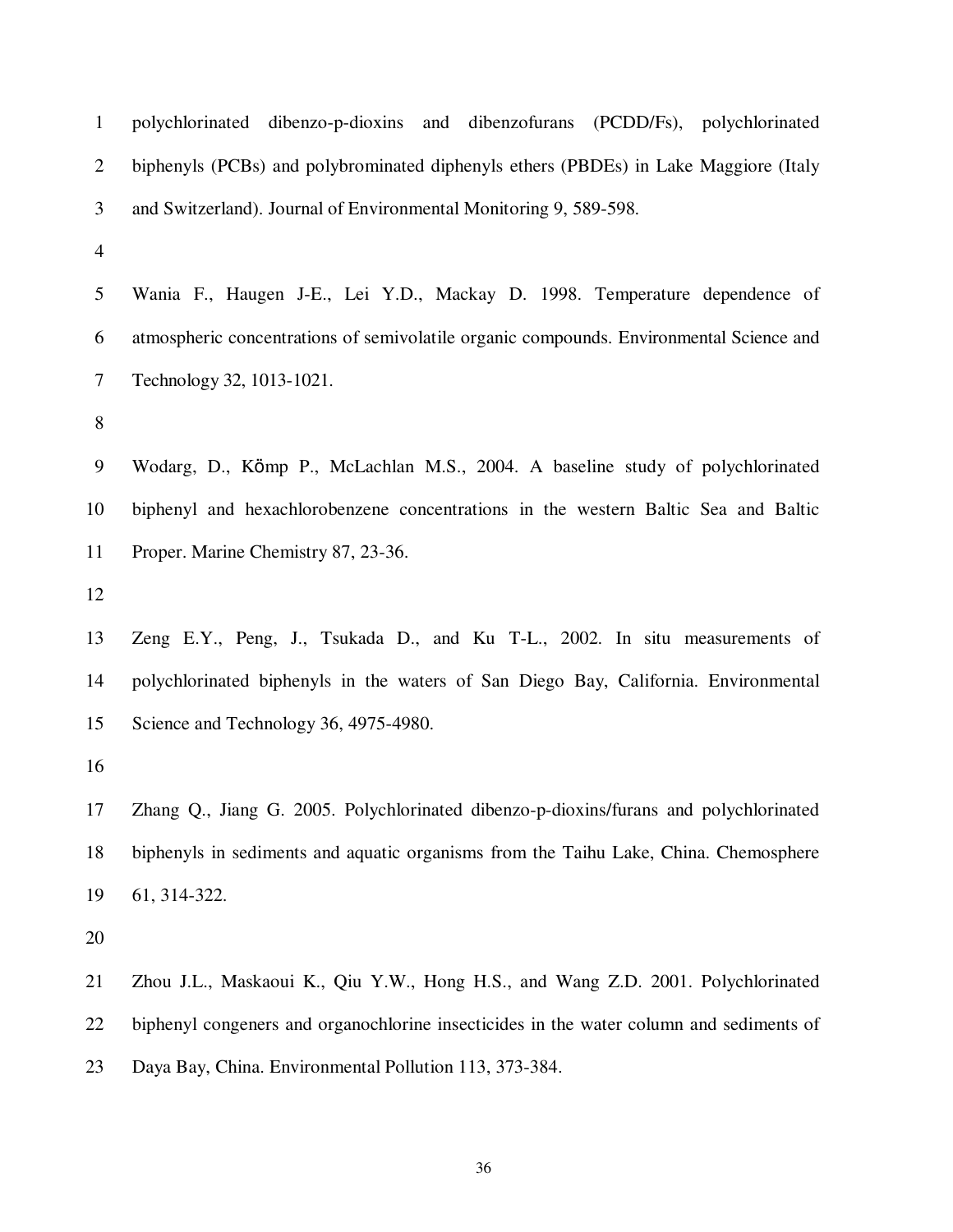| $\mathbf{1}$   | polychlorinated dibenzo-p-dioxins and dibenzofurans (PCDD/Fs), polychlorinated          |  |  |  |  |  |  |  |  |  |  |
|----------------|-----------------------------------------------------------------------------------------|--|--|--|--|--|--|--|--|--|--|
| $\mathbf{2}$   | biphenyls (PCBs) and polybrominated diphenyls ethers (PBDEs) in Lake Maggiore (Italy    |  |  |  |  |  |  |  |  |  |  |
| 3              | and Switzerland). Journal of Environmental Monitoring 9, 589-598.                       |  |  |  |  |  |  |  |  |  |  |
| $\overline{4}$ |                                                                                         |  |  |  |  |  |  |  |  |  |  |
| $\mathfrak{S}$ | Wania F., Haugen J-E., Lei Y.D., Mackay D. 1998. Temperature dependence of              |  |  |  |  |  |  |  |  |  |  |
| 6              | atmospheric concentrations of semivolatile organic compounds. Environmental Science and |  |  |  |  |  |  |  |  |  |  |
| $\tau$         | Technology 32, 1013-1021.                                                               |  |  |  |  |  |  |  |  |  |  |
| $8\,$          |                                                                                         |  |  |  |  |  |  |  |  |  |  |
| 9              | Wodarg, D., Kömp P., McLachlan M.S., 2004. A baseline study of polychlorinated          |  |  |  |  |  |  |  |  |  |  |
| 10             | biphenyl and hexachlorobenzene concentrations in the western Baltic Sea and Baltic      |  |  |  |  |  |  |  |  |  |  |
| 11             | Proper. Marine Chemistry 87, 23-36.                                                     |  |  |  |  |  |  |  |  |  |  |
| 12             |                                                                                         |  |  |  |  |  |  |  |  |  |  |
| 13             | Zeng E.Y., Peng, J., Tsukada D., and Ku T-L., 2002. In situ measurements of             |  |  |  |  |  |  |  |  |  |  |
| 14             | polychlorinated biphenyls in the waters of San Diego Bay, California. Environmental     |  |  |  |  |  |  |  |  |  |  |
| 15             | Science and Technology 36, 4975-4980.                                                   |  |  |  |  |  |  |  |  |  |  |
| 16             |                                                                                         |  |  |  |  |  |  |  |  |  |  |
| 17             | Zhang Q., Jiang G. 2005. Polychlorinated dibenzo-p-dioxins/furans and polychlorinated   |  |  |  |  |  |  |  |  |  |  |
| 18             | biphenyls in sediments and aquatic organisms from the Taihu Lake, China. Chemosphere    |  |  |  |  |  |  |  |  |  |  |
| 19             | 61, 314-322.                                                                            |  |  |  |  |  |  |  |  |  |  |
| 20             |                                                                                         |  |  |  |  |  |  |  |  |  |  |
| 21             | Zhou J.L., Maskaoui K., Qiu Y.W., Hong H.S., and Wang Z.D. 2001. Polychlorinated        |  |  |  |  |  |  |  |  |  |  |
| 22             | biphenyl congeners and organochlorine insecticides in the water column and sediments of |  |  |  |  |  |  |  |  |  |  |
| 23             | Daya Bay, China. Environmental Pollution 113, 373-384.                                  |  |  |  |  |  |  |  |  |  |  |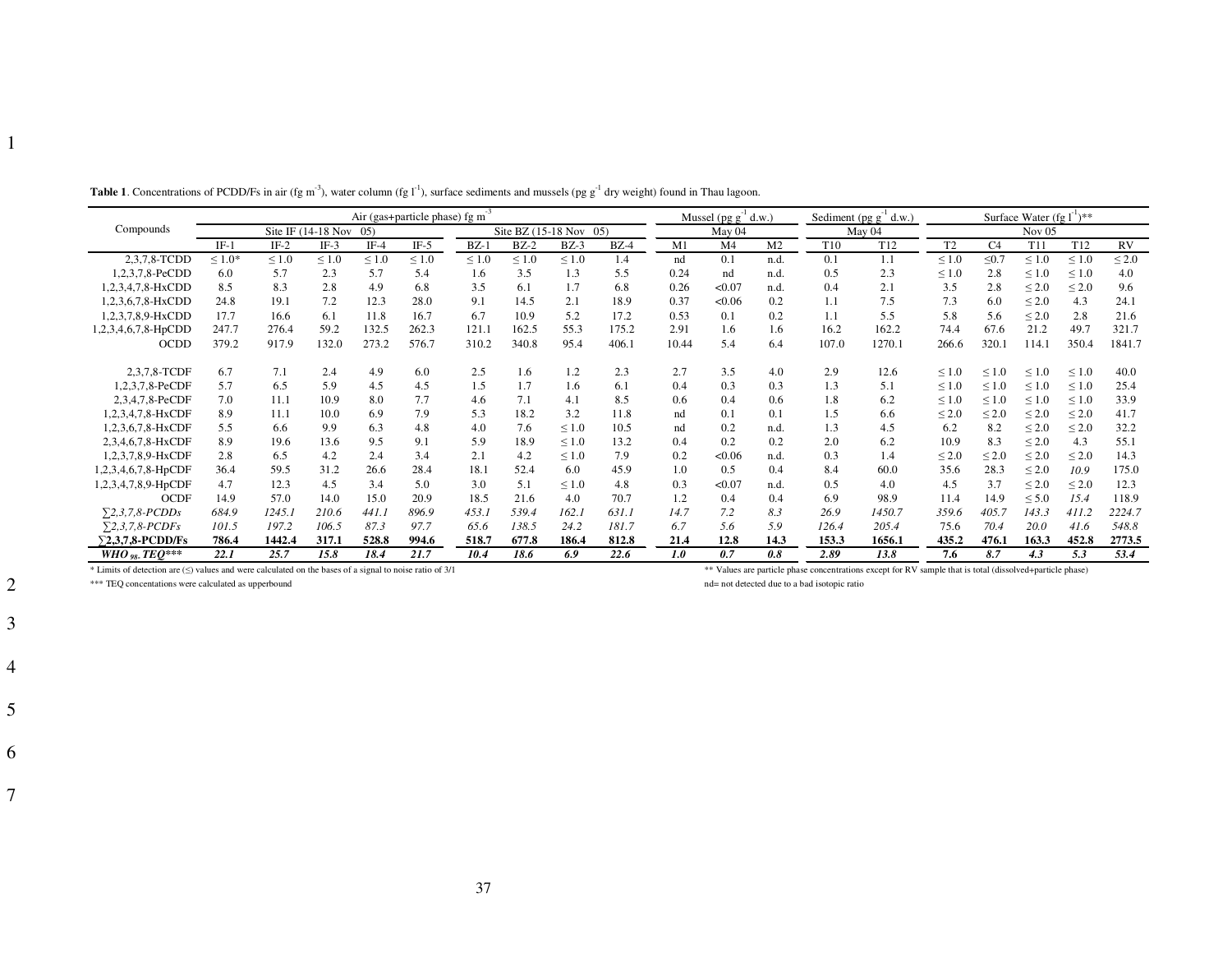|                                                                                                         | Air (gas+particle phase) fg m |            |            |            |            |                        |            |                 | Mussel ( $pg g-1 d.w.$ ) |        |                | Sediment (pg $g^{-1}$ d.w.) |                 | Surface Water (fg $l^{-1}$ )**                                                                            |                |                |                 |                 |            |
|---------------------------------------------------------------------------------------------------------|-------------------------------|------------|------------|------------|------------|------------------------|------------|-----------------|--------------------------|--------|----------------|-----------------------------|-----------------|-----------------------------------------------------------------------------------------------------------|----------------|----------------|-----------------|-----------------|------------|
| Compounds                                                                                               | Site IF $(14-18$ Nov<br>(0.5) |            |            |            |            | Site BZ (15-18 Nov 05) |            |                 |                          | May 04 |                |                             | May 04          |                                                                                                           | Nov $05$       |                |                 |                 |            |
|                                                                                                         | $IF-1$                        | $IF-2$     | $IF-3$     | $IF-4$     | $IF-5$     | $BZ-1$                 | $BZ-2$     | $BZ-3$          | $BZ-4$                   | M1     | M <sub>4</sub> | M <sub>2</sub>              | T <sub>10</sub> | T <sub>12</sub>                                                                                           | T <sub>2</sub> | C <sub>4</sub> | T11             | T <sub>12</sub> | RV         |
| 2,3,7,8-TCDD                                                                                            | $\leq 1.0*$                   | $\leq 1.0$ | $\leq 1.0$ | $\leq 1.0$ | $\leq 1.0$ | $\leq 1.0$             | $\leq 1.0$ | $\leq 1.0$      | 1.4                      | nd     | 0.1            | n.d.                        | 0.1             | 1.1                                                                                                       | $\leq 1.0$     | $\leq 0.7$     | $\leq 1.0$      | $\leq 1.0$      | $\leq 2.0$ |
| 1,2,3,7,8-PeCDD                                                                                         | 6.0                           | 5.7        | 2.3        | 5.7        | 5.4        | 1.6                    | 3.5        | 1.3             | 5.5                      | 0.24   | nd             | n.d.                        | 0.5             | 2.3                                                                                                       | $\leq 1.0$     | 2.8            | ${}_{\leq 1.0}$ | $\leq 1.0$      | 4.0        |
| 1,2,3,4,7,8-HxCDD                                                                                       | 8.5                           | 8.3        | 2.8        | 4.9        | 6.8        | 3.5                    | 6.1        | 1.7             | 6.8                      | 0.26   | < 0.07         | n.d.                        | 0.4             | 2.1                                                                                                       | 3.5            | 2.8            | $\leq 2.0$      | $\leq 2.0$      | 9.6        |
| 1.2.3.6.7.8-HxCDD                                                                                       | 24.8                          | 19.1       | 7.2        | 12.3       | 28.0       | 9.1                    | 14.5       | 2.1             | 18.9                     | 0.37   | < 0.06         | 0.2                         | 1.1             | 7.5                                                                                                       | 7.3            | 6.0            | $\leq 2.0$      | 4.3             | 24.1       |
| 1,2,3,7,8,9-HxCDD                                                                                       | 17.7                          | 16.6       | 6.1        | 11.8       | 16.7       | 6.7                    | 10.9       | 5.2             | 17.2                     | 0.53   | 0.1            | 0.2                         | 1.1             | 5.5                                                                                                       | 5.8            | 5.6            | $\leq 2.0$      | 2.8             | 21.6       |
| 1,2,3,4,6,7,8-HpCDD                                                                                     | 247.7                         | 276.4      | 59.2       | 132.5      | 262.3      | 121.1                  | 162.5      | 55.3            | 175.2                    | 2.91   | 1.6            | 1.6                         | 16.2            | 162.2                                                                                                     | 74.4           | 67.6           | 21.2            | 49.7            | 321.7      |
| <b>OCDD</b>                                                                                             | 379.2                         | 917.9      | 132.0      | 273.2      | 576.7      | 310.2                  | 340.8      | 95.4            | 406.1                    | 10.44  | 5.4            | 6.4                         | 107.0           | 1270.1                                                                                                    | 266.6          | 320.1          | 114.1           | 350.4           | 1841.7     |
| 2,3,7,8-TCDF                                                                                            | 6.7                           | 7.1        | 2.4        | 4.9        | 6.0        | 2.5                    | 1.6        | 1.2             | 2.3                      | 2.7    | 3.5            | 4.0                         | 2.9             | 12.6                                                                                                      | $\leq 1.0$     | $\leq 1.0$     | $\leq 1.0$      | $\leq 1.0$      | 40.0       |
| 1,2,3,7,8-PeCDF                                                                                         | 5.7                           | 6.5        | 5.9        | 4.5        | 4.5        | 1.5                    | 1.7        | 1.6             | 6.1                      | 0.4    | 0.3            | 0.3                         | 1.3             | 5.1                                                                                                       | $\leq 1.0$     | $\leq 1.0$     | $\leq 1.0$      | $\leq 1.0$      | 25.4       |
| 2,3,4,7,8-PeCDF                                                                                         | 7.0                           | 11.1       | 10.9       | 8.0        | 7.7        | 4.6                    | 7.1        | 4.1             | 8.5                      | 0.6    | 0.4            | 0.6                         | 1.8             | 6.2                                                                                                       | $\leq 1.0$     | $\leq 1.0$     | $\leq 1.0$      | $\leq 1.0$      | 33.9       |
| 1,2,3,4,7,8-HxCDF                                                                                       | 8.9                           | 11.1       | 10.0       | 6.9        | 7.9        | 5.3                    | 18.2       | 3.2             | 11.8                     | nd     | 0.1            | 0.1                         | 1.5             | 6.6                                                                                                       | $\leq 2.0$     | $\leq 2.0$     | $\leq 2.0$      | $\leq 2.0$      | 41.7       |
| 1,2,3,6,7,8-HxCDF                                                                                       | 5.5                           | 6.6        | 9.9        | 6.3        | 4.8        | 4.0                    | 7.6        |                 | 10.5                     | nd     | 0.2            |                             | 1.3             | 4.5                                                                                                       | 6.2            | 8.2            |                 |                 | 32.2       |
|                                                                                                         |                               |            |            |            |            |                        |            | $\leq 1.0$      |                          |        |                | n.d.                        |                 |                                                                                                           |                |                | $\leq 2.0$      | $\leq 2.0$      |            |
| 2,3,4,6,7,8-HxCDF                                                                                       | 8.9                           | 19.6       | 13.6       | 9.5        | 9.1        | 5.9                    | 18.9       | $\leq 1.0$      | 13.2                     | 0.4    | 0.2            | 0.2                         | 2.0             | 6.2                                                                                                       | 10.9           | 8.3            | $\leq 2.0$      | 4.3             | 55.1       |
| 1,2,3,7,8,9-HxCDF                                                                                       | 2.8                           | 6.5        | 4.2        | 2.4        | 3.4        | 2.1                    | 4.2        | $\leq 1.0$      | 7.9                      | 0.2    | < 0.06         | n.d.                        | 0.3             | 1.4                                                                                                       | $\leq 2.0$     | $\leq 2.0$     | $\leq 2.0$      | $\leq 2.0$      | 14.3       |
| 1,2,3,4,6,7,8-HpCDF                                                                                     | 36.4                          | 59.5       | 31.2       | 26.6       | 28.4       | 18.1                   | 52.4       | 6.0             | 45.9                     | 1.0    | 0.5            | 0.4                         | 8.4             | 60.0                                                                                                      | 35.6           | 28.3           | $\leq 2.0$      | 10.9            | 175.0      |
| 1,2,3,4,7,8,9-HpCDF                                                                                     | 4.7                           | 12.3       | 4.5        | 3.4        | 5.0        | 3.0                    | 5.1        | ${}_{\leq 1.0}$ | 4.8                      | 0.3    | < 0.07         | n.d.                        | 0.5             | 4.0                                                                                                       | 4.5            | 3.7            | $\leq 2.0$      | $\leq 2.0$      | 12.3       |
| <b>OCDF</b>                                                                                             | 14.9                          | 57.0       | 14.0       | 15.0       | 20.9       | 18.5                   | 21.6       | 4.0             | 70.7                     | 1.2    | 0.4            | 0.4                         | 6.9             | 98.9                                                                                                      | 11.4           | 14.9           | $\leq 5.0$      | 15.4            | 118.9      |
| $\Sigma$ 2,3,7,8-PCDDs                                                                                  | 684.9                         | 1245.1     | 210.6      | 441.1      | 896.9      | 453.1                  | 539.4      | 162.1           | 631.1                    | 14.7   | 7.2            | 8.3                         | 26.9            | 1450.7                                                                                                    | 359.6          | 405.7          | 143.3           | 411.2           | 2224.7     |
| $\Sigma$ 2,3,7,8-PCDFs                                                                                  | 101.5                         | 197.2      | 106.5      | 87.3       | 97.7       | 65.6                   | 138.5      | 24.2            | 181.7                    | 6.7    | 5.6            | 5.9                         | 126.4           | 205.4                                                                                                     | 75.6           | 70.4           | 20.0            | 41.6            | 548.8      |
| $\Sigma$ 2,3,7,8-PCDD/Fs                                                                                | 786.4                         | 1442.4     | 317.1      | 528.8      | 994.6      | 518.7                  | 677.8      | 186.4           | 812.8                    | 21.4   | 12.8           | 14.3                        | 153.3           | 1656.1                                                                                                    | 435.2          | 476.1          | 163.3           | 452.8           | 2773.5     |
| WHO $_{98}$ , TEO***                                                                                    | 22.1                          | 25.7       | 15.8       | 18.4       | 21.7       | 10.4                   | 18.6       | 6.9             | 22.6                     | 1.0    | 0.7            | 0.8                         | 2.89            | 13.8                                                                                                      | 7.6            | 8.7            | 4.3             | 5.3             | 53.4       |
| * Limits of detection are (<) values and were calculated on the bases of a signal to noise ratio of 3/1 |                               |            |            |            |            |                        |            |                 |                          |        |                |                             |                 | ** Values are particle phase concentrations except for RV sample that is total (dissolved+particle phase) |                |                |                 |                 |            |

**Table 1**. Concentrations of PCDD/Fs in air (fg m<sup>-3</sup>), water column (fg  $I<sup>-1</sup>$ ), surface sediments and mussels (pg  $g<sup>-1</sup>$  dry weight) found in Thau lagoon.

\*\*\* TEQ concentations were calculated as upperbound

nd= not detected due to a bad isotopic ratio

2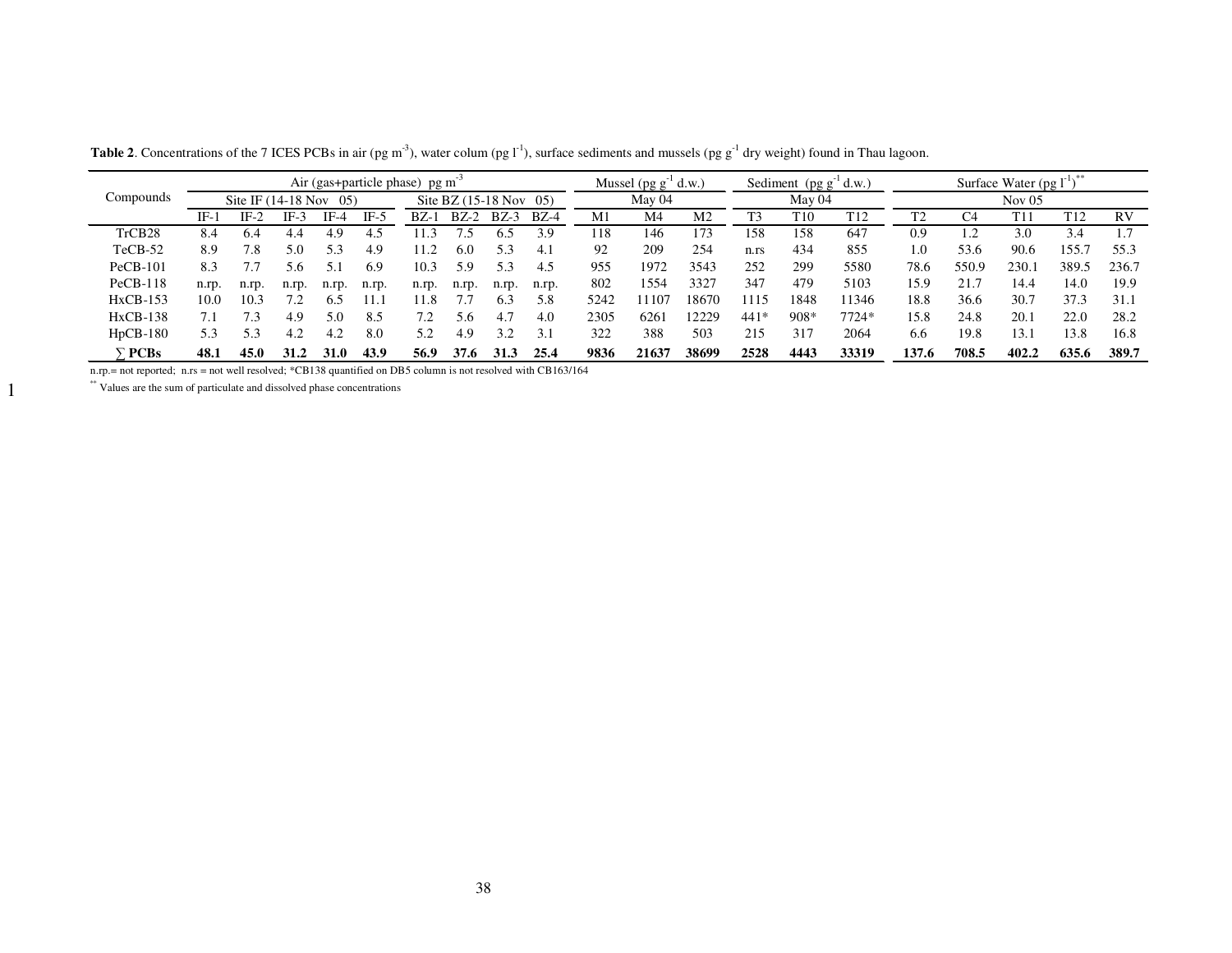|                    | Air (gas+particle phase) pg m <sup>-1</sup> |        |       |             |                                   |       |        | Mussel $(pg g-1 d.w.)$ |        | Sediment $(pg g-1 d.w.)$ |       | Surface Water $(pg1^{\text{T}})$ |          |      |                 |                |            |       |                 |           |
|--------------------|---------------------------------------------|--------|-------|-------------|-----------------------------------|-------|--------|------------------------|--------|--------------------------|-------|----------------------------------|----------|------|-----------------|----------------|------------|-------|-----------------|-----------|
| Compounds          | Site IF $(14-18$ Nov<br>$05^\circ$          |        |       |             | Site BZ $(15-18 \text{ Nov } 05)$ |       |        | May 04                 |        | May 04                   |       |                                  | Nov $05$ |      |                 |                |            |       |                 |           |
|                    | IF-1                                        | $IF-2$ | IF-3  | IF-4        | IF-5                              | $BZ-$ | $BZ-2$ | $BZ-3$                 | $BZ-4$ | M1                       | M4    | M2                               |          | T10  | T <sub>12</sub> | T <sub>2</sub> | C4         | T11   | T <sub>12</sub> | <b>RV</b> |
| TrCB <sub>28</sub> | 8.4                                         | 6.4    | 4.4   | 4.9         | 4.5                               | 1.3   |        | 6.5                    | 3.9    | 118                      | 146   | 173                              | 158      | 158  | 647             | 0.9            | $\cdot$ .2 | 3.0   | 3.4             |           |
| $TeCB-52$          | 8.9                                         | 7.8    | 5.0   | 5.3         | 4.9                               | 11.2  | 6.0    | 5.3                    | 4.1    | 92                       | 209   | 254                              | n.rs     | 434  | 855             | 1.0            | 53.6       | 90.6  | 155.7           | 55.3      |
| $PeCB-101$         | 8.3                                         |        |       | 51          | 6.9                               | 10.3  | 5.9    | 5.3                    | 4.5    | 955                      | 1972  | 3543                             | 252      | 299  | 5580            | 78.6           | 550.9      | 230.1 | 389.5           | 236.7     |
| $PeCB-118$         | n.rp.                                       | n.rp.  | n.rp. | n.rp.       | n.rp.                             | n.rp. | n.rp.  | n.rp.                  | n.rp.  | 802                      | 1554  | 3327                             | 347      | 479  | 5103            | 15.9           | 21.7       | 14.4  | 14.0            | 19.9      |
| $HxCB-153$         | 10.0                                        | 10.3   |       | 6.5         | l 1. 1                            | 11.8  |        | 6.3                    | 5.8    | 5242                     | 11107 | 18670                            | 1115     | 1848 | 1346            | 18.8           | 36.6       | 30.7  | 37.3            | 31.1      |
| $HxCB-138$         | 7.1                                         |        | 4.9   | 5.0         | 8.5                               |       | 5.6    | 4.7                    | 4.0    | 2305                     | 6261  | 12229                            | $441*$   | 908* | 7724*           | 15.8           | 24.8       | 20.1  | 22.0            | 28.2      |
| $HpCB-180$         | 5.3                                         | 5.3    | 4.2   | 4.2         | 8.0                               | 5.2   | 4.9    | 32                     | 3.1    | 322                      | 388   | 503                              | 215      | 317  | 2064            | 6.6            | 19.8       | 13.1  | 13.8            | 16.8      |
| <b>PCBs</b>        | 48.1                                        | 45.0   | 31.2  | <b>31.0</b> | 43.9                              | 56.9  | 37.6   | 31.3                   | 25.4   | 9836                     | 21637 | 38699                            | 2528     | 4443 | 33319           | 137.6          | 708.5      | 402.2 | 635.6           | 389.7     |

**Table 2**. Concentrations of the 7 ICES PCBs in air (pg m<sup>-3</sup>), water colum (pg  $1<sup>-1</sup>$ ), surface sediments and mussels (pg  $g<sup>-1</sup>$  dry weight) found in Thau lagoon.

n.rp.= not reported; n.rs = not well resolved; \*CB138 quantified on DB5 column is not resolved with CB163/164

\*\* Values are the sum of particulate and dissolved phase concentrations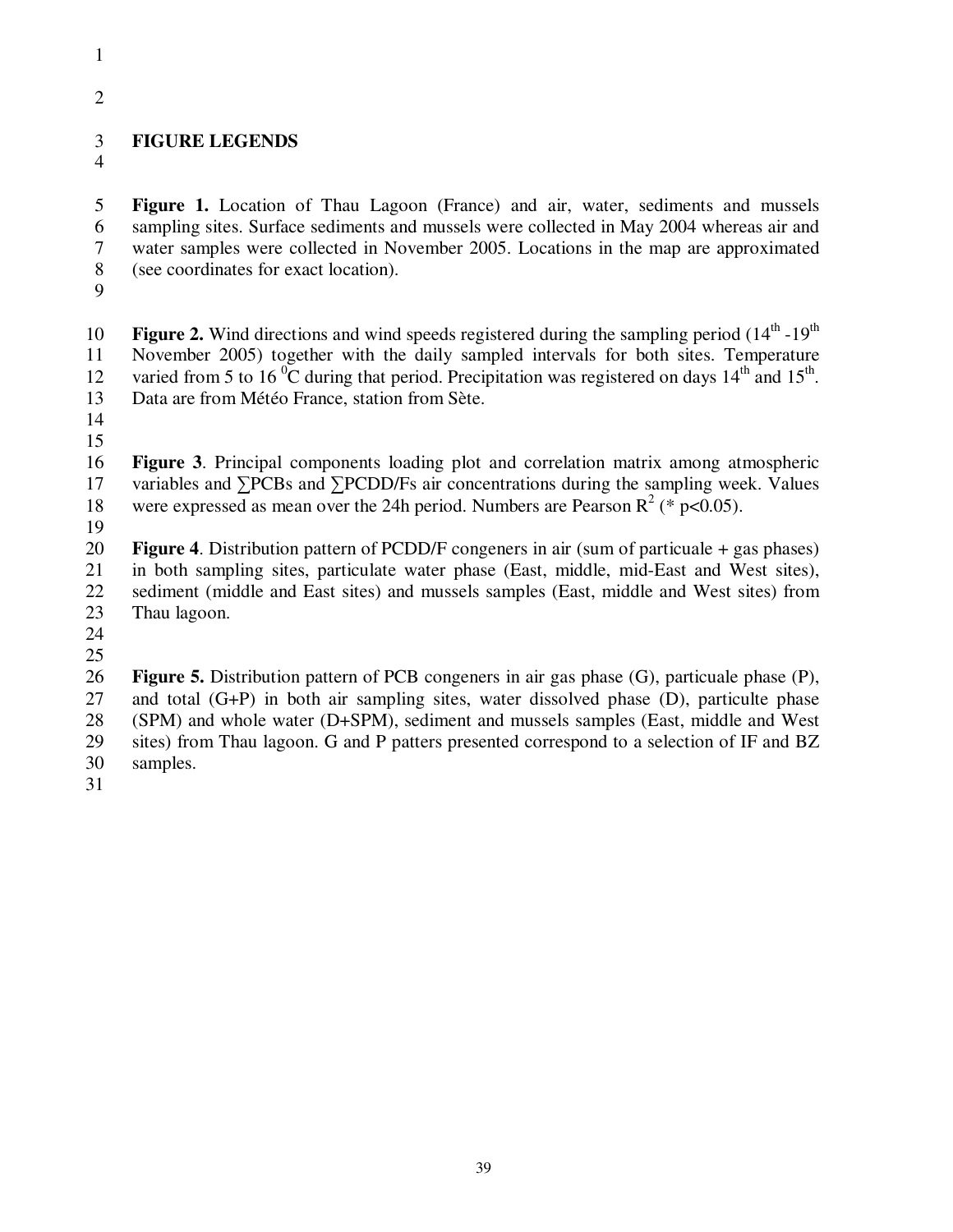- 
- 2

# 3 **FIGURE LEGENDS**

4

5 **Figure 1.** Location of Thau Lagoon (France) and air, water, sediments and mussels 6 sampling sites. Surface sediments and mussels were collected in May 2004 whereas air and 7 water samples were collected in November 2005. Locations in the map are approximated 8 (see coordinates for exact location).

9

**Figure 2.** Wind directions and wind speeds registered during the sampling period  $(14<sup>th</sup> - 19<sup>th</sup>)$ 11 November 2005) together with the daily sampled intervals for both sites. Temperature 12 varied from 5 to 16<sup> $0$ </sup>C during that period. Precipitation was registered on days  $14<sup>th</sup>$  and  $15<sup>th</sup>$ . 13 Data are from Météo France, station from Sète.

14

15

16 **Figure 3**. Principal components loading plot and correlation matrix among atmospheric 17 variables and ∑PCBs and ∑PCDD/Fs air concentrations during the sampling week. Values 18 were expressed as mean over the 24h period. Numbers are Pearson  $R^2$  (\* p<0.05).

19

20 **Figure 4**. Distribution pattern of PCDD/F congeners in air (sum of particuale + gas phases) 21 in both sampling sites, particulate water phase (East, middle, mid-East and West sites), 22 sediment (middle and East sites) and mussels samples (East, middle and West sites) from 23 Thau lagoon.

24

25

26 **Figure 5.** Distribution pattern of PCB congeners in air gas phase (G), particuale phase (P), 27 and total (G+P) in both air sampling sites, water dissolved phase (D), particulte phase (SPM) and whole water (D+SPM), sediment and mussels samples (East, middle and West 28 (SPM) and whole water (D+SPM), sediment and mussels samples (East, middle and West 29 sites) from Thau lagoon. G and P patters presented correspond to a selection of IF and BZ 30 samples.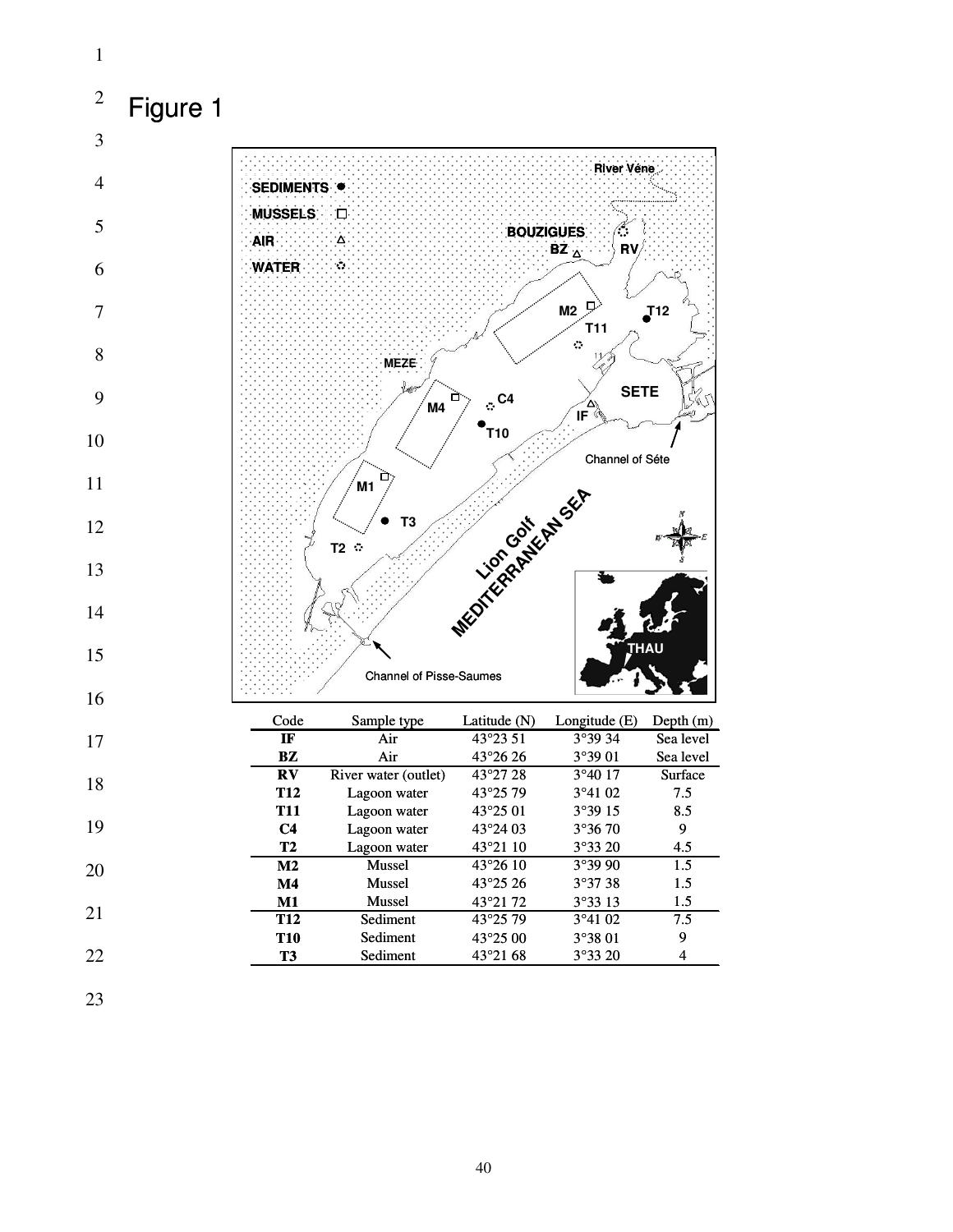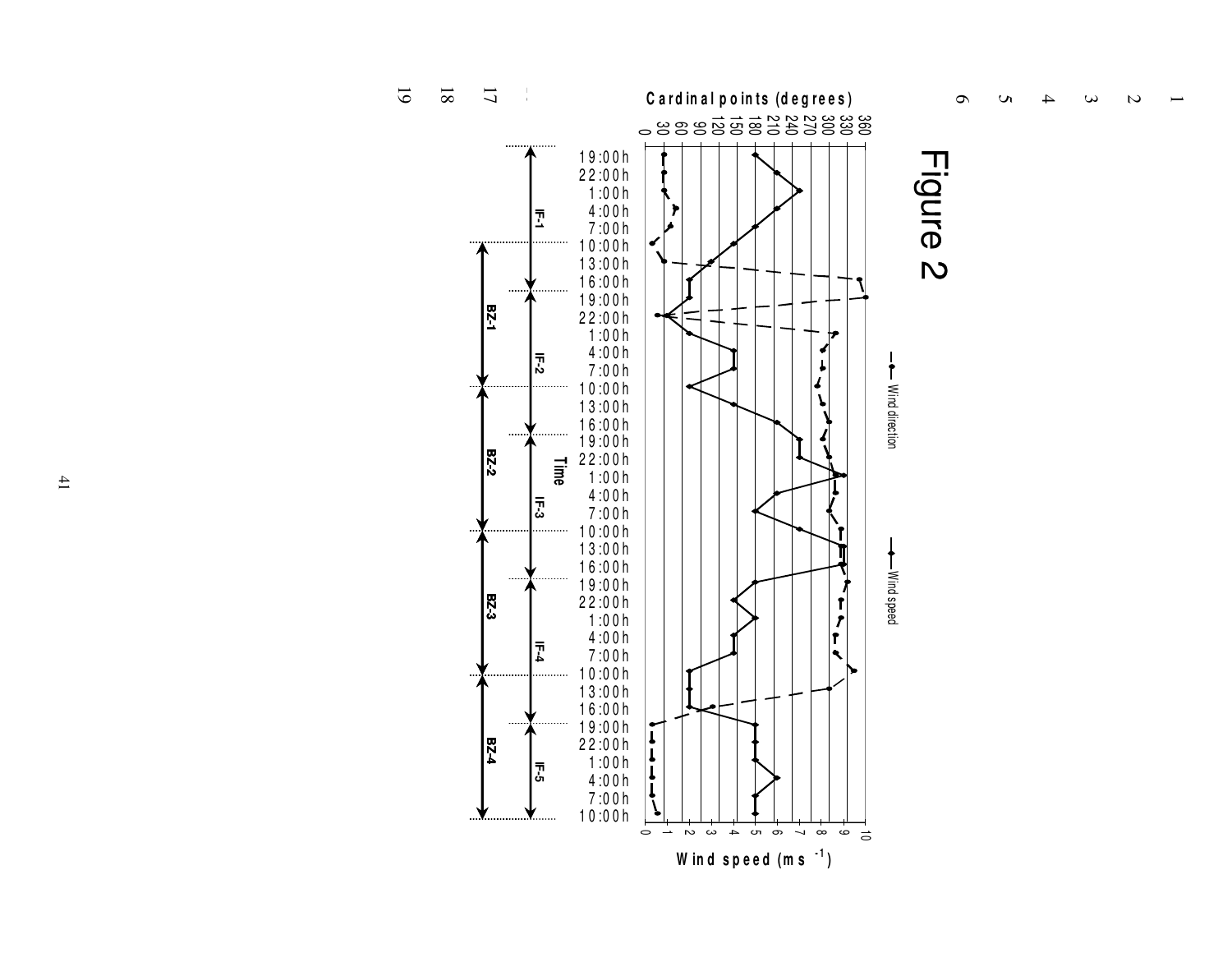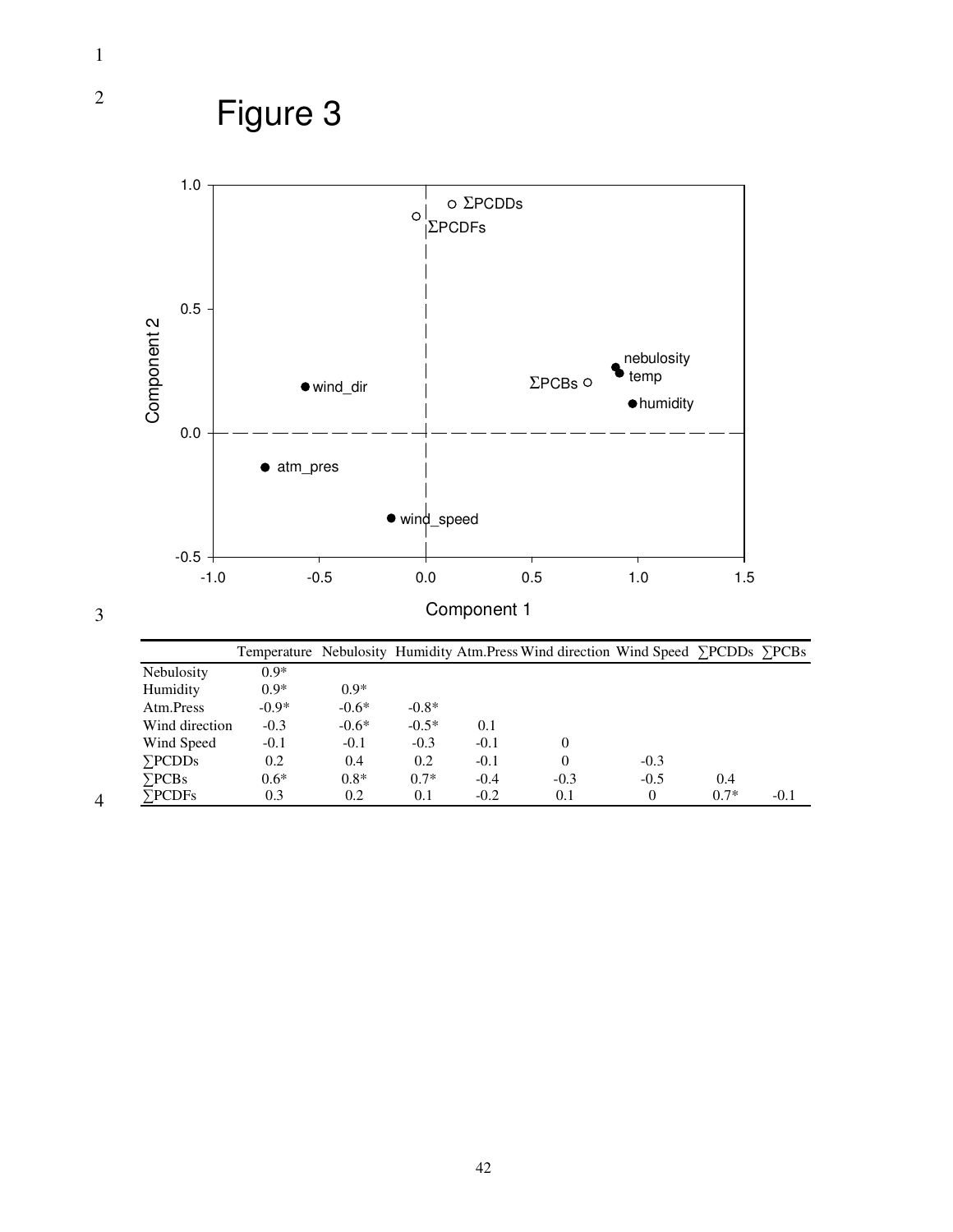

|                   |         |         |         |        | Temperature Nebulosity Humidity Atm. Press Wind direction Wind Speed >PCDDs >PCBs |        |        |        |
|-------------------|---------|---------|---------|--------|-----------------------------------------------------------------------------------|--------|--------|--------|
| <b>Nebulosity</b> | $0.9*$  |         |         |        |                                                                                   |        |        |        |
| Humidity          | $0.9*$  | $0.9*$  |         |        |                                                                                   |        |        |        |
| Atm.Press         | $-0.9*$ | $-0.6*$ | $-0.8*$ |        |                                                                                   |        |        |        |
| Wind direction    | $-0.3$  | $-0.6*$ | $-0.5*$ | 0.1    |                                                                                   |        |        |        |
| Wind Speed        | $-0.1$  | $-0.1$  | $-0.3$  | $-0.1$ | 0                                                                                 |        |        |        |
| $\sum$ PCDDs      | 0.2     | 0.4     | 0.2     | $-0.1$ | 0                                                                                 | $-0.3$ |        |        |
| $\sum$ PCBs       | $0.6*$  | $0.8*$  | $0.7*$  | $-0.4$ | $-0.3$                                                                            | $-0.5$ | 0.4    |        |
| $\sum$ PCDFs      | 0.3     | 0.2     | 0.1     | $-0.2$ | 0.1                                                                               | 0      | $0.7*$ | $-0.1$ |
|                   |         |         |         |        |                                                                                   |        |        |        |

2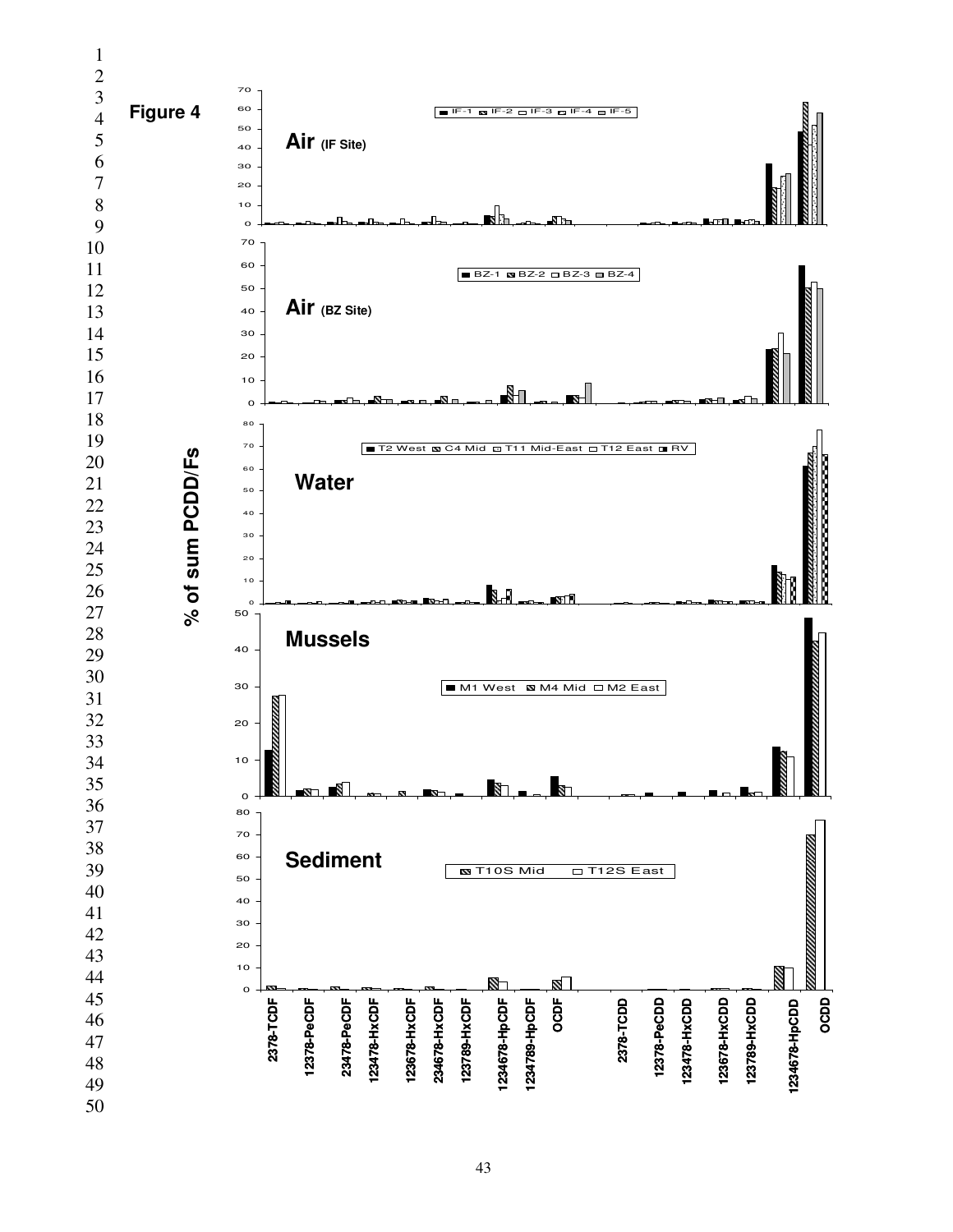